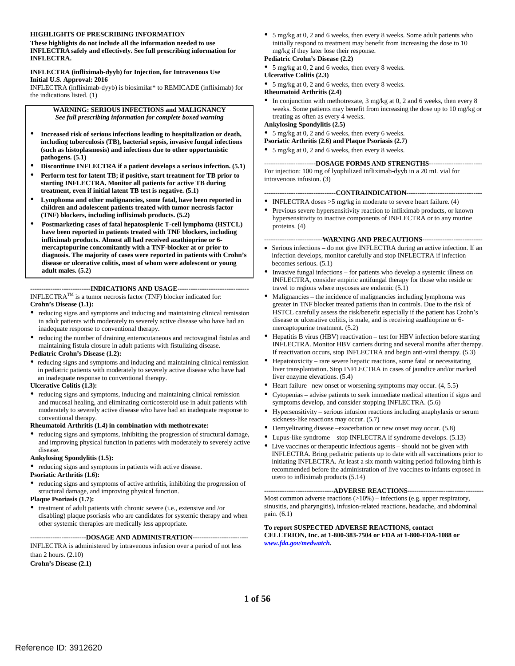#### **HIGHLIGHTS OF PRESCRIBING INFORMATION**

 **INFLECTRA safely and effectively. See full prescribing information for These highlights do not include all the information needed to use INFLECTRA.** 

#### **INFLECTRA (infliximab-dyyb) for Injection, for Intravenous Use Initial U.S. Approval: 2016**

INFLECTRA (infliximab-dyyb) is biosimilar\* to REMICADE (infliximab) for the indications listed. (1)

> **WARNING: SERIOUS INFECTIONS and MALIGNANCY**  *See full prescribing information for complete boxed warning*

- **including tuberculosis (TB), bacterial sepsis, invasive fungal infections pathogens. (5.1) Increased risk of serious infections leading to hospitalization or death, (such as histoplasmosis) and infections due to other opportunistic**
- **Discontinue INFLECTRA if a patient develops a serious infection. (5.1)**
- **starting INFLECTRA. Monitor all patients for active TB during Perform test for latent TB; if positive, start treatment for TB prior to treatment, even if initial latent TB test is negative. (5.1)**
- **children and adolescent patients treated with tumor necrosis factor (TNF) blockers, including infliximab products. (5.2) Lymphoma and other malignancies, some fatal, have been reported in**
- **have been reported in patients treated with TNF blockers, including disease or ulcerative colitis, most of whom were adolescent or young Postmarketing cases of fatal hepatosplenic T-cell lymphoma (HSTCL) infliximab products. Almost all had received azathioprine or 6 mercaptopurine concomitantly with a TNF-blocker at or prior to diagnosis. The majority of cases were reported in patients with Crohn's adult males. (5.2)**

#### **---------------------------INDICATIONS AND USAGE-------------------------------**  $INFLECTRA^{TM}$  is a tumor necrosis factor (TNF) blocker indicated for:

**Crohn's Disease (1.1):** 

- inadequate response to conventional therapy. reducing signs and symptoms and inducing and maintaining clinical remission in adult patients with moderately to severely active disease who have had an
- reducing the number of draining enterocutaneous and rectovaginal fistulas and maintaining fistula closure in adult patients with fistulizing disease.

#### **Pediatric Crohn's Disease (1.2):**

 reducing signs and symptoms and inducing and maintaining clinical remission in pediatric patients with moderately to severely active disease who have had an inadequate response to conventional therapy.

#### **Ulcerative Colitis (1.3):**

 reducing signs and symptoms, inducing and maintaining clinical remission and mucosal healing, and eliminating corticosteroid use in adult patients with moderately to severely active disease who have had an inadequate response to conventional therapy.

#### **Rheumatoid Arthritis (1.4) in combination with methotrexate:**

 reducing signs and symptoms, inhibiting the progression of structural damage, and improving physical function in patients with moderately to severely active disease.

#### **Ankylosing Spondylitis (1.5):**

reducing signs and symptoms in patients with active disease.

#### **Psoriatic Arthritis (1.6):**

 reducing signs and symptoms of active arthritis, inhibiting the progression of structural damage, and improving physical function.

#### **Plaque Psoriasis (1.7):**

 treatment of adult patients with chronic severe (i.e., extensive and /or disabling) plaque psoriasis who are candidates for systemic therapy and when other systemic therapies are medically less appropriate.

#### **-------------------------DOSAGE AND ADMINISTRATION------------------------**

 than 2 hours. (2.10) INFLECTRA is administered by intravenous infusion over a period of not less

#### **Crohn's Disease (2.1)**

 5 mg/kg at 0, 2 and 6 weeks, then every 8 weeks. Some adult patients who initially respond to treatment may benefit from increasing the dose to 10 mg/kg if they later lose their response.

#### **Pediatric Crohn's Disease (2.2)**

5 mg/kg at 0, 2 and 6 weeks, then every 8 weeks.

#### **Ulcerative Colitis (2.3)**

5 mg/kg at 0, 2 and 6 weeks, then every 8 weeks.

- **Rheumatoid Arthritis (2.4)**
- $\bullet$  In conjunction with methotrexate, 3 mg/kg at 0, 2 and 6 weeks, then every 8 weeks. Some patients may benefit from increasing the dose up to 10 mg/kg or treating as often as every 4 weeks.

#### **Ankylosing Spondylitis (2.5)**

- 5 mg/kg at 0, 2 and 6 weeks, then every 6 weeks.
- **Psoriatic Arthritis (2.6) and Plaque Psoriasis (2.7)**
- 5 mg/kg at 0, 2 and 6 weeks, then every 8 weeks.

#### For injection: 100 mg of lyophilized infliximab-dyyb in a 20 mL vial for **-----------------------DOSAGE FORMS AND STRENGTHS----------------------** intravenous infusion. (3)

#### **--------------------------------CONTRAINDICATION---------------------------------**

- INFLECTRA doses > 5 mg/kg in moderate to severe heart failure. (4)
- Previous severe hypersensitivity reaction to infliximab products, or known hypersensitivity to inactive components of INFLECTRA or to any murine proteins. (4)

#### **--------------------------WARNING AND PRECAUTIONS--------------------------**

- Serious infections do not give INFLECTRA during an active infection. If an infection develops, monitor carefully and stop INFLECTRA if infection becomes serious. (5.1)
- Invasive fungal infections for patients who develop a systemic illness on INFLECTRA, consider empiric antifungal therapy for those who reside or travel to regions where mycoses are endemic (5.1)
- HSTCL carefully assess the risk/benefit especially if the patient has Crohn's Malignancies – the incidence of malignancies including lymphoma was greater in TNF blocker treated patients than in controls. Due to the risk of disease or ulcerative colitis, is male, and is receiving azathioprine or 6 mercaptopurine treatment. (5.2)
- INFLECTRA. Monitor HBV carriers during and several months after therapy. Hepatitis B virus (HBV) reactivation – test for HBV infection before starting If reactivation occurs, stop INFLECTRA and begin anti-viral therapy. (5.3)
- Hepatotoxicity rare severe hepatic reactions, some fatal or necessitating liver transplantation. Stop INFLECTRA in cases of jaundice and/or marked liver enzyme elevations. (5.4)
- Heart failure –new onset or worsening symptoms may occur.  $(4, 5.5)$
- Cytopenias advise patients to seek immediate medical attention if signs and symptoms develop, and consider stopping INFLECTRA. (5.6)
- Hypersensitivity serious infusion reactions including anaphylaxis or serum sickness-like reactions may occur. (5.7)
- Demyelinating disease –exacerbation or new onset may occur. (5.8)
- Lupus-like syndrome stop INFLECTRA if syndrome develops. (5.13)
- Live vaccines or therapeutic infectious agents should not be given with INFLECTRA. Bring pediatric patients up to date with all vaccinations prior to initiating INFLECTRA. At least a six month waiting period following birth is recommended before the administration of live vaccines to infants exposed in utero to infliximab products (5.14)

 Most common adverse reactions (>10%) – infections (e.g. upper respiratory, **-------------------------------ADVERSE REACTIONS--------------------------------** sinusitis, and pharyngitis), infusion-related reactions, headache, and abdominal pain. (6.1)

#### **To report SUSPECTED ADVERSE REACTIONS, contact CELLTRION, Inc. at 1-800-383-7504 or FDA at 1-800-FDA-1088 or**  *[www.fda.gov/medwatch.](http://www.fda.gov/medwatch)*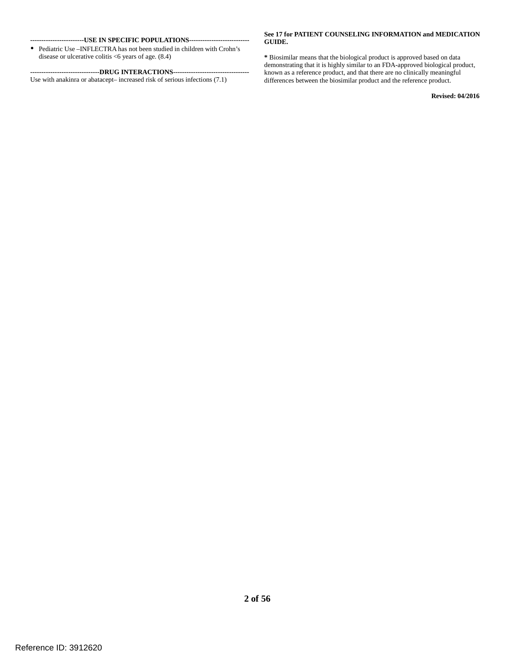#### ------------------------USE IN SPECIFIC POPULATIONS------------------------------

 Pediatric Use –INFLECTRA has not been studied in children with Crohn's disease or ulcerative colitis <6 years of age. (8.4)

#### **-------------------------------DRUG INTERACTIONS---------------------------------**

Use with anakinra or abatacept– increased risk of serious infections (7.1)

#### See 17 for PATIENT COUNSELING INFORMATION and MEDICATION **GUIDE.**

 **\*** Biosimilar means that the biological product is approved based on data differences between the biosimilar product and the reference product. demonstrating that it is highly similar to an FDA-approved biological product, known as a reference product, and that there are no clinically meaningful

**Revised: 04/2016**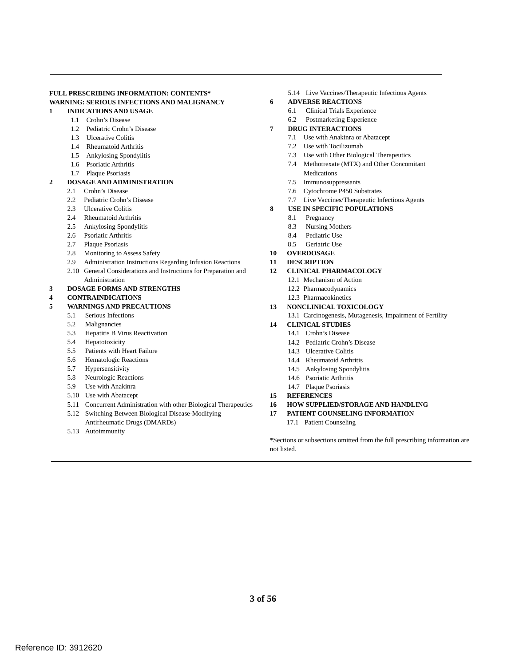#### **FULL PRESCRIBING INFORMATION: CONTENTS\* WARNING: SERIOUS INFECTIONS AND MALIGNANCY**

- **1 INDICATIONS AND USAGE** 
	- 1.1 Crohn's Disease
	- 1.2 Pediatric Crohn's Disease
	- 1.3 Ulcerative Colitis
	- 1.4 Rheumatoid Arthritis
	- 1.5 Ankylosing Spondylitis
	- 1.6 Psoriatic Arthritis
	- 1.7 Plaque Psoriasis

#### **2 DOSAGE AND ADMINISTRATION**

- 2.1 Crohn's Disease
- 2.2 Pediatric Crohn's Disease
- 2.3 Ulcerative Colitis
- 2.4 Rheumatoid Arthritis
- 2.5 Ankylosing Spondylitis
- 2.6 Psoriatic Arthritis
- 2.7 Plaque Psoriasis
- 2.8 Monitoring to Assess Safety
- 2.9 Administration Instructions Regarding Infusion Reactions
- 2.10 General Considerations and Instructions for Preparation and Administration

#### **3 DOSAGE FORMS AND STRENGTHS**

#### **4 CONTRAINDICATIONS**

#### **5 WARNINGS AND PRECAUTIONS**

- 5.1 Serious Infections
- 5.2 Malignancies
- 5.3 Hepatitis B Virus Reactivation
- 5.4 Hepatotoxicity
- 5.5 Patients with Heart Failure
- 5.6 Hematologic Reactions
- 5.7 Hypersensitivity
- 5.8 Neurologic Reactions
- 5.9 Use with Anakinra
- 5.10 Use with Abatacept
- 5.11 Concurrent Administration with other Biological Therapeutics
- 5.12 Switching Between Biological Disease-Modifying Antirheumatic Drugs (DMARDs)
- 5.13 Autoimmunity

5.14 Live Vaccines/Therapeutic Infectious Agents

#### **6 ADVERSE REACTIONS**

- 6.1 Clinical Trials Experience
- 6.2 Postmarketing Experience

#### **7 DRUG INTERACTIONS**

- 7.1 Use with Anakinra or Abatacept
- 7.2 Use with Tocilizumab
- 7.3 Use with Other Biological Therapeutics
- 7.4 Methotrexate (MTX) and Other Concomitant Medications
- 7.5 Immunosuppressants
- 7.6 Cytochrome P450 Substrates
- 7.7 Live Vaccines/Therapeutic Infectious Agents
- **8 USE IN SPECIFIC POPULATIONS** 
	- 8.1 Pregnancy
		- 8.3 Nursing Mothers
		- 8.4 Pediatric Use
		- 8.5 Geriatric Use
- **10 OVERDOSAGE**
- **11 DESCRIPTION**
- **12 CLINICAL PHARMACOLOGY** 
	- 12.1 Mechanism of Action
	- 12.2 Pharmacodynamics
	- 12.3 Pharmacokinetics
- **13 NONCLINICAL TOXICOLOGY**
- 13.1 Carcinogenesis, Mutagenesis, Impairment of Fertility

#### **14 CLINICAL STUDIES**

- 14.1 Crohn's Disease
- 14.2 Pediatric Crohn's Disease
- 14.3 Ulcerative Colitis
- 14.4 Rheumatoid Arthritis
- 14.5 Ankylosing Spondylitis
- 14.6 Psoriatic Arthritis
- 14.7 Plaque Psoriasis
- **15 REFERENCES**
- **16 HOW SUPPLIED/STORAGE AND HANDLING**
- **17 PATIENT COUNSELING INFORMATION** 
	- 17.1 Patient Counseling

 \*Sections or subsections omitted from the full prescribing information are not listed.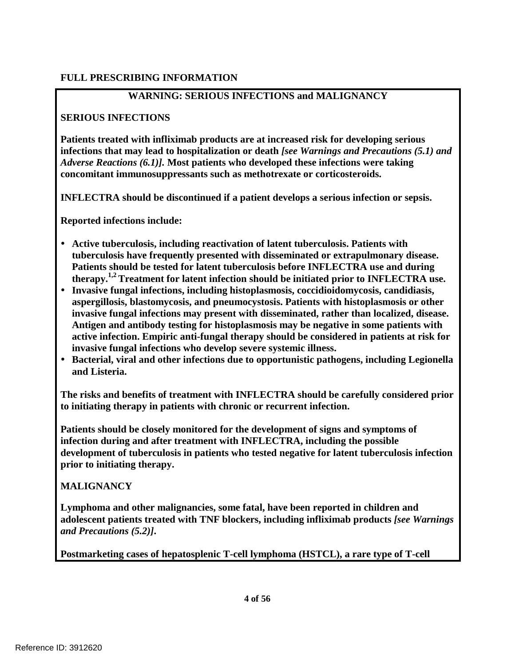### **FULL PRESCRIBING INFORMATION**

#### **WARNING: SERIOUS INFECTIONS and MALIGNANCY**

#### **SERIOUS INFECTIONS**

**Patients treated with infliximab products are at increased risk for developing serious infections that may lead to hospitalization or death** *[see Warnings and Precautions (5.1) and Adverse Reactions (6.1)].* **Most patients who developed these infections were taking concomitant immunosuppressants such as methotrexate or corticosteroids.** 

**INFLECTRA should be discontinued if a patient develops a serious infection or sepsis.** 

**Reported infections include:** 

- **Patients should be tested for latent tuberculosis before INFLECTRA use and during**  therapy.<sup>1,2</sup> Treatment for latent infection should be initiated prior to INFLECTRA use. **Active tuberculosis, including reactivation of latent tuberculosis. Patients with tuberculosis have frequently presented with disseminated or extrapulmonary disease.**
- **Invasive fungal infections, including histoplasmosis, coccidioidomycosis, candidiasis, aspergillosis, blastomycosis, and pneumocystosis. Patients with histoplasmosis or other invasive fungal infections may present with disseminated, rather than localized, disease. Antigen and antibody testing for histoplasmosis may be negative in some patients with active infection. Empiric anti-fungal therapy should be considered in patients at risk for invasive fungal infections who develop severe systemic illness.**
- **Bacterial, viral and other infections due to opportunistic pathogens, including Legionella and Listeria.**

**The risks and benefits of treatment with INFLECTRA should be carefully considered prior to initiating therapy in patients with chronic or recurrent infection.** 

**Patients should be closely monitored for the development of signs and symptoms of infection during and after treatment with INFLECTRA, including the possible development of tuberculosis in patients who tested negative for latent tuberculosis infection prior to initiating therapy.** 

### **MALIGNANCY**

 **adolescent patients treated with TNF blockers, including infliximab products** *[see Warnings*  **Lymphoma and other malignancies, some fatal, have been reported in children and**  *and Precautions (5.2)]***.** 

**Postmarketing cases of hepatosplenic T-cell lymphoma (HSTCL), a rare type of T-cell**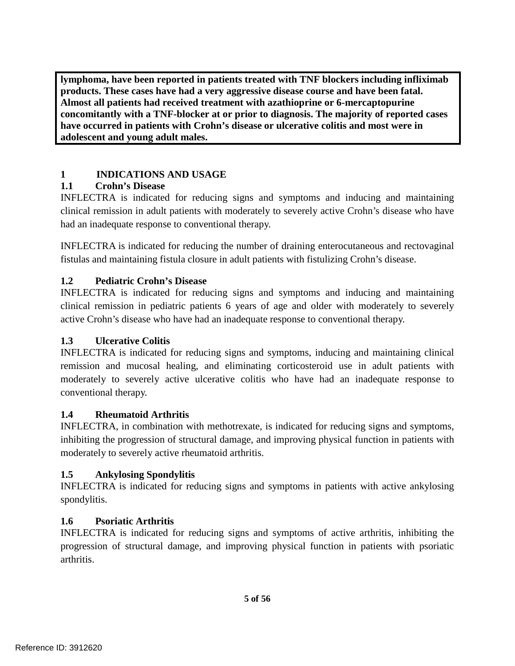**concomitantly with a TNF-blocker at or prior to diagnosis. The majority of reported cases lymphoma, have been reported in patients treated with TNF blockers including infliximab products. These cases have had a very aggressive disease course and have been fatal. Almost all patients had received treatment with azathioprine or 6-mercaptopurine have occurred in patients with Crohn's disease or ulcerative colitis and most were in adolescent and young adult males.** 

## **1 INDICATIONS AND USAGE**

## **1.1 Crohn's Disease**

INFLECTRA is indicated for reducing signs and symptoms and inducing and maintaining clinical remission in adult patients with moderately to severely active Crohn's disease who have had an inadequate response to conventional therapy.

INFLECTRA is indicated for reducing the number of draining enterocutaneous and rectovaginal fistulas and maintaining fistula closure in adult patients with fistulizing Crohn's disease.

## **1.2 Pediatric Crohn's Disease**

 clinical remission in pediatric patients 6 years of age and older with moderately to severely INFLECTRA is indicated for reducing signs and symptoms and inducing and maintaining active Crohn's disease who have had an inadequate response to conventional therapy.

## **1.3 Ulcerative Colitis**

INFLECTRA is indicated for reducing signs and symptoms, inducing and maintaining clinical remission and mucosal healing, and eliminating corticosteroid use in adult patients with moderately to severely active ulcerative colitis who have had an inadequate response to conventional therapy.

## **1.4 Rheumatoid Arthritis**

INFLECTRA, in combination with methotrexate, is indicated for reducing signs and symptoms, inhibiting the progression of structural damage, and improving physical function in patients with moderately to severely active rheumatoid arthritis.

## **1.5 Ankylosing Spondylitis**

INFLECTRA is indicated for reducing signs and symptoms in patients with active ankylosing spondylitis.

## **1.6 Psoriatic Arthritis**

INFLECTRA is indicated for reducing signs and symptoms of active arthritis, inhibiting the progression of structural damage, and improving physical function in patients with psoriatic arthritis.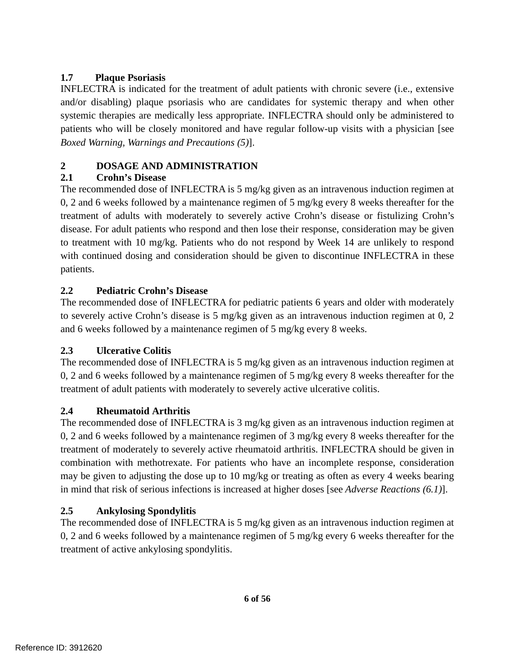## **1.7 Plaque Psoriasis**

INFLECTRA is indicated for the treatment of adult patients with chronic severe (i.e., extensive and/or disabling) plaque psoriasis who are candidates for systemic therapy and when other systemic therapies are medically less appropriate. INFLECTRA should only be administered to patients who will be closely monitored and have regular follow-up visits with a physician [see *Boxed Warning, Warnings and Precautions (5)*].

## **2 DOSAGE AND ADMINISTRATION**

## **2.1 Crohn's Disease**

 The recommended dose of INFLECTRA is 5 mg/kg given as an intravenous induction regimen at disease. For adult patients who respond and then lose their response, consideration may be given with continued dosing and consideration should be given to discontinue INFLECTRA in these 0, 2 and 6 weeks followed by a maintenance regimen of 5 mg/kg every 8 weeks thereafter for the treatment of adults with moderately to severely active Crohn's disease or fistulizing Crohn's to treatment with 10 mg/kg. Patients who do not respond by Week 14 are unlikely to respond patients.

## **2.2 Pediatric Crohn's Disease**

 The recommended dose of INFLECTRA for pediatric patients 6 years and older with moderately to severely active Crohn's disease is 5 mg/kg given as an intravenous induction regimen at 0, 2 and 6 weeks followed by a maintenance regimen of 5 mg/kg every 8 weeks.

### **2.3 Ulcerative Colitis**

 The recommended dose of INFLECTRA is 5 mg/kg given as an intravenous induction regimen at 0, 2 and 6 weeks followed by a maintenance regimen of 5 mg/kg every 8 weeks thereafter for the treatment of adult patients with moderately to severely active ulcerative colitis.

### **2.4 Rheumatoid Arthritis**

 The recommended dose of INFLECTRA is 3 mg/kg given as an intravenous induction regimen at 0, 2 and 6 weeks followed by a maintenance regimen of 3 mg/kg every 8 weeks thereafter for the treatment of moderately to severely active rheumatoid arthritis. INFLECTRA should be given in combination with methotrexate. For patients who have an incomplete response, consideration may be given to adjusting the dose up to 10 mg/kg or treating as often as every 4 weeks bearing in mind that risk of serious infections is increased at higher doses [see *Adverse Reactions (6.1)*].

## **2.5 Ankylosing Spondylitis**

 The recommended dose of INFLECTRA is 5 mg/kg given as an intravenous induction regimen at 0, 2 and 6 weeks followed by a maintenance regimen of 5 mg/kg every 6 weeks thereafter for the treatment of active ankylosing spondylitis.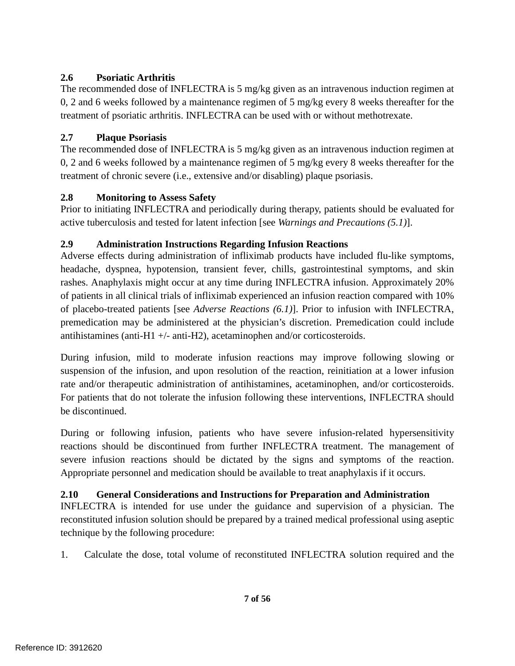## **2.6 Psoriatic Arthritis**

 The recommended dose of INFLECTRA is 5 mg/kg given as an intravenous induction regimen at treatment of psoriatic arthritis. INFLECTRA can be used with or without methotrexate. 0, 2 and 6 weeks followed by a maintenance regimen of 5 mg/kg every 8 weeks thereafter for the

## **2.7 Plaque Psoriasis**

 The recommended dose of INFLECTRA is 5 mg/kg given as an intravenous induction regimen at 0, 2 and 6 weeks followed by a maintenance regimen of 5 mg/kg every 8 weeks thereafter for the treatment of chronic severe (i.e., extensive and/or disabling) plaque psoriasis.

## **2.8 Monitoring to Assess Safety**

Prior to initiating INFLECTRA and periodically during therapy, patients should be evaluated for active tuberculosis and tested for latent infection [see *Warnings and Precautions (5.1)*].

## **2.9 Administration Instructions Regarding Infusion Reactions**

 Adverse effects during administration of infliximab products have included flu-like symptoms, rashes. Anaphylaxis might occur at any time during INFLECTRA infusion. Approximately 20% of patients in all clinical trials of infliximab experienced an infusion reaction compared with 10% antihistamines (anti-H1  $+/-$  anti-H2), acetaminophen and/or corticosteroids. headache, dyspnea, hypotension, transient fever, chills, gastrointestinal symptoms, and skin of placebo-treated patients [see *Adverse Reactions (6.1)*]. Prior to infusion with INFLECTRA, premedication may be administered at the physician's discretion. Premedication could include

 For patients that do not tolerate the infusion following these interventions, INFLECTRA should During infusion, mild to moderate infusion reactions may improve following slowing or suspension of the infusion, and upon resolution of the reaction, reinitiation at a lower infusion rate and/or therapeutic administration of antihistamines, acetaminophen, and/or corticosteroids. be discontinued.

 severe infusion reactions should be dictated by the signs and symptoms of the reaction. Appropriate personnel and medication should be available to treat anaphylaxis if it occurs. During or following infusion, patients who have severe infusion-related hypersensitivity reactions should be discontinued from further INFLECTRA treatment. The management of

## **2.10 General Considerations and Instructions for Preparation and Administration**

INFLECTRA is intended for use under the guidance and supervision of a physician. The reconstituted infusion solution should be prepared by a trained medical professional using aseptic technique by the following procedure:

1. Calculate the dose, total volume of reconstituted INFLECTRA solution required and the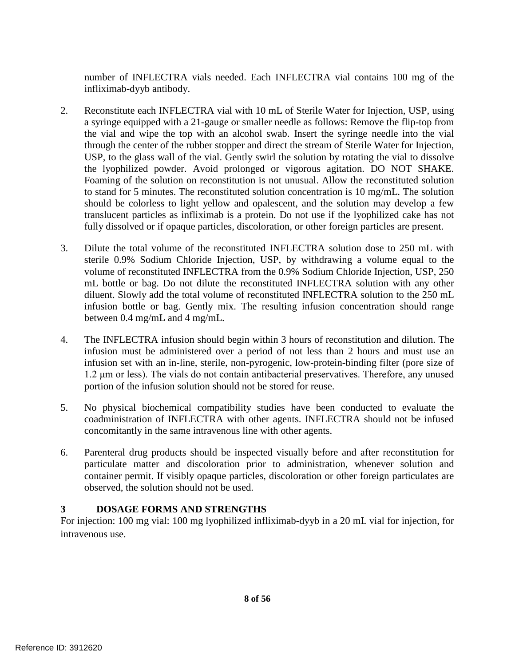infliximab-dyyb antibody. number of INFLECTRA vials needed. Each INFLECTRA vial contains 100 mg of the

- through the center of the rubber stopper and direct the stream of Sterile Water for Injection, 2. Reconstitute each INFLECTRA vial with 10 mL of Sterile Water for Injection, USP, using a syringe equipped with a 21-gauge or smaller needle as follows: Remove the flip-top from the vial and wipe the top with an alcohol swab. Insert the syringe needle into the vial USP, to the glass wall of the vial. Gently swirl the solution by rotating the vial to dissolve the lyophilized powder. Avoid prolonged or vigorous agitation. DO NOT SHAKE. Foaming of the solution on reconstitution is not unusual. Allow the reconstituted solution to stand for 5 minutes. The reconstituted solution concentration is 10 mg/mL. The solution should be colorless to light yellow and opalescent, and the solution may develop a few translucent particles as infliximab is a protein. Do not use if the lyophilized cake has not fully dissolved or if opaque particles, discoloration, or other foreign particles are present.
- sterile 0.9% Sodium Chloride Injection, USP, by withdrawing a volume equal to the 3. Dilute the total volume of the reconstituted INFLECTRA solution dose to 250 mL with volume of reconstituted INFLECTRA from the 0.9% Sodium Chloride Injection, USP, 250 mL bottle or bag. Do not dilute the reconstituted INFLECTRA solution with any other diluent. Slowly add the total volume of reconstituted INFLECTRA solution to the 250 mL infusion bottle or bag. Gently mix. The resulting infusion concentration should range between 0.4 mg/mL and 4 mg/mL.
- 1.2 μm or less). The vials do not contain antibacterial preservatives. Therefore, any unused 4. The INFLECTRA infusion should begin within 3 hours of reconstitution and dilution. The infusion must be administered over a period of not less than 2 hours and must use an infusion set with an in-line, sterile, non-pyrogenic, low-protein-binding filter (pore size of portion of the infusion solution should not be stored for reuse.
- 5. No physical biochemical compatibility studies have been conducted to evaluate the coadministration of INFLECTRA with other agents. INFLECTRA should not be infused concomitantly in the same intravenous line with other agents.
- 6. Parenteral drug products should be inspected visually before and after reconstitution for particulate matter and discoloration prior to administration, whenever solution and container permit. If visibly opaque particles, discoloration or other foreign particulates are observed, the solution should not be used.

### **3 DOSAGE FORMS AND STRENGTHS**

For injection: 100 mg vial: 100 mg lyophilized infliximab-dyyb in a 20 mL vial for injection, for intravenous use.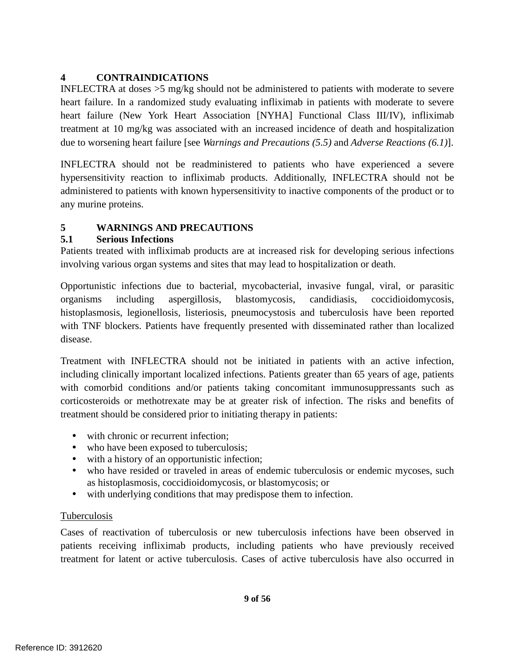## **4 CONTRAINDICATIONS**

INFLECTRA at doses >5 mg/kg should not be administered to patients with moderate to severe heart failure. In a randomized study evaluating infliximab in patients with moderate to severe heart failure (New York Heart Association [NYHA] Functional Class III/IV), infliximab treatment at 10 mg/kg was associated with an increased incidence of death and hospitalization due to worsening heart failure [see *Warnings and Precautions (5.5)* and *Adverse Reactions (6.1)*].

 hypersensitivity reaction to infliximab products. Additionally, INFLECTRA should not be any murine proteins. INFLECTRA should not be readministered to patients who have experienced a severe administered to patients with known hypersensitivity to inactive components of the product or to

## **5 WARNINGS AND PRECAUTIONS**

## **5.1 Serious Infections**

 Patients treated with infliximab products are at increased risk for developing serious infections involving various organ systems and sites that may lead to hospitalization or death.

Opportunistic infections due to bacterial, mycobacterial, invasive fungal, viral, or parasitic organisms including aspergillosis, blastomycosis, candidiasis, coccidioidomycosis, histoplasmosis, legionellosis, listeriosis, pneumocystosis and tuberculosis have been reported with TNF blockers. Patients have frequently presented with disseminated rather than localized disease.

Treatment with INFLECTRA should not be initiated in patients with an active infection, including clinically important localized infections. Patients greater than 65 years of age, patients with comorbid conditions and/or patients taking concomitant immunosuppressants such as corticosteroids or methotrexate may be at greater risk of infection. The risks and benefits of treatment should be considered prior to initiating therapy in patients:

- with chronic or recurrent infection;
- who have been exposed to tuberculosis;
- with a history of an opportunistic infection;
- who have resided or traveled in areas of endemic tuberculosis or endemic mycoses, such as histoplasmosis, coccidioidomycosis, or blastomycosis; or
- with underlying conditions that may predispose them to infection.

### Tuberculosis

Cases of reactivation of tuberculosis or new tuberculosis infections have been observed in patients receiving infliximab products, including patients who have previously received treatment for latent or active tuberculosis. Cases of active tuberculosis have also occurred in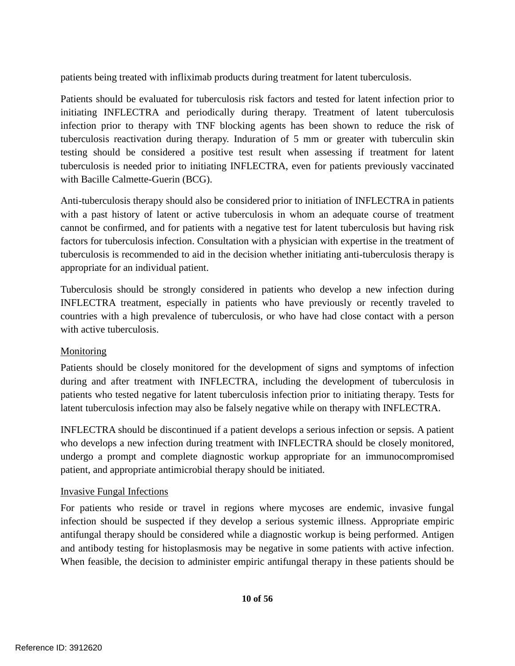patients being treated with infliximab products during treatment for latent tuberculosis.

Patients should be evaluated for tuberculosis risk factors and tested for latent infection prior to initiating INFLECTRA and periodically during therapy. Treatment of latent tuberculosis infection prior to therapy with TNF blocking agents has been shown to reduce the risk of tuberculosis reactivation during therapy. Induration of 5 mm or greater with tuberculin skin testing should be considered a positive test result when assessing if treatment for latent tuberculosis is needed prior to initiating INFLECTRA, even for patients previously vaccinated with Bacille Calmette-Guerin (BCG).

 Anti-tuberculosis therapy should also be considered prior to initiation of INFLECTRA in patients with a past history of latent or active tuberculosis in whom an adequate course of treatment cannot be confirmed, and for patients with a negative test for latent tuberculosis but having risk factors for tuberculosis infection. Consultation with a physician with expertise in the treatment of tuberculosis is recommended to aid in the decision whether initiating anti-tuberculosis therapy is appropriate for an individual patient.

 Tuberculosis should be strongly considered in patients who develop a new infection during INFLECTRA treatment, especially in patients who have previously or recently traveled to countries with a high prevalence of tuberculosis, or who have had close contact with a person with active tuberculosis.

### **Monitoring**

 latent tuberculosis infection may also be falsely negative while on therapy with INFLECTRA. Patients should be closely monitored for the development of signs and symptoms of infection during and after treatment with INFLECTRA, including the development of tuberculosis in patients who tested negative for latent tuberculosis infection prior to initiating therapy. Tests for

INFLECTRA should be discontinued if a patient develops a serious infection or sepsis. A patient who develops a new infection during treatment with INFLECTRA should be closely monitored, undergo a prompt and complete diagnostic workup appropriate for an immunocompromised patient, and appropriate antimicrobial therapy should be initiated.

## **Invasive Fungal Infections**

 antifungal therapy should be considered while a diagnostic workup is being performed. Antigen For patients who reside or travel in regions where mycoses are endemic, invasive fungal infection should be suspected if they develop a serious systemic illness. Appropriate empiric and antibody testing for histoplasmosis may be negative in some patients with active infection. When feasible, the decision to administer empiric antifungal therapy in these patients should be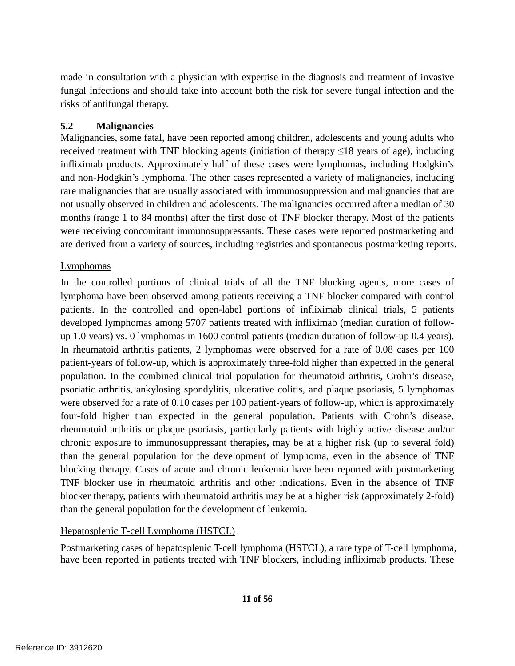made in consultation with a physician with expertise in the diagnosis and treatment of invasive fungal infections and should take into account both the risk for severe fungal infection and the risks of antifungal therapy.

## **5.2 Malignancies**

 infliximab products. Approximately half of these cases were lymphomas, including Hodgkin's were receiving concomitant immunosuppressants. These cases were reported postmarketing and are derived from a variety of sources, including registries and spontaneous postmarketing reports. Malignancies, some fatal, have been reported among children, adolescents and young adults who received treatment with TNF blocking agents (initiation of therapy  $\leq 18$  years of age), including and non-Hodgkin's lymphoma. The other cases represented a variety of malignancies, including rare malignancies that are usually associated with immunosuppression and malignancies that are not usually observed in children and adolescents. The malignancies occurred after a median of 30 months (range 1 to 84 months) after the first dose of TNF blocker therapy. Most of the patients

## **Lymphomas**

 psoriatic arthritis, ankylosing spondylitis, ulcerative colitis, and plaque psoriasis, 5 lymphomas were observed for a rate of 0.10 cases per 100 patient-years of follow-up, which is approximately rheumatoid arthritis or plaque psoriasis, particularly patients with highly active disease and/or chronic exposure to immunosuppressant therapies**,** may be at a higher risk (up to several fold) In the controlled portions of clinical trials of all the TNF blocking agents, more cases of lymphoma have been observed among patients receiving a TNF blocker compared with control patients. In the controlled and open-label portions of infliximab clinical trials, 5 patients developed lymphomas among 5707 patients treated with infliximab (median duration of followup 1.0 years) vs. 0 lymphomas in 1600 control patients (median duration of follow-up 0.4 years). In rheumatoid arthritis patients, 2 lymphomas were observed for a rate of 0.08 cases per 100 patient-years of follow-up, which is approximately three-fold higher than expected in the general population. In the combined clinical trial population for rheumatoid arthritis, Crohn's disease, four-fold higher than expected in the general population. Patients with Crohn's disease, than the general population for the development of lymphoma, even in the absence of TNF blocking therapy. Cases of acute and chronic leukemia have been reported with postmarketing TNF blocker use in rheumatoid arthritis and other indications. Even in the absence of TNF blocker therapy, patients with rheumatoid arthritis may be at a higher risk (approximately 2-fold) than the general population for the development of leukemia.

## Hepatosplenic T-cell Lymphoma (HSTCL)

 Postmarketing cases of hepatosplenic T-cell lymphoma (HSTCL), a rare type of T-cell lymphoma, have been reported in patients treated with TNF blockers, including infliximab products. These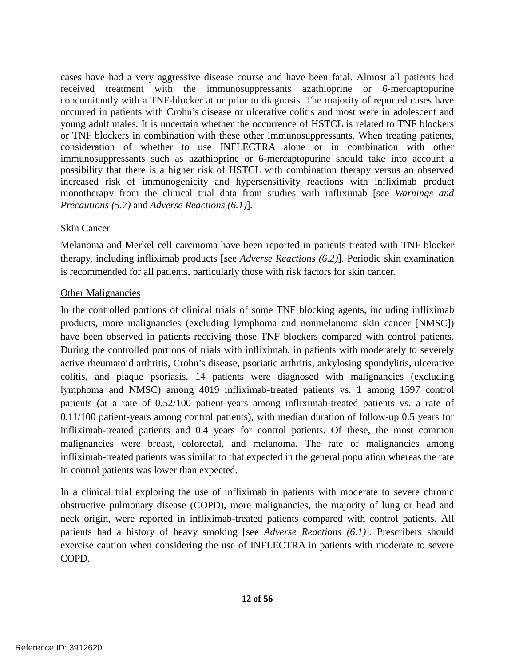concomitantly with a TNF-blocker at or prior to diagnosis. The majority of reported cases have young adult males. It is uncertain whether the occurrence of HSTCL is related to TNF blockers increased risk of immunogenicity and hypersensitivity reactions with infliximab product monotherapy from the clinical trial data from studies with infliximab [see *Warnings and*  cases have had a very aggressive disease course and have been fatal. Almost all patients had received treatment with the immunosuppressants azathioprine or 6-mercaptopurine occurred in patients with Crohn's disease or ulcerative colitis and most were in adolescent and or TNF blockers in combination with these other immunosuppressants. When treating patients, consideration of whether to use INFLECTRA alone or in combination with other immunosuppressants such as azathioprine or 6-mercaptopurine should take into account a possibility that there is a higher risk of HSTCL with combination therapy versus an observed *Precautions (5.7)* and *Adverse Reactions (6.1)*]*.* 

### Skin Cancer

 therapy, including infliximab products [see *Adverse Reactions (6.2)*]. Periodic skin examination Melanoma and Merkel cell carcinoma have been reported in patients treated with TNF blocker is recommended for all patients, particularly those with risk factors for skin cancer.

## Other Malignancies

In the controlled portions of clinical trials of some TNF blocking agents, including infliximab products, more malignancies (excluding lymphoma and nonmelanoma skin cancer [NMSC]) have been observed in patients receiving those TNF blockers compared with control patients. During the controlled portions of trials with infliximab, in patients with moderately to severely active rheumatoid arthritis, Crohn's disease, psoriatic arthritis, ankylosing spondylitis, ulcerative colitis, and plaque psoriasis, 14 patients were diagnosed with malignancies (excluding lymphoma and NMSC) among 4019 infliximab-treated patients vs. 1 among 1597 control patients (at a rate of 0.52/100 patient-years among infliximab-treated patients vs. a rate of 0.11/100 patient-years among control patients), with median duration of follow-up 0.5 years for infliximab-treated patients and 0.4 years for control patients. Of these, the most common malignancies were breast, colorectal, and melanoma. The rate of malignancies among infliximab-treated patients was similar to that expected in the general population whereas the rate in control patients was lower than expected.

In a clinical trial exploring the use of infliximab in patients with moderate to severe chronic obstructive pulmonary disease (COPD), more malignancies, the majority of lung or head and neck origin, were reported in infliximab-treated patients compared with control patients. All patients had a history of heavy smoking [see *Adverse Reactions (6.1)*]. Prescribers should exercise caution when considering the use of INFLECTRA in patients with moderate to severe COPD.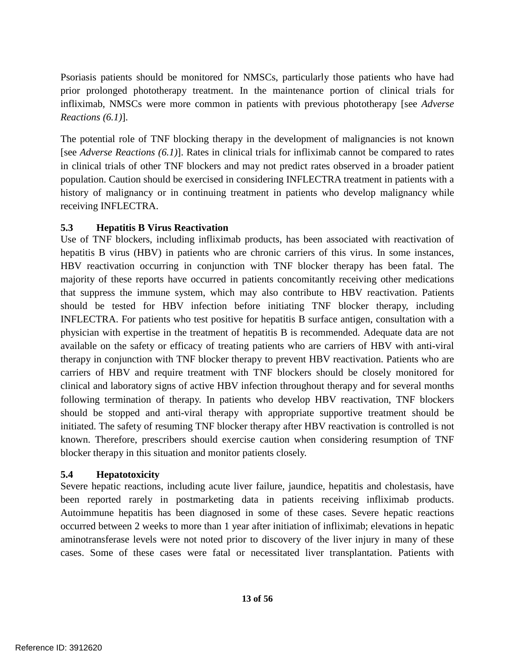Psoriasis patients should be monitored for NMSCs, particularly those patients who have had prior prolonged phototherapy treatment. In the maintenance portion of clinical trials for infliximab, NMSCs were more common in patients with previous phototherapy [see *Adverse Reactions (6.1)*].

The potential role of TNF blocking therapy in the development of malignancies is not known [see *Adverse Reactions (6.1)*]. Rates in clinical trials for infliximab cannot be compared to rates in clinical trials of other TNF blockers and may not predict rates observed in a broader patient population. Caution should be exercised in considering INFLECTRA treatment in patients with a history of malignancy or in continuing treatment in patients who develop malignancy while receiving INFLECTRA.

## **5.3 Hepatitis B Virus Reactivation**

 initiated. The safety of resuming TNF blocker therapy after HBV reactivation is controlled is not Use of TNF blockers, including infliximab products, has been associated with reactivation of hepatitis B virus (HBV) in patients who are chronic carriers of this virus. In some instances, HBV reactivation occurring in conjunction with TNF blocker therapy has been fatal. The majority of these reports have occurred in patients concomitantly receiving other medications that suppress the immune system, which may also contribute to HBV reactivation. Patients should be tested for HBV infection before initiating TNF blocker therapy, including INFLECTRA. For patients who test positive for hepatitis B surface antigen, consultation with a physician with expertise in the treatment of hepatitis B is recommended. Adequate data are not available on the safety or efficacy of treating patients who are carriers of HBV with anti-viral therapy in conjunction with TNF blocker therapy to prevent HBV reactivation. Patients who are carriers of HBV and require treatment with TNF blockers should be closely monitored for clinical and laboratory signs of active HBV infection throughout therapy and for several months following termination of therapy. In patients who develop HBV reactivation, TNF blockers should be stopped and anti-viral therapy with appropriate supportive treatment should be known. Therefore, prescribers should exercise caution when considering resumption of TNF blocker therapy in this situation and monitor patients closely.

### **5.4 Hepatotoxicity**

 aminotransferase levels were not noted prior to discovery of the liver injury in many of these Severe hepatic reactions, including acute liver failure, jaundice, hepatitis and cholestasis, have been reported rarely in postmarketing data in patients receiving infliximab products. Autoimmune hepatitis has been diagnosed in some of these cases. Severe hepatic reactions occurred between 2 weeks to more than 1 year after initiation of infliximab; elevations in hepatic cases. Some of these cases were fatal or necessitated liver transplantation. Patients with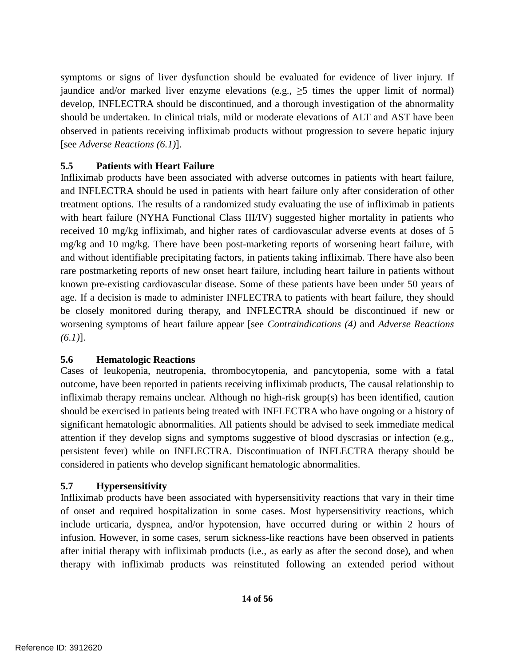develop, INFLECTRA should be discontinued, and a thorough investigation of the abnormality observed in patients receiving infliximab products without progression to severe hepatic injury symptoms or signs of liver dysfunction should be evaluated for evidence of liver injury. If jaundice and/or marked liver enzyme elevations (e.g.,  $\geq$ 5 times the upper limit of normal) should be undertaken. In clinical trials, mild or moderate elevations of ALT and AST have been [see *Adverse Reactions (6.1)*].

### **5.5 Patients with Heart Failure**

 Infliximab products have been associated with adverse outcomes in patients with heart failure, and INFLECTRA should be used in patients with heart failure only after consideration of other treatment options. The results of a randomized study evaluating the use of infliximab in patients with heart failure (NYHA Functional Class III/IV) suggested higher mortality in patients who received 10 mg/kg infliximab, and higher rates of cardiovascular adverse events at doses of 5 mg/kg and 10 mg/kg. There have been post-marketing reports of worsening heart failure, with and without identifiable precipitating factors, in patients taking infliximab. There have also been rare postmarketing reports of new onset heart failure, including heart failure in patients without known pre-existing cardiovascular disease. Some of these patients have been under 50 years of age. If a decision is made to administer INFLECTRA to patients with heart failure, they should be closely monitored during therapy, and INFLECTRA should be discontinued if new or worsening symptoms of heart failure appear [see *Contraindications (4)* and *Adverse Reactions (6.1)*].

## **5.6 Hematologic Reactions**

 should be exercised in patients being treated with INFLECTRA who have ongoing or a history of Cases of leukopenia, neutropenia, thrombocytopenia, and pancytopenia, some with a fatal outcome, have been reported in patients receiving infliximab products, The causal relationship to infliximab therapy remains unclear. Although no high-risk group(s) has been identified, caution significant hematologic abnormalities. All patients should be advised to seek immediate medical attention if they develop signs and symptoms suggestive of blood dyscrasias or infection (e.g., persistent fever) while on INFLECTRA. Discontinuation of INFLECTRA therapy should be considered in patients who develop significant hematologic abnormalities.

## **5.7 Hypersensitivity**

 after initial therapy with infliximab products (i.e., as early as after the second dose), and when Infliximab products have been associated with hypersensitivity reactions that vary in their time of onset and required hospitalization in some cases. Most hypersensitivity reactions, which include urticaria, dyspnea, and/or hypotension, have occurred during or within 2 hours of infusion. However, in some cases, serum sickness-like reactions have been observed in patients therapy with infliximab products was reinstituted following an extended period without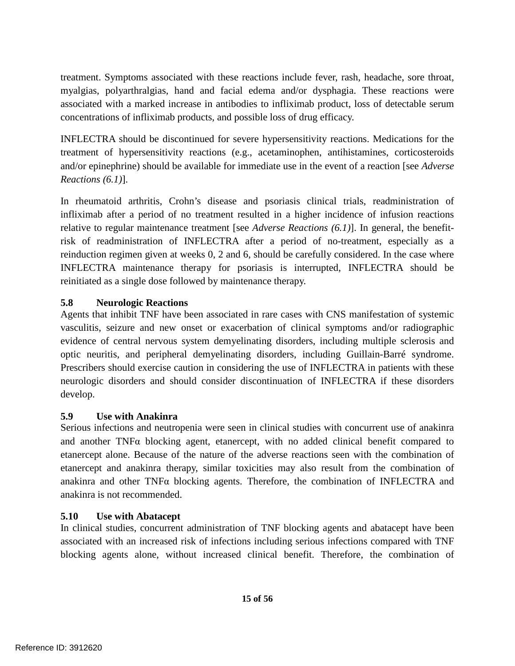concentrations of infliximab products, and possible loss of drug efficacy. treatment. Symptoms associated with these reactions include fever, rash, headache, sore throat, myalgias, polyarthralgias, hand and facial edema and/or dysphagia. These reactions were associated with a marked increase in antibodies to infliximab product, loss of detectable serum

 and/or epinephrine) should be available for immediate use in the event of a reaction [see *Adverse*  INFLECTRA should be discontinued for severe hypersensitivity reactions. Medications for the treatment of hypersensitivity reactions (e.g., acetaminophen, antihistamines, corticosteroids *Reactions (6.1)*].

 relative to regular maintenance treatment [see *Adverse Reactions (6.1)*]. In general, the benefit- risk of readministration of INFLECTRA after a period of no-treatment, especially as a In rheumatoid arthritis, Crohn's disease and psoriasis clinical trials, readministration of infliximab after a period of no treatment resulted in a higher incidence of infusion reactions reinduction regimen given at weeks 0, 2 and 6, should be carefully considered. In the case where INFLECTRA maintenance therapy for psoriasis is interrupted, INFLECTRA should be reinitiated as a single dose followed by maintenance therapy.

## **5.8 Neurologic Reactions**

 Prescribers should exercise caution in considering the use of INFLECTRA in patients with these neurologic disorders and should consider discontinuation of INFLECTRA if these disorders Agents that inhibit TNF have been associated in rare cases with CNS manifestation of systemic vasculitis, seizure and new onset or exacerbation of clinical symptoms and/or radiographic evidence of central nervous system demyelinating disorders, including multiple sclerosis and optic neuritis, and peripheral demyelinating disorders, including Guillain-Barré syndrome. develop.

## **5.9 Use with Anakinra**

Serious infections and neutropenia were seen in clinical studies with concurrent use of anakinra and another TNFα blocking agent, etanercept, with no added clinical benefit compared to etanercept alone. Because of the nature of the adverse reactions seen with the combination of etanercept and anakinra therapy, similar toxicities may also result from the combination of anakinra and other TNFα blocking agents. Therefore, the combination of INFLECTRA and anakinra is not recommended.

### **5.10 Use with Abatacept**

In clinical studies, concurrent administration of TNF blocking agents and abatacept have been associated with an increased risk of infections including serious infections compared with TNF blocking agents alone, without increased clinical benefit. Therefore, the combination of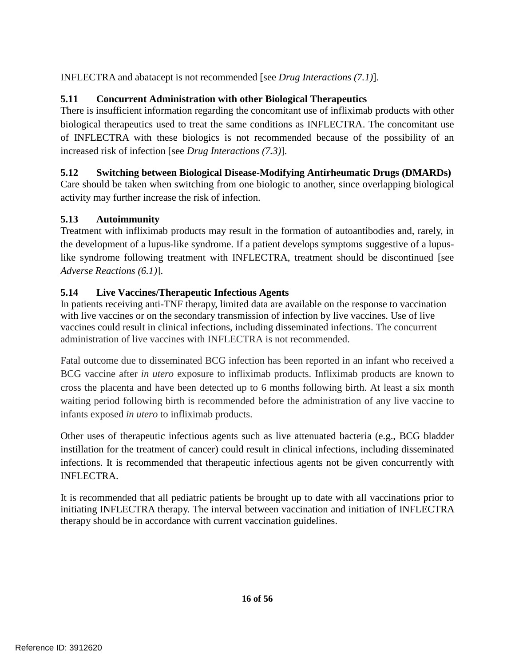INFLECTRA and abatacept is not recommended [see *Drug Interactions (7.1)*].

## **5.11 Concurrent Administration with other Biological Therapeutics**

There is insufficient information regarding the concomitant use of infliximab products with other biological therapeutics used to treat the same conditions as INFLECTRA. The concomitant use of INFLECTRA with these biologics is not recommended because of the possibility of an increased risk of infection [see *Drug Interactions (7.3)*].

## **5.12 Switching between Biological Disease-Modifying Antirheumatic Drugs (DMARDs)**

Care should be taken when switching from one biologic to another, since overlapping biological activity may further increase the risk of infection.

## **5.13 Autoimmunity**

Treatment with infliximab products may result in the formation of autoantibodies and, rarely, in the development of a lupus-like syndrome. If a patient develops symptoms suggestive of a lupuslike syndrome following treatment with INFLECTRA, treatment should be discontinued [see *Adverse Reactions (6.1)*].

## **5.14 Live Vaccines/Therapeutic Infectious Agents**

administration of live vaccines with INFLECTRA is not recommended. In patients receiving anti-TNF therapy, limited data are available on the response to vaccination with live vaccines or on the secondary transmission of infection by live vaccines. Use of live vaccines could result in clinical infections, including disseminated infections. The concurrent

 BCG vaccine after *in utero* exposure to infliximab products. Infliximab products are known to cross the placenta and have been detected up to 6 months following birth. At least a six month infants exposed *in utero* to infliximab products. Fatal outcome due to disseminated BCG infection has been reported in an infant who received a waiting period following birth is recommended before the administration of any live vaccine to

 Other uses of therapeutic infectious agents such as live attenuated bacteria (e.g., BCG bladder instillation for the treatment of cancer) could result in clinical infections, including disseminated infections. It is recommended that therapeutic infectious agents not be given concurrently with INFLECTRA.

It is recommended that all pediatric patients be brought up to date with all vaccinations prior to initiating INFLECTRA therapy. The interval between vaccination and initiation of INFLECTRA therapy should be in accordance with current vaccination guidelines.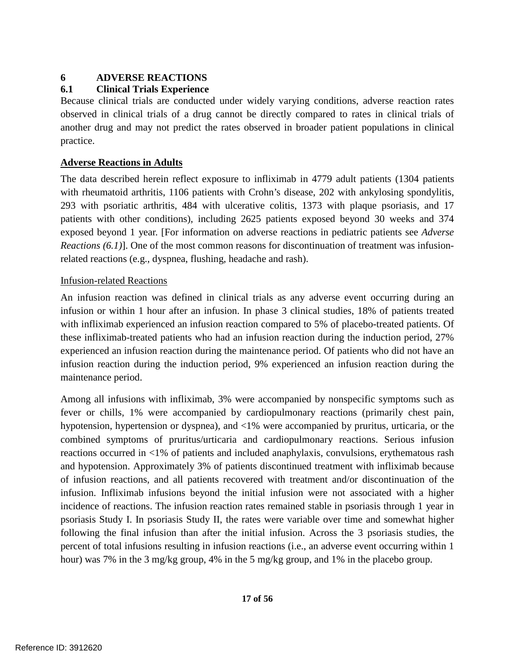### **6 ADVERSE REACTIONS**

## **6.1 Clinical Trials Experience**

Because clinical trials are conducted under widely varying conditions, adverse reaction rates observed in clinical trials of a drug cannot be directly compared to rates in clinical trials of another drug and may not predict the rates observed in broader patient populations in clinical practice.

## **Adverse Reactions in Adults**

 exposed beyond 1 year. [For information on adverse reactions in pediatric patients see *Adverse*  The data described herein reflect exposure to infliximab in 4779 adult patients (1304 patients with rheumatoid arthritis, 1106 patients with Crohn's disease, 202 with ankylosing spondylitis, 293 with psoriatic arthritis, 484 with ulcerative colitis, 1373 with plaque psoriasis, and 17 patients with other conditions), including 2625 patients exposed beyond 30 weeks and 374 *Reactions (6.1)*]. One of the most common reasons for discontinuation of treatment was infusionrelated reactions (e.g., dyspnea, flushing, headache and rash).

### Infusion-related Reactions

An infusion reaction was defined in clinical trials as any adverse event occurring during an infusion or within 1 hour after an infusion. In phase 3 clinical studies, 18% of patients treated with infliximab experienced an infusion reaction compared to 5% of placebo-treated patients. Of these infliximab-treated patients who had an infusion reaction during the induction period, 27% experienced an infusion reaction during the maintenance period. Of patients who did not have an infusion reaction during the induction period, 9% experienced an infusion reaction during the maintenance period.

 psoriasis Study I. In psoriasis Study II, the rates were variable over time and somewhat higher percent of total infusions resulting in infusion reactions (i.e., an adverse event occurring within 1 Among all infusions with infliximab, 3% were accompanied by nonspecific symptoms such as fever or chills, 1% were accompanied by cardiopulmonary reactions (primarily chest pain, hypotension, hypertension or dyspnea), and <1% were accompanied by pruritus, urticaria, or the combined symptoms of pruritus/urticaria and cardiopulmonary reactions. Serious infusion reactions occurred in <1% of patients and included anaphylaxis, convulsions, erythematous rash and hypotension. Approximately 3% of patients discontinued treatment with infliximab because of infusion reactions, and all patients recovered with treatment and/or discontinuation of the infusion. Infliximab infusions beyond the initial infusion were not associated with a higher incidence of reactions. The infusion reaction rates remained stable in psoriasis through 1 year in following the final infusion than after the initial infusion. Across the 3 psoriasis studies, the hour) was 7% in the 3 mg/kg group, 4% in the 5 mg/kg group, and 1% in the placebo group.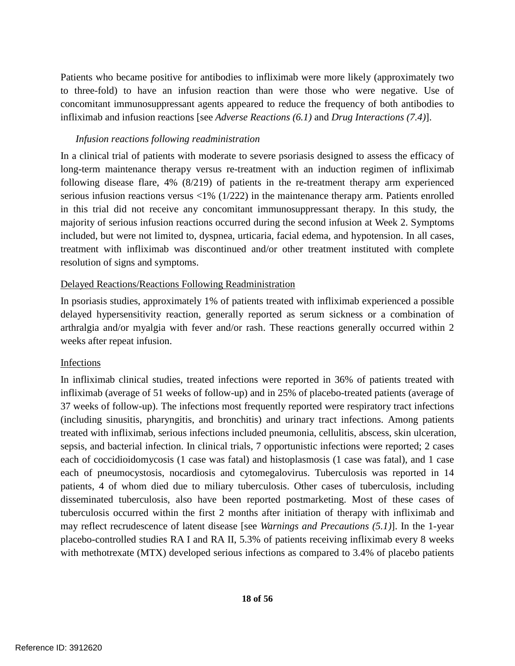Patients who became positive for antibodies to infliximab were more likely (approximately two to three-fold) to have an infusion reaction than were those who were negative. Use of concomitant immunosuppressant agents appeared to reduce the frequency of both antibodies to infliximab and infusion reactions [see *Adverse Reactions (6.1)* and *Drug Interactions (7.4)*].

## *Infusion reactions following readministration*

 in this trial did not receive any concomitant immunosuppressant therapy. In this study, the In a clinical trial of patients with moderate to severe psoriasis designed to assess the efficacy of long-term maintenance therapy versus re-treatment with an induction regimen of infliximab following disease flare, 4% (8/219) of patients in the re-treatment therapy arm experienced serious infusion reactions versus  $\langle 1\% (1/222)$  in the maintenance therapy arm. Patients enrolled majority of serious infusion reactions occurred during the second infusion at Week 2. Symptoms included, but were not limited to, dyspnea, urticaria, facial edema, and hypotension. In all cases, treatment with infliximab was discontinued and/or other treatment instituted with complete resolution of signs and symptoms.

## Delayed Reactions/Reactions Following Readministration

In psoriasis studies, approximately 1% of patients treated with infliximab experienced a possible delayed hypersensitivity reaction, generally reported as serum sickness or a combination of arthralgia and/or myalgia with fever and/or rash. These reactions generally occurred within 2 weeks after repeat infusion.

### Infections

 (including sinusitis, pharyngitis, and bronchitis) and urinary tract infections. Among patients sepsis, and bacterial infection. In clinical trials, 7 opportunistic infections were reported; 2 cases placebo-controlled studies RA I and RA II, 5.3% of patients receiving infliximab every 8 weeks In infliximab clinical studies, treated infections were reported in 36% of patients treated with infliximab (average of 51 weeks of follow-up) and in 25% of placebo-treated patients (average of 37 weeks of follow-up). The infections most frequently reported were respiratory tract infections treated with infliximab, serious infections included pneumonia, cellulitis, abscess, skin ulceration, each of coccidioidomycosis (1 case was fatal) and histoplasmosis (1 case was fatal), and 1 case each of pneumocystosis, nocardiosis and cytomegalovirus. Tuberculosis was reported in 14 patients, 4 of whom died due to miliary tuberculosis. Other cases of tuberculosis, including disseminated tuberculosis, also have been reported postmarketing. Most of these cases of tuberculosis occurred within the first 2 months after initiation of therapy with infliximab and may reflect recrudescence of latent disease [see *Warnings and Precautions (5.1)*]. In the 1-year with methotrexate (MTX) developed serious infections as compared to 3.4% of placebo patients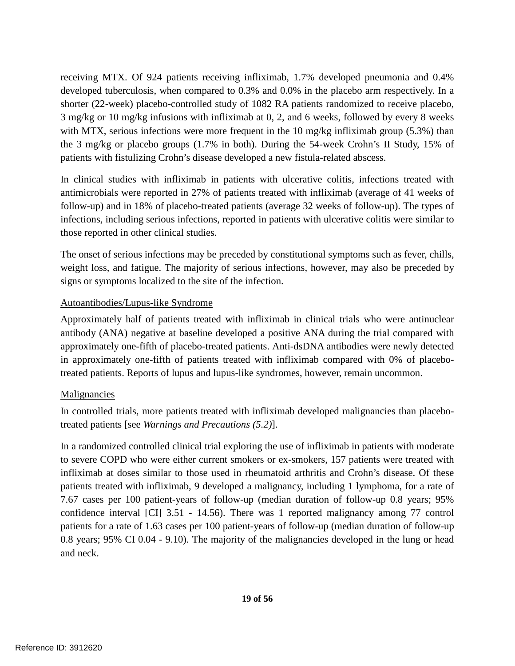the 3 mg/kg or placebo groups (1.7% in both). During the 54-week Crohn's II Study, 15% of receiving MTX. Of 924 patients receiving infliximab, 1.7% developed pneumonia and 0.4% developed tuberculosis, when compared to 0.3% and 0.0% in the placebo arm respectively. In a shorter (22-week) placebo-controlled study of 1082 RA patients randomized to receive placebo, 3 mg/kg or 10 mg/kg infusions with infliximab at 0, 2, and 6 weeks, followed by every 8 weeks with MTX, serious infections were more frequent in the 10 mg/kg infliximab group (5.3%) than patients with fistulizing Crohn's disease developed a new fistula-related abscess.

 In clinical studies with infliximab in patients with ulcerative colitis, infections treated with antimicrobials were reported in 27% of patients treated with infliximab (average of 41 weeks of follow-up) and in 18% of placebo-treated patients (average 32 weeks of follow-up). The types of infections, including serious infections, reported in patients with ulcerative colitis were similar to those reported in other clinical studies.

The onset of serious infections may be preceded by constitutional symptoms such as fever, chills, weight loss, and fatigue. The majority of serious infections, however, may also be preceded by signs or symptoms localized to the site of the infection.

## Autoantibodies/Lupus-like Syndrome

Approximately half of patients treated with infliximab in clinical trials who were antinuclear antibody (ANA) negative at baseline developed a positive ANA during the trial compared with approximately one-fifth of placebo-treated patients. Anti-dsDNA antibodies were newly detected in approximately one-fifth of patients treated with infliximab compared with 0% of placebotreated patients. Reports of lupus and lupus-like syndromes, however, remain uncommon.

### **Malignancies**

In controlled trials, more patients treated with infliximab developed malignancies than placebotreated patients [see *Warnings and Precautions (5.2)*].

 In a randomized controlled clinical trial exploring the use of infliximab in patients with moderate confidence interval [CI] 3.51 - 14.56). There was 1 reported malignancy among 77 control to severe COPD who were either current smokers or ex-smokers, 157 patients were treated with infliximab at doses similar to those used in rheumatoid arthritis and Crohn's disease. Of these patients treated with infliximab, 9 developed a malignancy, including 1 lymphoma, for a rate of 7.67 cases per 100 patient-years of follow-up (median duration of follow-up 0.8 years; 95% patients for a rate of 1.63 cases per 100 patient-years of follow-up (median duration of follow-up 0.8 years; 95% CI 0.04 - 9.10). The majority of the malignancies developed in the lung or head and neck.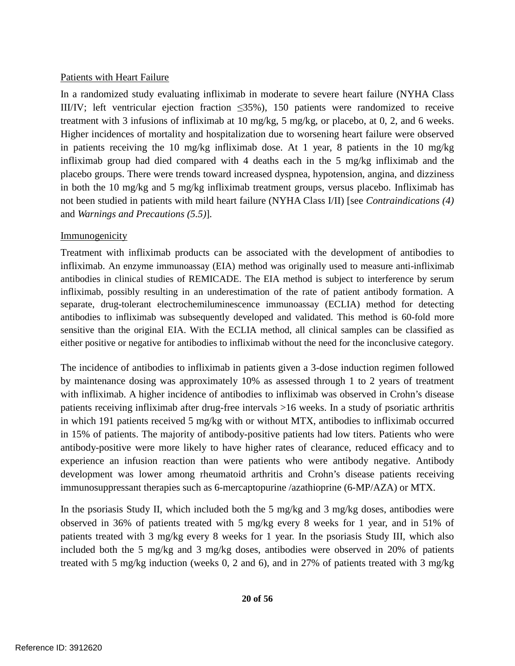#### Patients with Heart Failure

 not been studied in patients with mild heart failure (NYHA Class I/II) [see *Contraindications (4)*  In a randomized study evaluating infliximab in moderate to severe heart failure (NYHA Class III/IV; left ventricular ejection fraction  $\leq 35\%$ ), 150 patients were randomized to receive treatment with 3 infusions of infliximab at 10 mg/kg, 5 mg/kg, or placebo, at 0, 2, and 6 weeks. Higher incidences of mortality and hospitalization due to worsening heart failure were observed in patients receiving the 10 mg/kg infliximab dose. At 1 year, 8 patients in the 10 mg/kg infliximab group had died compared with 4 deaths each in the 5 mg/kg infliximab and the placebo groups. There were trends toward increased dyspnea, hypotension, angina, and dizziness in both the 10 mg/kg and 5 mg/kg infliximab treatment groups, versus placebo. Infliximab has and *Warnings and Precautions (5.5)*]*.* 

#### Immunogenicity

 Treatment with infliximab products can be associated with the development of antibodies to antibodies in clinical studies of REMICADE. The EIA method is subject to interference by serum infliximab, possibly resulting in an underestimation of the rate of patient antibody formation. A sensitive than the original EIA. With the ECLIA method, all clinical samples can be classified as infliximab. An enzyme immunoassay (EIA) method was originally used to measure anti-infliximab separate, drug-tolerant electrochemiluminescence immunoassay (ECLIA) method for detecting antibodies to infliximab was subsequently developed and validated. This method is 60-fold more either positive or negative for antibodies to infliximab without the need for the inconclusive category.

 by maintenance dosing was approximately 10% as assessed through 1 to 2 years of treatment in 15% of patients. The majority of antibody-positive patients had low titers. Patients who were immunosuppressant therapies such as 6-mercaptopurine /azathioprine (6-MP/AZA) or MTX. The incidence of antibodies to infliximab in patients given a 3-dose induction regimen followed with infliximab. A higher incidence of antibodies to infliximab was observed in Crohn's disease patients receiving infliximab after drug-free intervals >16 weeks. In a study of psoriatic arthritis in which 191 patients received 5 mg/kg with or without MTX, antibodies to infliximab occurred antibody-positive were more likely to have higher rates of clearance, reduced efficacy and to experience an infusion reaction than were patients who were antibody negative. Antibody development was lower among rheumatoid arthritis and Crohn's disease patients receiving

 observed in 36% of patients treated with 5 mg/kg every 8 weeks for 1 year, and in 51% of patients treated with 3 mg/kg every 8 weeks for 1 year. In the psoriasis Study III, which also In the psoriasis Study II, which included both the 5 mg/kg and 3 mg/kg doses, antibodies were included both the 5 mg/kg and 3 mg/kg doses, antibodies were observed in 20% of patients treated with 5 mg/kg induction (weeks 0, 2 and 6), and in 27% of patients treated with 3 mg/kg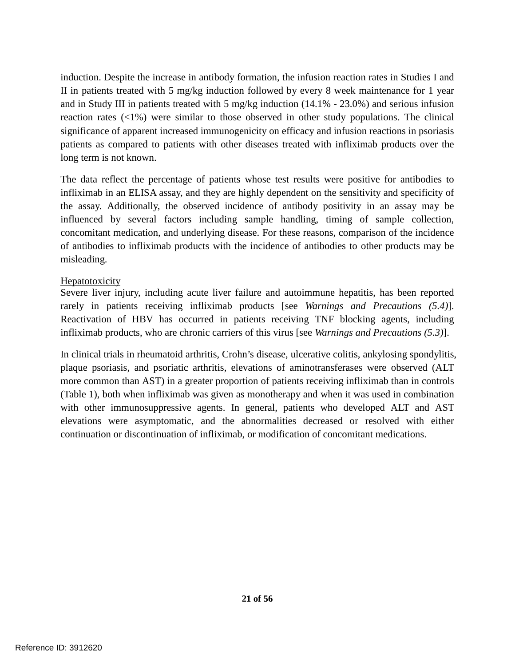induction. Despite the increase in antibody formation, the infusion reaction rates in Studies I and and in Study III in patients treated with 5 mg/kg induction (14.1% - 23.0%) and serious infusion patients as compared to patients with other diseases treated with infliximab products over the II in patients treated with 5 mg/kg induction followed by every 8 week maintenance for 1 year reaction rates (<1%) were similar to those observed in other study populations. The clinical significance of apparent increased immunogenicity on efficacy and infusion reactions in psoriasis long term is not known.

 of antibodies to infliximab products with the incidence of antibodies to other products may be The data reflect the percentage of patients whose test results were positive for antibodies to infliximab in an ELISA assay, and they are highly dependent on the sensitivity and specificity of the assay. Additionally, the observed incidence of antibody positivity in an assay may be influenced by several factors including sample handling, timing of sample collection, concomitant medication, and underlying disease. For these reasons, comparison of the incidence misleading.

#### **Hepatotoxicity**

 rarely in patients receiving infliximab products [see *Warnings and Precautions (5.4)*]. Reactivation of HBV has occurred in patients receiving TNF blocking agents, including Severe liver injury, including acute liver failure and autoimmune hepatitis, has been reported infliximab products, who are chronic carriers of this virus [see *Warnings and Precautions (5.3)*].

In clinical trials in rheumatoid arthritis, Crohn's disease, ulcerative colitis, ankylosing spondylitis, plaque psoriasis, and psoriatic arthritis, elevations of aminotransferases were observed (ALT more common than AST) in a greater proportion of patients receiving infliximab than in controls [\(Table 1\)](#page-21-0), both when infliximab was given as monotherapy and when it was used in combination with other immunosuppressive agents. In general, patients who developed ALT and AST elevations were asymptomatic, and the abnormalities decreased or resolved with either continuation or discontinuation of infliximab, or modification of concomitant medications.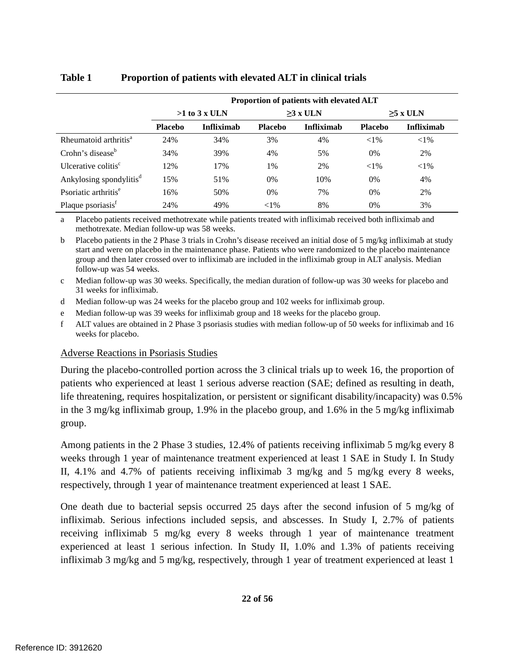|                                     | Proportion of patients with elevated ALT |                   |                |                   |                |                   |  |  |
|-------------------------------------|------------------------------------------|-------------------|----------------|-------------------|----------------|-------------------|--|--|
|                                     | $>1$ to 3 x ULN                          |                   |                | $\geq$ 3 x ULN    | $\geq$ 5 x ULN |                   |  |  |
|                                     | <b>Placebo</b>                           | <b>Infliximab</b> | <b>Placebo</b> | <b>Infliximab</b> | <b>Placebo</b> | <b>Infliximab</b> |  |  |
| Rheumatoid arthritis <sup>a</sup>   | 24%                                      | 34%               | 3%             | 4%                | ${<}1\%$       | ${<}1\%$          |  |  |
| Crohn's disease <sup>b</sup>        | 34%                                      | 39%               | 4%             | 5%                | 0%             | 2%                |  |  |
| Ulcerative colitis <sup>c</sup>     | 12%                                      | 17%               | 1%             | 2%                | ${<}1\%$       | ${<}1\%$          |  |  |
| Ankylosing spondylitis <sup>d</sup> | 15%                                      | 51%               | 0%             | 10%               | 0%             | 4%                |  |  |
| Psoriatic arthritis <sup>e</sup>    | 16%                                      | 50%               | 0%             | 7%                | 0%             | 2%                |  |  |
| Plaque psoriasis <sup>f</sup>       | 24%                                      | 49%               | ${<}1\%$       | 8%                | 0%             | 3%                |  |  |

#### <span id="page-21-0"></span>**Table 1** Proportion of patients with elevated **ALT** in clinical trials

a Placebo patients received methotrexate while patients treated with infliximab received both infliximab and methotrexate. Median follow-up was 58 weeks.

 start and were on placebo in the maintenance phase. Patients who were randomized to the placebo maintenance b Placebo patients in the 2 Phase 3 trials in Crohn's disease received an initial dose of 5 mg/kg infliximab at study group and then later crossed over to infliximab are included in the infliximab group in ALT analysis. Median follow-up was 54 weeks.

c Median follow-up was 30 weeks. Specifically, the median duration of follow-up was 30 weeks for placebo and 31 weeks for infliximab.

d Median follow-up was 24 weeks for the placebo group and 102 weeks for infliximab group.

e Median follow-up was 39 weeks for infliximab group and 18 weeks for the placebo group.

 f ALT values are obtained in 2 Phase 3 psoriasis studies with median follow-up of 50 weeks for infliximab and 16 weeks for placebo.

#### Adverse Reactions in Psoriasis Studies

 life threatening, requires hospitalization, or persistent or significant disability/incapacity) was 0.5% During the placebo-controlled portion across the 3 clinical trials up to week 16, the proportion of patients who experienced at least 1 serious adverse reaction (SAE; defined as resulting in death, in the 3 mg/kg infliximab group, 1.9% in the placebo group, and 1.6% in the 5 mg/kg infliximab group.

Among patients in the 2 Phase 3 studies, 12.4% of patients receiving infliximab 5 mg/kg every 8 weeks through 1 year of maintenance treatment experienced at least 1 SAE in Study I. In Study II, 4.1% and 4.7% of patients receiving infliximab 3 mg/kg and 5 mg/kg every 8 weeks, respectively, through 1 year of maintenance treatment experienced at least 1 SAE.

 One death due to bacterial sepsis occurred 25 days after the second infusion of 5 mg/kg of receiving infliximab 5 mg/kg every 8 weeks through 1 year of maintenance treatment infliximab. Serious infections included sepsis, and abscesses. In Study I, 2.7% of patients experienced at least 1 serious infection. In Study II, 1.0% and 1.3% of patients receiving infliximab 3 mg/kg and 5 mg/kg, respectively, through 1 year of treatment experienced at least 1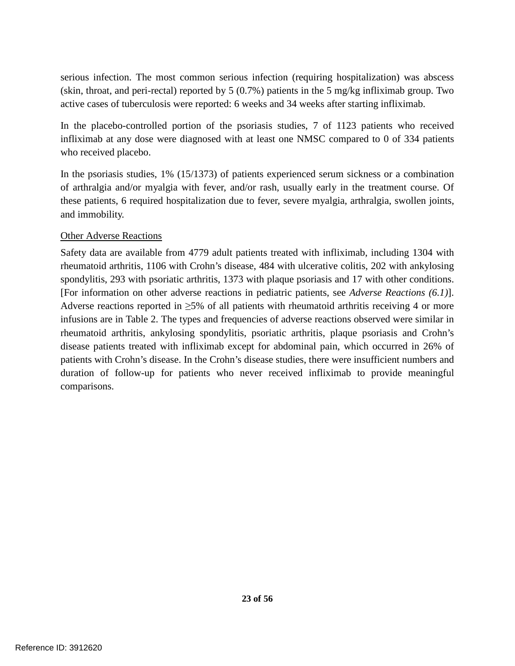(skin, throat, and peri-rectal) reported by 5 (0.7%) patients in the 5 mg/kg infliximab group. Two active cases of tuberculosis were reported: 6 weeks and 34 weeks after starting infliximab. serious infection. The most common serious infection (requiring hospitalization) was abscess

In the placebo-controlled portion of the psoriasis studies, 7 of 1123 patients who received infliximab at any dose were diagnosed with at least one NMSC compared to 0 of 334 patients who received placebo.

In the psoriasis studies, 1% (15/1373) of patients experienced serum sickness or a combination of arthralgia and/or myalgia with fever, and/or rash, usually early in the treatment course. Of these patients, 6 required hospitalization due to fever, severe myalgia, arthralgia, swollen joints, and immobility.

### Other Adverse Reactions

Safety data are available from 4779 adult patients treated with infliximab, including 1304 with rheumatoid arthritis, 1106 with Crohn's disease, 484 with ulcerative colitis, 202 with ankylosing spondylitis, 293 with psoriatic arthritis, 1373 with plaque psoriasis and 17 with other conditions. [For information on other adverse reactions in pediatric patients, see *Adverse Reactions (6.1)*]. Adverse reactions reported in  $\geq 5\%$  of all patients with rheumatoid arthritis receiving 4 or more infusions are in Table 2. The types and frequencies of adverse reactions observed were similar in rheumatoid arthritis, ankylosing spondylitis, psoriatic arthritis, plaque psoriasis and Crohn's disease patients treated with infliximab except for abdominal pain, which occurred in 26% of patients with Crohn's disease. In the Crohn's disease studies, there were insufficient numbers and duration of follow-up for patients who never received infliximab to provide meaningful comparisons.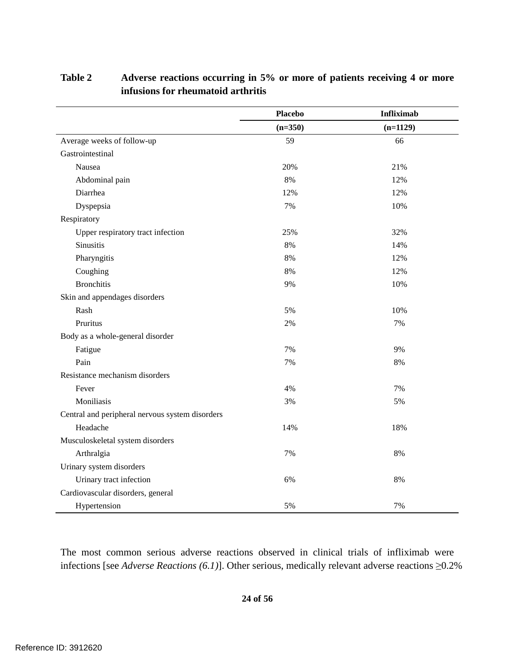|                                                 | <b>Placebo</b> | <b>Infliximab</b> |
|-------------------------------------------------|----------------|-------------------|
|                                                 | $(n=350)$      | $(n=1129)$        |
| Average weeks of follow-up                      | 59             | 66                |
| Gastrointestinal                                |                |                   |
| Nausea                                          | 20%            | 21%               |
| Abdominal pain                                  | 8%             | 12%               |
| Diarrhea                                        | 12%            | 12%               |
| Dyspepsia                                       | 7%             | 10%               |
| Respiratory                                     |                |                   |
| Upper respiratory tract infection               | 25%            | 32%               |
| <b>Sinusitis</b>                                | 8%             | 14%               |
| Pharyngitis                                     | $8\%$          | 12%               |
| Coughing                                        | 8%             | 12%               |
| <b>Bronchitis</b>                               | 9%             | 10%               |
| Skin and appendages disorders                   |                |                   |
| Rash                                            | 5%             | 10%               |
| Pruritus                                        | 2%             | 7%                |
| Body as a whole-general disorder                |                |                   |
| Fatigue                                         | 7%             | 9%                |
| Pain                                            | 7%             | 8%                |
| Resistance mechanism disorders                  |                |                   |
| Fever                                           | 4%             | 7%                |
| Moniliasis                                      | 3%             | 5%                |
| Central and peripheral nervous system disorders |                |                   |
| Headache                                        | 14%            | 18%               |
| Musculoskeletal system disorders                |                |                   |
| Arthralgia                                      | 7%             | 8%                |
| Urinary system disorders                        |                |                   |
| Urinary tract infection                         | 6%             | $8\%$             |
| Cardiovascular disorders, general               |                |                   |
| Hypertension                                    | 5%             | 7%                |

#### Table 2 Adverse reactions occurring in 5% or more of patients receiving 4 or more **infusions for rheumatoid arthritis**

 infections [see *Adverse Reactions (6.1)*]. Other serious, medically relevant adverse reactions ≥0.2% The most common serious adverse reactions observed in clinical trials of infliximab were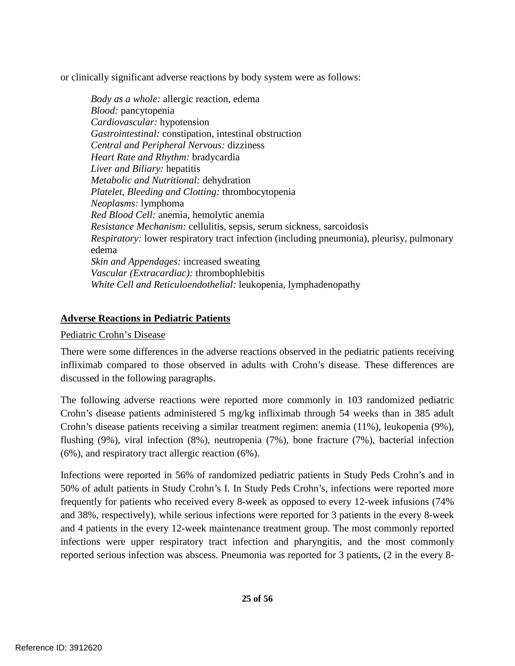or clinically significant adverse reactions by body system were as follows:

*Body as a whole:* allergic reaction, edema *Blood:* pancytopenia *Cardiovascular:* hypotension *Gastrointestinal:* constipation, intestinal obstruction *Central and Peripheral Nervous:* dizziness *Heart Rate and Rhythm:* bradycardia *Liver and Biliary:* hepatitis *Metabolic and Nutritional:* dehydration *Platelet, Bleeding and Clotting:* thrombocytopenia *Neoplasms:* lymphoma *Red Blood Cell:* anemia, hemolytic anemia *Resistance Mechanism:* cellulitis, sepsis, serum sickness, sarcoidosis *Respiratory:* lower respiratory tract infection (including pneumonia), pleurisy, pulmonary edema *Skin and Appendages:* increased sweating *Vascular (Extracardiac):* thrombophlebitis *White Cell and Reticuloendothelial:* leukopenia, lymphadenopathy

## **Adverse Reactions in Pediatric Patients**

#### Pediatric Crohn's Disease

There were some differences in the adverse reactions observed in the pediatric patients receiving infliximab compared to those observed in adults with Crohn's disease. These differences are discussed in the following paragraphs.

 Crohn's disease patients receiving a similar treatment regimen: anemia (11%), leukopenia (9%), The following adverse reactions were reported more commonly in 103 randomized pediatric Crohn's disease patients administered 5 mg/kg infliximab through 54 weeks than in 385 adult flushing (9%), viral infection (8%), neutropenia (7%), bone fracture (7%), bacterial infection (6%), and respiratory tract allergic reaction (6%).

 and 38%, respectively), while serious infections were reported for 3 patients in the every 8-week Infections were reported in 56% of randomized pediatric patients in Study Peds Crohn's and in 50% of adult patients in Study Crohn's I. In Study Peds Crohn's, infections were reported more frequently for patients who received every 8-week as opposed to every 12-week infusions (74% and 4 patients in the every 12-week maintenance treatment group. The most commonly reported infections were upper respiratory tract infection and pharyngitis, and the most commonly reported serious infection was abscess. Pneumonia was reported for 3 patients, (2 in the every 8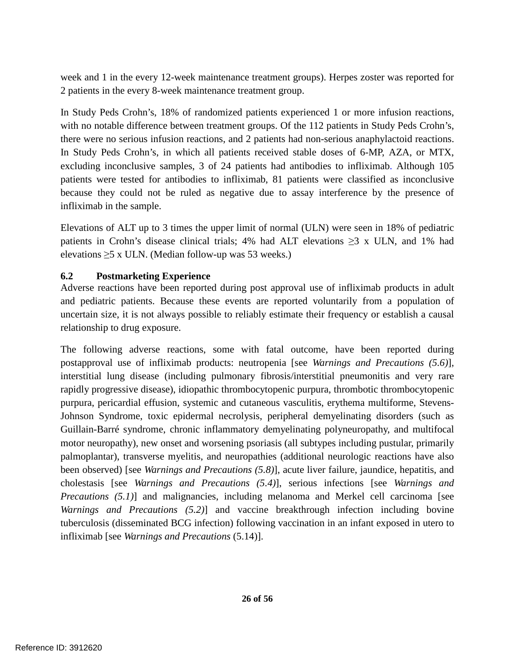week and 1 in the every 12-week maintenance treatment groups). Herpes zoster was reported for 2 patients in the every 8-week maintenance treatment group.

In Study Peds Crohn's, 18% of randomized patients experienced 1 or more infusion reactions, with no notable difference between treatment groups. Of the 112 patients in Study Peds Crohn's, there were no serious infusion reactions, and 2 patients had non-serious anaphylactoid reactions. In Study Peds Crohn's, in which all patients received stable doses of 6-MP, AZA, or MTX, excluding inconclusive samples, 3 of 24 patients had antibodies to infliximab. Although 105 patients were tested for antibodies to infliximab, 81 patients were classified as inconclusive because they could not be ruled as negative due to assay interference by the presence of infliximab in the sample.

patients in Crohn's disease clinical trials; 4% had ALT elevations  $\geq$ 3 x ULN, and 1% had Elevations of ALT up to 3 times the upper limit of normal (ULN) were seen in 18% of pediatric elevations  $\geq$ 5 x ULN. (Median follow-up was 53 weeks.)

### **6.2 Postmarketing Experience**

 uncertain size, it is not always possible to reliably estimate their frequency or establish a causal relationship to drug exposure. Adverse reactions have been reported during post approval use of infliximab products in adult and pediatric patients. Because these events are reported voluntarily from a population of

 interstitial lung disease (including pulmonary fibrosis/interstitial pneumonitis and very rare Johnson Syndrome, toxic epidermal necrolysis, peripheral demyelinating disorders (such as infliximab [see *Warnings and Precautions* (5.14)]. The following adverse reactions, some with fatal outcome, have been reported during postapproval use of infliximab products: neutropenia [see *Warnings and Precautions (5.6)*], rapidly progressive disease), idiopathic thrombocytopenic purpura, thrombotic thrombocytopenic purpura, pericardial effusion, systemic and cutaneous vasculitis, erythema multiforme, Stevens-Guillain-Barré syndrome, chronic inflammatory demyelinating polyneuropathy, and multifocal motor neuropathy), new onset and worsening psoriasis (all subtypes including pustular, primarily palmoplantar), transverse myelitis, and neuropathies (additional neurologic reactions have also been observed) [see *Warnings and Precautions (5.8)*], acute liver failure, jaundice, hepatitis, and cholestasis [see *Warnings and Precautions (5.4)*], serious infections [see *Warnings and Precautions (5.1)*] and malignancies, including melanoma and Merkel cell carcinoma [see *Warnings and Precautions (5.2)*] and vaccine breakthrough infection including bovine tuberculosis (disseminated BCG infection) following vaccination in an infant exposed in utero to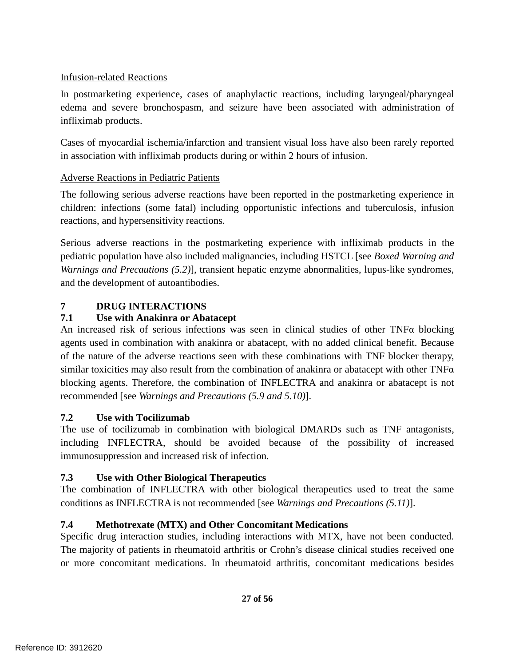## Infusion-related Reactions

 infliximab products. In postmarketing experience, cases of anaphylactic reactions, including laryngeal/pharyngeal edema and severe bronchospasm, and seizure have been associated with administration of

 in association with infliximab products during or within 2 hours of infusion. Cases of myocardial ischemia/infarction and transient visual loss have also been rarely reported

## Adverse Reactions in Pediatric Patients

The following serious adverse reactions have been reported in the postmarketing experience in children: infections (some fatal) including opportunistic infections and tuberculosis, infusion reactions, and hypersensitivity reactions.

Serious adverse reactions in the postmarketing experience with infliximab products in the pediatric population have also included malignancies, including HSTCL [see *Boxed Warning and Warnings and Precautions (5.2)*], transient hepatic enzyme abnormalities, lupus-like syndromes, and the development of autoantibodies.

## **7 DRUG INTERACTIONS**

## **7.1 Use with Anakinra or Abatacept**

An increased risk of serious infections was seen in clinical studies of other TNFα blocking agents used in combination with anakinra or abatacept, with no added clinical benefit. Because of the nature of the adverse reactions seen with these combinations with TNF blocker therapy, similar toxicities may also result from the combination of anakinra or abatacept with other  $TNF\alpha$ blocking agents. Therefore, the combination of INFLECTRA and anakinra or abatacept is not recommended [see *Warnings and Precautions (5.9 and 5.10)*].

## **7.2 Use with Tocilizumab**

The use of tocilizumab in combination with biological DMARDs such as TNF antagonists, including INFLECTRA, should be avoided because of the possibility of increased immunosuppression and increased risk of infection.

## **7.3 Use with Other Biological Therapeutics**

The combination of INFLECTRA with other biological therapeutics used to treat the same conditions as INFLECTRA is not recommended [see *Warnings and Precautions (5.11)*].

## **7.4 Methotrexate (MTX) and Other Concomitant Medications**

Specific drug interaction studies, including interactions with MTX, have not been conducted. The majority of patients in rheumatoid arthritis or Crohn's disease clinical studies received one or more concomitant medications. In rheumatoid arthritis, concomitant medications besides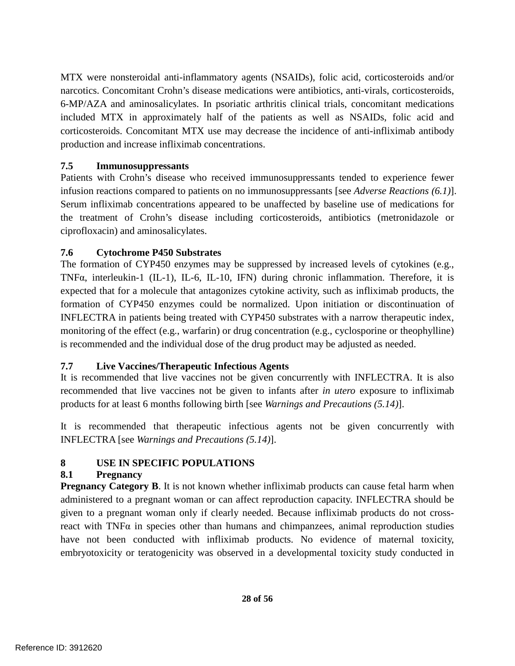MTX were nonsteroidal anti-inflammatory agents (NSAIDs), folic acid, corticosteroids and/or 6-MP/AZA and aminosalicylates. In psoriatic arthritis clinical trials, concomitant medications narcotics. Concomitant Crohn's disease medications were antibiotics, anti-virals, corticosteroids, included MTX in approximately half of the patients as well as NSAIDs, folic acid and corticosteroids. Concomitant MTX use may decrease the incidence of anti-infliximab antibody production and increase infliximab concentrations.

### **7.5 Immunosuppressants**

Patients with Crohn's disease who received immunosuppressants tended to experience fewer infusion reactions compared to patients on no immunosuppressants [see *Adverse Reactions (6.1)*]. Serum infliximab concentrations appeared to be unaffected by baseline use of medications for the treatment of Crohn's disease including corticosteroids, antibiotics (metronidazole or ciprofloxacin) and aminosalicylates.

#### **7.6 Cytochrome P450 Substrates**

 TNFα, interleukin-1 (IL-1), IL-6, IL-10, IFN) during chronic inflammation. Therefore, it is The formation of CYP450 enzymes may be suppressed by increased levels of cytokines (e.g., expected that for a molecule that antagonizes cytokine activity, such as infliximab products, the formation of CYP450 enzymes could be normalized. Upon initiation or discontinuation of INFLECTRA in patients being treated with CYP450 substrates with a narrow therapeutic index, monitoring of the effect (e.g., warfarin) or drug concentration (e.g., cyclosporine or theophylline) is recommended and the individual dose of the drug product may be adjusted as needed.

### **7.7 Live Vaccines/Therapeutic Infectious Agents**

It is recommended that live vaccines not be given concurrently with INFLECTRA. It is also recommended that live vaccines not be given to infants after *in utero* exposure to infliximab products for at least 6 months following birth [see *Warnings and Precautions (5.14)*].

 It is recommended that therapeutic infectious agents not be given concurrently with INFLECTRA [see *Warnings and Precautions (5.14)*].

### **8 USE IN SPECIFIC POPULATIONS**

### **8.1 Pregnancy**

**Pregnancy Category B.** It is not known whether infliximab products can cause fetal harm when administered to a pregnant woman or can affect reproduction capacity. INFLECTRA should be given to a pregnant woman only if clearly needed. Because infliximab products do not crossreact with  $TNF\alpha$  in species other than humans and chimpanzees, animal reproduction studies have not been conducted with infliximab products. No evidence of maternal toxicity, embryotoxicity or teratogenicity was observed in a developmental toxicity study conducted in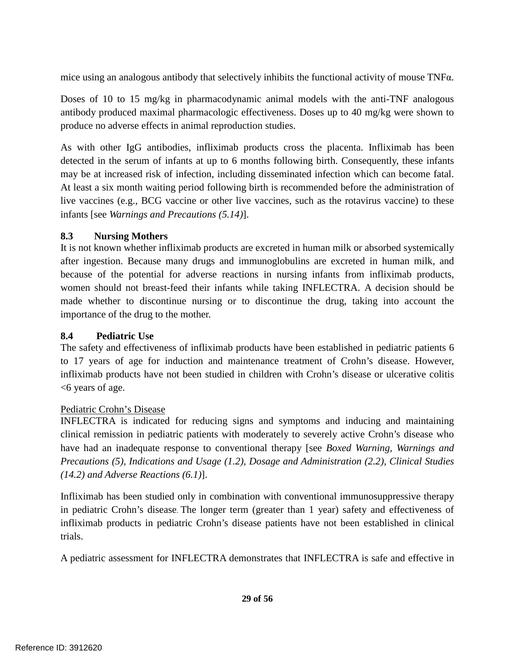mice using an analogous antibody that selectively inhibits the functional activity of mouse TNFα.

Doses of 10 to 15 mg/kg in pharmacodynamic animal models with the anti-TNF analogous antibody produced maximal pharmacologic effectiveness. Doses up to 40 mg/kg were shown to produce no adverse effects in animal reproduction studies.

 detected in the serum of infants at up to 6 months following birth. Consequently, these infants As with other IgG antibodies, infliximab products cross the placenta. Infliximab has been may be at increased risk of infection, including disseminated infection which can become fatal. At least a six month waiting period following birth is recommended before the administration of live vaccines (e.g., BCG vaccine or other live vaccines, such as the rotavirus vaccine) to these infants [see *Warnings and Precautions (5.14)*].

### **8.3 Nursing Mothers**

It is not known whether infliximab products are excreted in human milk or absorbed systemically after ingestion. Because many drugs and immunoglobulins are excreted in human milk, and because of the potential for adverse reactions in nursing infants from infliximab products, women should not breast-feed their infants while taking INFLECTRA. A decision should be made whether to discontinue nursing or to discontinue the drug, taking into account the importance of the drug to the mother.

## **8.4 Pediatric Use**

The safety and effectiveness of infliximab products have been established in pediatric patients 6 to 17 years of age for induction and maintenance treatment of Crohn's disease. However, infliximab products have not been studied in children with Crohn's disease or ulcerative colitis <6 years of age.

### Pediatric Crohn's Disease

 clinical remission in pediatric patients with moderately to severely active Crohn's disease who INFLECTRA is indicated for reducing signs and symptoms and inducing and maintaining have had an inadequate response to conventional therapy [see *Boxed Warning, Warnings and Precautions (5), Indications and Usage (1.2), Dosage and Administration (2.2), Clinical Studies (14.2) and Adverse Reactions (6.1)*].

Infliximab has been studied only in combination with conventional immunosuppressive therapy in pediatric Crohn's disease. The longer term (greater than 1 year) safety and effectiveness of infliximab products in pediatric Crohn's disease patients have not been established in clinical trials.

A pediatric assessment for INFLECTRA demonstrates that INFLECTRA is safe and effective in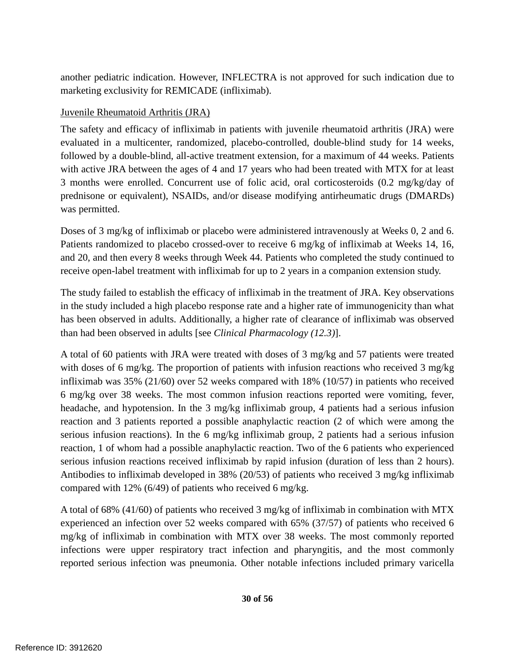another pediatric indication. However, INFLECTRA is not approved for such indication due to marketing exclusivity for REMICADE (infliximab).

## Juvenile Rheumatoid Arthritis (JRA)

 with active JRA between the ages of 4 and 17 years who had been treated with MTX for at least The safety and efficacy of infliximab in patients with juvenile rheumatoid arthritis (JRA) were evaluated in a multicenter, randomized, placebo-controlled, double-blind study for 14 weeks, followed by a double-blind, all-active treatment extension, for a maximum of 44 weeks. Patients 3 months were enrolled. Concurrent use of folic acid, oral corticosteroids (0.2 mg/kg/day of prednisone or equivalent), NSAIDs, and/or disease modifying antirheumatic drugs (DMARDs) was permitted.

 receive open-label treatment with infliximab for up to 2 years in a companion extension study. Doses of 3 mg/kg of infliximab or placebo were administered intravenously at Weeks 0, 2 and 6. Patients randomized to placebo crossed-over to receive 6 mg/kg of infliximab at Weeks 14, 16, and 20, and then every 8 weeks through Week 44. Patients who completed the study continued to

The study failed to establish the efficacy of infliximab in the treatment of JRA. Key observations in the study included a high placebo response rate and a higher rate of immunogenicity than what has been observed in adults. Additionally, a higher rate of clearance of infliximab was observed than had been observed in adults [see *Clinical Pharmacology (12.3)*].

 compared with 12% (6/49) of patients who received 6 mg/kg. A total of 60 patients with JRA were treated with doses of 3 mg/kg and 57 patients were treated with doses of 6 mg/kg. The proportion of patients with infusion reactions who received 3 mg/kg infliximab was 35% (21/60) over 52 weeks compared with 18% (10/57) in patients who received 6 mg/kg over 38 weeks. The most common infusion reactions reported were vomiting, fever, headache, and hypotension. In the 3 mg/kg infliximab group, 4 patients had a serious infusion reaction and 3 patients reported a possible anaphylactic reaction (2 of which were among the serious infusion reactions). In the 6 mg/kg infliximab group, 2 patients had a serious infusion reaction, 1 of whom had a possible anaphylactic reaction. Two of the 6 patients who experienced serious infusion reactions received infliximab by rapid infusion (duration of less than 2 hours). Antibodies to infliximab developed in 38% (20/53) of patients who received 3 mg/kg infliximab

A total of 68% (41/60) of patients who received 3 mg/kg of infliximab in combination with MTX experienced an infection over 52 weeks compared with 65% (37/57) of patients who received 6 mg/kg of infliximab in combination with MTX over 38 weeks. The most commonly reported infections were upper respiratory tract infection and pharyngitis, and the most commonly reported serious infection was pneumonia. Other notable infections included primary varicella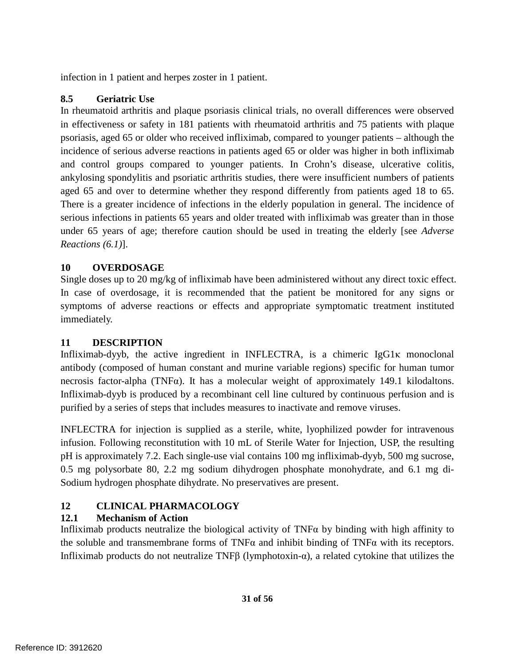infection in 1 patient and herpes zoster in 1 patient.

## **8.5 Geriatric Use**

 psoriasis, aged 65 or older who received infliximab, compared to younger patients – although the incidence of serious adverse reactions in patients aged 65 or older was higher in both infliximab and control groups compared to younger patients. In Crohn's disease, ulcerative colitis, aged 65 and over to determine whether they respond differently from patients aged 18 to 65. There is a greater incidence of infections in the elderly population in general. The incidence of under 65 years of age; therefore caution should be used in treating the elderly [see *Adverse*  In rheumatoid arthritis and plaque psoriasis clinical trials, no overall differences were observed in effectiveness or safety in 181 patients with rheumatoid arthritis and 75 patients with plaque ankylosing spondylitis and psoriatic arthritis studies, there were insufficient numbers of patients serious infections in patients 65 years and older treated with infliximab was greater than in those *Reactions (6.1)*].

## **10 OVERDOSAGE**

 Single doses up to 20 mg/kg of infliximab have been administered without any direct toxic effect. In case of overdosage, it is recommended that the patient be monitored for any signs or symptoms of adverse reactions or effects and appropriate symptomatic treatment instituted immediately.

### **11 DESCRIPTION**

 Infliximab-dyyb is produced by a recombinant cell line cultured by continuous perfusion and is Infliximab-dyyb, the active ingredient in INFLECTRA, is a chimeric IgG1κ monoclonal antibody (composed of human constant and murine variable regions) specific for human tumor necrosis factor-alpha (TNFα). It has a molecular weight of approximately 149.1 kilodaltons. purified by a series of steps that includes measures to inactivate and remove viruses.

INFLECTRA for injection is supplied as a sterile, white, lyophilized powder for intravenous infusion. Following reconstitution with 10 mL of Sterile Water for Injection, USP, the resulting pH is approximately 7.2. Each single-use vial contains 100 mg infliximab-dyyb, 500 mg sucrose, 0.5 mg polysorbate 80, 2.2 mg sodium dihydrogen phosphate monohydrate, and 6.1 mg di-Sodium hydrogen phosphate dihydrate. No preservatives are present.

## **12 CLINICAL PHARMACOLOGY**

## **12.1 Mechanism of Action**

Infliximab products neutralize the biological activity of  $TNF\alpha$  by binding with high affinity to the soluble and transmembrane forms of TNF $\alpha$  and inhibit binding of TNF $\alpha$  with its receptors. Infliximab products do not neutralize TNFβ (lymphotoxin-α), a related cytokine that utilizes the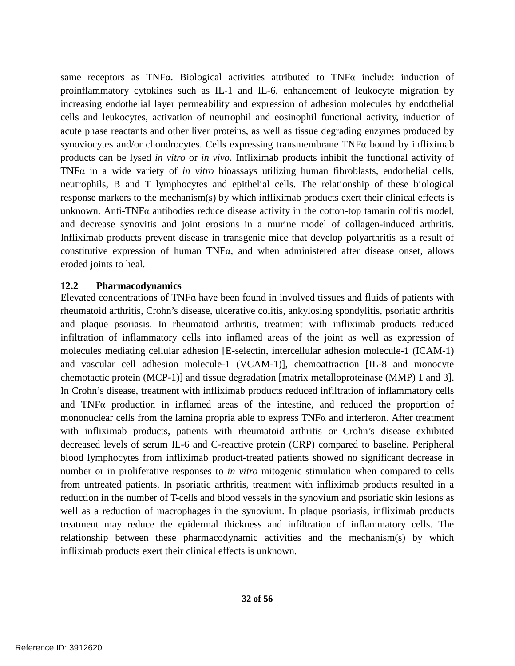TNFα in a wide variety of *in vitro* bioassays utilizing human fibroblasts, endothelial cells, Infliximab products prevent disease in transgenic mice that develop polyarthritis as a result of same receptors as TNF $\alpha$ . Biological activities attributed to TNF $\alpha$  include: induction of proinflammatory cytokines such as IL-1 and IL-6, enhancement of leukocyte migration by increasing endothelial layer permeability and expression of adhesion molecules by endothelial cells and leukocytes, activation of neutrophil and eosinophil functional activity, induction of acute phase reactants and other liver proteins, as well as tissue degrading enzymes produced by synoviocytes and/or chondrocytes. Cells expressing transmembrane  $TNF\alpha$  bound by infliximab products can be lysed *in vitro* or *in vivo*. Infliximab products inhibit the functional activity of neutrophils, B and T lymphocytes and epithelial cells. The relationship of these biological response markers to the mechanism(s) by which infliximab products exert their clinical effects is unknown. Anti-TNF $\alpha$  antibodies reduce disease activity in the cotton-top tamarin colitis model, and decrease synovitis and joint erosions in a murine model of collagen-induced arthritis. constitutive expression of human  $TNF\alpha$ , and when administered after disease onset, allows eroded joints to heal.

#### **12.2 Pharmacodynamics**

 and plaque psoriasis. In rheumatoid arthritis, treatment with infliximab products reduced infiltration of inflammatory cells into inflamed areas of the joint as well as expression of In Crohn's disease, treatment with infliximab products reduced infiltration of inflammatory cells from untreated patients. In psoriatic arthritis, treatment with infliximab products resulted in a well as a reduction of macrophages in the synovium. In plaque psoriasis, infliximab products treatment may reduce the epidermal thickness and infiltration of inflammatory cells. The Elevated concentrations of TNF $\alpha$  have been found in involved tissues and fluids of patients with rheumatoid arthritis, Crohn's disease, ulcerative colitis, ankylosing spondylitis, psoriatic arthritis molecules mediating cellular adhesion [E-selectin, intercellular adhesion molecule-1 (ICAM-1) and vascular cell adhesion molecule-1 (VCAM-1)], chemoattraction [IL-8 and monocyte chemotactic protein (MCP-1)] and tissue degradation [matrix metalloproteinase (MMP) 1 and 3]. and TNFα production in inflamed areas of the intestine, and reduced the proportion of mononuclear cells from the lamina propria able to express TNFα and interferon. After treatment with infliximab products, patients with rheumatoid arthritis or Crohn's disease exhibited decreased levels of serum IL-6 and C-reactive protein (CRP) compared to baseline. Peripheral blood lymphocytes from infliximab product-treated patients showed no significant decrease in number or in proliferative responses to *in vitro* mitogenic stimulation when compared to cells reduction in the number of T-cells and blood vessels in the synovium and psoriatic skin lesions as relationship between these pharmacodynamic activities and the mechanism(s) by which infliximab products exert their clinical effects is unknown.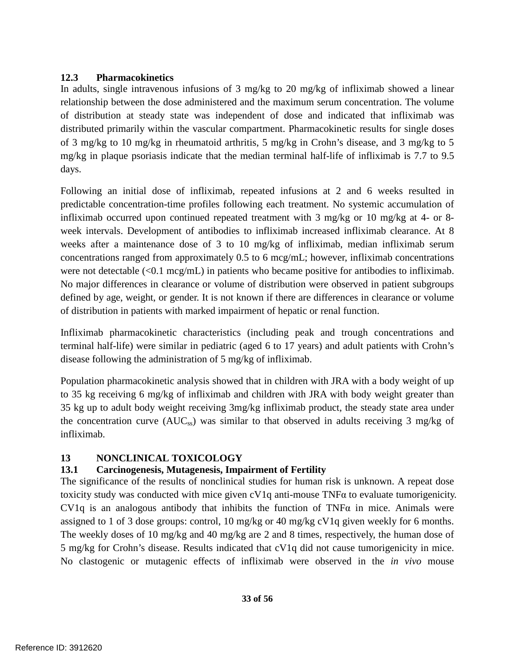### **12.3 Pharmacokinetics**

In adults, single intravenous infusions of 3 mg/kg to 20 mg/kg of infliximab showed a linear relationship between the dose administered and the maximum serum concentration. The volume of distribution at steady state was independent of dose and indicated that infliximab was distributed primarily within the vascular compartment. Pharmacokinetic results for single doses of 3 mg/kg to 10 mg/kg in rheumatoid arthritis, 5 mg/kg in Crohn's disease, and 3 mg/kg to 5 mg/kg in plaque psoriasis indicate that the median terminal half-life of infliximab is 7.7 to 9.5 days.

 of distribution in patients with marked impairment of hepatic or renal function. Following an initial dose of infliximab, repeated infusions at 2 and 6 weeks resulted in predictable concentration-time profiles following each treatment. No systemic accumulation of infliximab occurred upon continued repeated treatment with 3 mg/kg or 10 mg/kg at 4- or 8 week intervals. Development of antibodies to infliximab increased infliximab clearance. At 8 weeks after a maintenance dose of 3 to 10 mg/kg of infliximab, median infliximab serum concentrations ranged from approximately 0.5 to 6 mcg/mL; however, infliximab concentrations were not detectable  $(<0.1 \, \text{mcg/mL})$  in patients who became positive for antibodies to infliximab. No major differences in clearance or volume of distribution were observed in patient subgroups defined by age, weight, or gender. It is not known if there are differences in clearance or volume

Infliximab pharmacokinetic characteristics (including peak and trough concentrations and terminal half-life) were similar in pediatric (aged 6 to 17 years) and adult patients with Crohn's disease following the administration of 5 mg/kg of infliximab.

 to 35 kg receiving 6 mg/kg of infliximab and children with JRA with body weight greater than Population pharmacokinetic analysis showed that in children with JRA with a body weight of up 35 kg up to adult body weight receiving 3mg/kg infliximab product, the steady state area under the concentration curve  $(AUC_{ss})$  was similar to that observed in adults receiving 3 mg/kg of infliximab.

### **13 NONCLINICAL TOXICOLOGY**

### **13.1 Carcinogenesis, Mutagenesis, Impairment of Fertility**

 toxicity study was conducted with mice given cV1q anti-mouse TNFα to evaluate tumorigenicity. CV1q is an analogous antibody that inhibits the function of  $TNF\alpha$  in mice. Animals were assigned to 1 of 3 dose groups: control, 10 mg/kg or 40 mg/kg cV1q given weekly for 6 months. The significance of the results of nonclinical studies for human risk is unknown. A repeat dose The weekly doses of 10 mg/kg and 40 mg/kg are 2 and 8 times, respectively, the human dose of 5 mg/kg for Crohn's disease. Results indicated that cV1q did not cause tumorigenicity in mice. No clastogenic or mutagenic effects of infliximab were observed in the *in vivo* mouse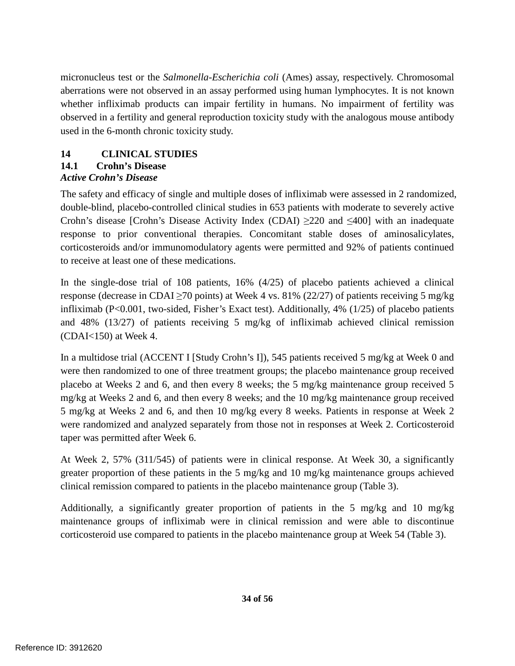micronucleus test or the *Salmonella-Escherichia coli* (Ames) assay, respectively. Chromosomal aberrations were not observed in an assay performed using human lymphocytes. It is not known whether infliximab products can impair fertility in humans. No impairment of fertility was observed in a fertility and general reproduction toxicity study with the analogous mouse antibody used in the 6-month chronic toxicity study.

# **14 CLINICAL STUDIES**

#### **14.1 Crohn's Disease**  *Active Crohn's Disease*

 The safety and efficacy of single and multiple doses of infliximab were assessed in 2 randomized, double-blind, placebo-controlled clinical studies in 653 patients with moderate to severely active Crohn's disease [Crohn's Disease Activity Index (CDAI)  $\geq$ 220 and  $\leq$ 400] with an inadequate response to prior conventional therapies. Concomitant stable doses of aminosalicylates, corticosteroids and/or immunomodulatory agents were permitted and 92% of patients continued to receive at least one of these medications.

In the single-dose trial of 108 patients, 16% (4/25) of placebo patients achieved a clinical response (decrease in CDAI  $\geq$ 70 points) at Week 4 vs. 81% (22/27) of patients receiving 5 mg/kg infliximab (P<0.001, two-sided, Fisher's Exact test). Additionally, 4% (1/25) of placebo patients and 48% (13/27) of patients receiving 5 mg/kg of infliximab achieved clinical remission (CDAI<150) at Week 4.

 In a multidose trial (ACCENT I [Study Crohn's I]), 545 patients received 5 mg/kg at Week 0 and were randomized and analyzed separately from those not in responses at Week 2. Corticosteroid were then randomized to one of three treatment groups; the placebo maintenance group received placebo at Weeks 2 and 6, and then every 8 weeks; the 5 mg/kg maintenance group received 5 mg/kg at Weeks 2 and 6, and then every 8 weeks; and the 10 mg/kg maintenance group received 5 mg/kg at Weeks 2 and 6, and then 10 mg/kg every 8 weeks. Patients in response at Week 2 taper was permitted after Week 6.

At Week 2, 57% (311/545) of patients were in clinical response. At Week 30, a significantly greater proportion of these patients in the 5 mg/kg and 10 mg/kg maintenance groups achieved clinical remission compared to patients in the placebo maintenance group [\(Table 3\)](#page-34-0).

 corticosteroid use compared to patients in the placebo maintenance group at Week 54 [\(Table 3\)](#page-34-0). Additionally, a significantly greater proportion of patients in the 5 mg/kg and 10 mg/kg maintenance groups of infliximab were in clinical remission and were able to discontinue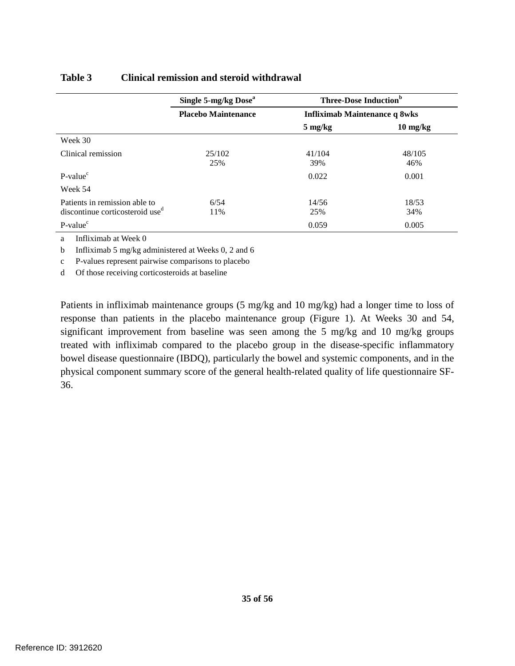# **Single 5-mg/kg Dose**<sup>a</sup> **Three-Dose Induction**<sup>b</sup> **Placebo Maintenance Infliximab Maintenance q 8wks 5 mg/kg 10 mg/kg**  Week 30 Clinical remission 25/102 41/104 48/105<br>25% 46% 46% 25% 39% 46%  $P-value<sup>c</sup>$  0.022 0.001

Patients in remission able to  $6/54$  14/56 18/53 discontinue corticosteroid use<sup>d</sup>  $11\%$  25% 25% 34%  $P-value<sup>c</sup>$  0.005

#### <span id="page-34-0"></span>**Table 3 Clinical remission and steroid withdrawal**

a Infliximab at Week 0

Week 54

b Infliximab 5 mg/kg administered at Weeks 0, 2 and 6

c P-values represent pairwise comparisons to placebo

d Of those receiving corticosteroids at baseline

 Patients in infliximab maintenance groups (5 mg/kg and 10 mg/kg) had a longer time to loss of significant improvement from baseline was seen among the 5 mg/kg and 10 mg/kg groups response than patients in the placebo maintenance group [\(Figure 1\)](#page-35-0). At Weeks 30 and 54, treated with infliximab compared to the placebo group in the disease-specific inflammatory bowel disease questionnaire (IBDQ), particularly the bowel and systemic components, and in the physical component summary score of the general health-related quality of life questionnaire SF-36.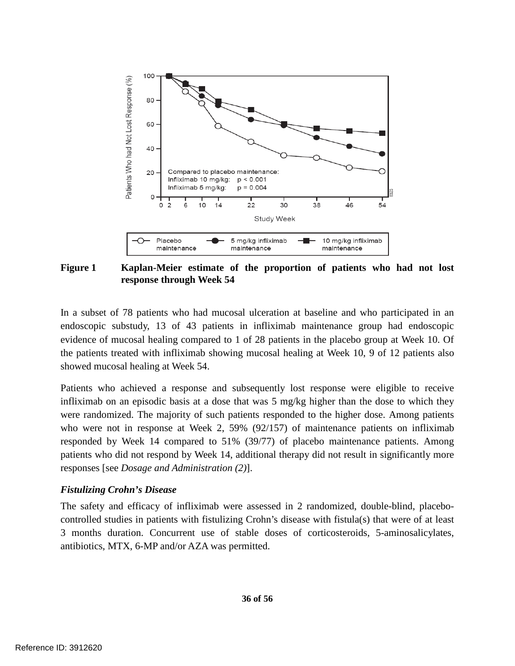

<span id="page-35-0"></span> **Figure 1 Kaplan-Meier estimate of the proportion of patients who had not lost response through Week 54** 

 showed mucosal healing at Week 54. In a subset of 78 patients who had mucosal ulceration at baseline and who participated in an endoscopic substudy, 13 of 43 patients in infliximab maintenance group had endoscopic evidence of mucosal healing compared to 1 of 28 patients in the placebo group at Week 10. Of the patients treated with infliximab showing mucosal healing at Week 10, 9 of 12 patients also

Patients who achieved a response and subsequently lost response were eligible to receive infliximab on an episodic basis at a dose that was 5 mg/kg higher than the dose to which they were randomized. The majority of such patients responded to the higher dose. Among patients who were not in response at Week 2, 59% (92/157) of maintenance patients on infliximab responded by Week 14 compared to 51% (39/77) of placebo maintenance patients. Among patients who did not respond by Week 14, additional therapy did not result in significantly more responses [see *Dosage and Administration (2)*].

#### *Fistulizing Crohn's Disease*

The safety and efficacy of infliximab were assessed in 2 randomized, double-blind, placebocontrolled studies in patients with fistulizing Crohn's disease with fistula(s) that were of at least 3 months duration. Concurrent use of stable doses of corticosteroids, 5-aminosalicylates, antibiotics, MTX, 6-MP and/or AZA was permitted.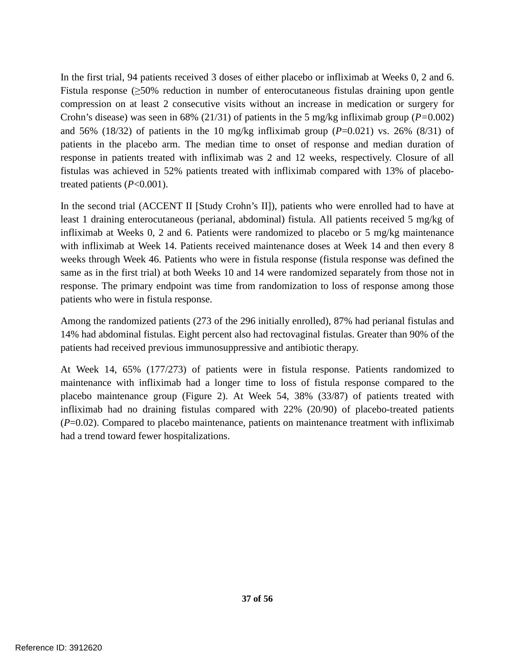Crohn's disease) was seen in 68% (21/31) of patients in the 5 mg/kg infliximab group (*P=*0.002) In the first trial, 94 patients received 3 doses of either placebo or infliximab at Weeks 0, 2 and 6. Fistula response (≥50% reduction in number of enterocutaneous fistulas draining upon gentle compression on at least 2 consecutive visits without an increase in medication or surgery for and 56% (18/32) of patients in the 10 mg/kg infliximab group  $(P=0.021)$  vs. 26% (8/31) of patients in the placebo arm. The median time to onset of response and median duration of response in patients treated with infliximab was 2 and 12 weeks, respectively. Closure of all fistulas was achieved in 52% patients treated with infliximab compared with 13% of placebotreated patients (*P*<0.001).

 In the second trial (ACCENT II [Study Crohn's II]), patients who were enrolled had to have at response. The primary endpoint was time from randomization to loss of response among those least 1 draining enterocutaneous (perianal, abdominal) fistula. All patients received 5 mg/kg of infliximab at Weeks 0, 2 and 6. Patients were randomized to placebo or 5 mg/kg maintenance with infliximab at Week 14. Patients received maintenance doses at Week 14 and then every 8 weeks through Week 46. Patients who were in fistula response (fistula response was defined the same as in the first trial) at both Weeks 10 and 14 were randomized separately from those not in patients who were in fistula response.

Among the randomized patients (273 of the 296 initially enrolled), 87% had perianal fistulas and 14% had abdominal fistulas. Eight percent also had rectovaginal fistulas. Greater than 90% of the patients had received previous immunosuppressive and antibiotic therapy.

At Week 14, 65% (177/273) of patients were in fistula response. Patients randomized to maintenance with infliximab had a longer time to loss of fistula response compared to the placebo maintenance group [\(Figure 2\)](#page-37-0). At Week 54, 38% (33/87) of patients treated with infliximab had no draining fistulas compared with 22% (20/90) of placebo-treated patients (*P*=0.02). Compared to placebo maintenance, patients on maintenance treatment with infliximab had a trend toward fewer hospitalizations.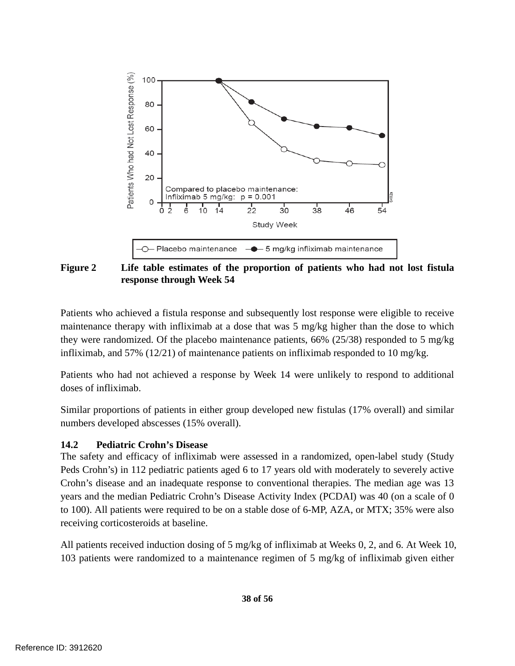

<span id="page-37-0"></span>**Figure 2 Life table estimates of the proportion of patients who had not lost fistula response through Week 54** 

Patients who achieved a fistula response and subsequently lost response were eligible to receive maintenance therapy with infliximab at a dose that was 5 mg/kg higher than the dose to which they were randomized. Of the placebo maintenance patients, 66% (25/38) responded to 5 mg/kg infliximab, and 57% (12/21) of maintenance patients on infliximab responded to 10 mg/kg.

 doses of infliximab. Patients who had not achieved a response by Week 14 were unlikely to respond to additional

Similar proportions of patients in either group developed new fistulas (17% overall) and similar numbers developed abscesses (15% overall).

### **14.2 Pediatric Crohn's Disease**

 The safety and efficacy of infliximab were assessed in a randomized, open-label study (Study Peds Crohn's) in 112 pediatric patients aged 6 to 17 years old with moderately to severely active Crohn's disease and an inadequate response to conventional therapies. The median age was 13 years and the median Pediatric Crohn's Disease Activity Index (PCDAI) was 40 (on a scale of 0 to 100). All patients were required to be on a stable dose of 6-MP, AZA, or MTX; 35% were also receiving corticosteroids at baseline.

 103 patients were randomized to a maintenance regimen of 5 mg/kg of infliximab given either All patients received induction dosing of 5 mg/kg of infliximab at Weeks 0, 2, and 6. At Week 10,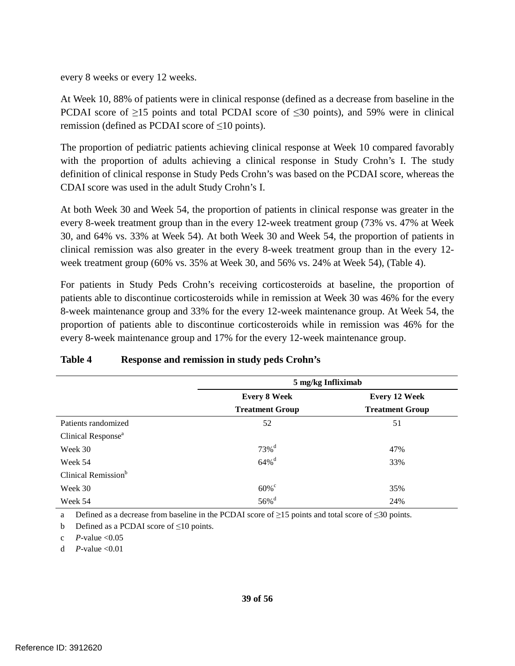every 8 weeks or every 12 weeks.

 At Week 10, 88% of patients were in clinical response (defined as a decrease from baseline in the remission (defined as PCDAI score of  $\leq$ 10 points). PCDAI score of  $\geq$ 15 points and total PCDAI score of  $\leq$ 30 points), and 59% were in clinical

 with the proportion of adults achieving a clinical response in Study Crohn's I. The study CDAI score was used in the adult Study Crohn's I. The proportion of pediatric patients achieving clinical response at Week 10 compared favorably definition of clinical response in Study Peds Crohn's was based on the PCDAI score, whereas the

 clinical remission was also greater in the every 8-week treatment group than in the every 12 At both Week 30 and Week 54, the proportion of patients in clinical response was greater in the every 8-week treatment group than in the every 12-week treatment group (73% vs. 47% at Week 30, and 64% vs. 33% at Week 54). At both Week 30 and Week 54, the proportion of patients in week treatment group (60% vs. 35% at Week 30, and 56% vs. 24% at Week 54), [\(Table 4\)](#page-38-0).

 patients able to discontinue corticosteroids while in remission at Week 30 was 46% for the every every 8-week maintenance group and 17% for the every 12-week maintenance group. For patients in Study Peds Crohn's receiving corticosteroids at baseline, the proportion of 8-week maintenance group and 33% for the every 12-week maintenance group. At Week 54, the proportion of patients able to discontinue corticosteroids while in remission was 46% for the

|                                 | 5 mg/kg Infliximab     |                        |  |  |  |
|---------------------------------|------------------------|------------------------|--|--|--|
|                                 | <b>Every 8 Week</b>    | <b>Every 12 Week</b>   |  |  |  |
|                                 | <b>Treatment Group</b> | <b>Treatment Group</b> |  |  |  |
| Patients randomized             | 52                     | 51                     |  |  |  |
| Clinical Response <sup>a</sup>  |                        |                        |  |  |  |
| Week 30                         | $73\%$ <sup>d</sup>    | 47%                    |  |  |  |
| Week 54                         | $64\%$ <sup>d</sup>    | 33%                    |  |  |  |
| Clinical Remission <sup>b</sup> |                        |                        |  |  |  |
| Week 30                         | $60\%$ <sup>c</sup>    | 35%                    |  |  |  |
| Week 54                         | $56\%$ <sup>d</sup>    | 24%                    |  |  |  |

### <span id="page-38-0"></span>**Table 4 Response and remission in study peds Crohn's**

a Defined as a decrease from baseline in the PCDAI score of  $\geq$ 15 points and total score of  $\leq$ 30 points.

b Defined as a PCDAI score of  $\leq 10$  points.

c *P*-value <0.05

d  $P$ -value < $0.01$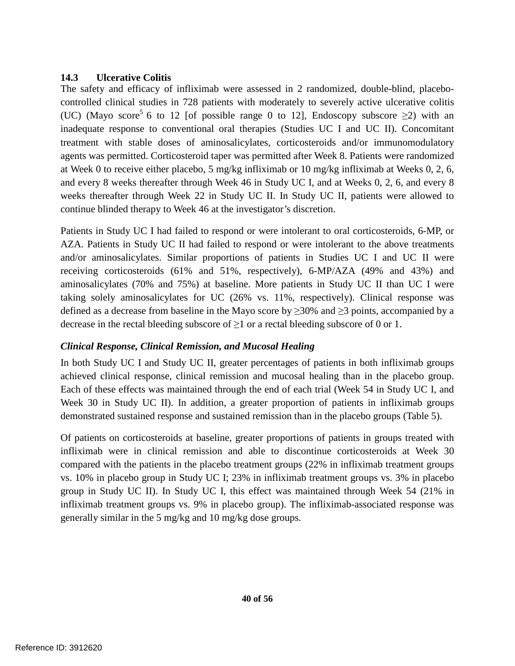### **14.3 Ulcerative Colitis**

(UC) (Mayo score<sup>5</sup> 6 to 12 [of possible range 0 to 12], Endoscopy subscore  $\geq$ 2) with an inadequate response to conventional oral therapies (Studies UC I and UC II). Concomitant agents was permitted. Corticosteroid taper was permitted after Week 8. Patients were randomized weeks thereafter through Week 22 in Study UC II. In Study UC II, patients were allowed to The safety and efficacy of infliximab were assessed in 2 randomized, double-blind, placebocontrolled clinical studies in 728 patients with moderately to severely active ulcerative colitis treatment with stable doses of aminosalicylates, corticosteroids and/or immunomodulatory at Week 0 to receive either placebo, 5 mg/kg infliximab or 10 mg/kg infliximab at Weeks 0, 2, 6, and every 8 weeks thereafter through Week 46 in Study UC I, and at Weeks 0, 2, 6, and every 8 continue blinded therapy to Week 46 at the investigator's discretion.

 Patients in Study UC I had failed to respond or were intolerant to oral corticosteroids, 6-MP, or AZA. Patients in Study UC II had failed to respond or were intolerant to the above treatments and/or aminosalicylates. Similar proportions of patients in Studies UC I and UC II were aminosalicylates (70% and 75%) at baseline. More patients in Study UC II than UC I were defined as a decrease from baseline in the Mayo score by ≥30% and ≥3 points, accompanied by a decrease in the rectal bleeding subscore of  $\geq 1$  or a rectal bleeding subscore of 0 or 1. receiving corticosteroids (61% and 51%, respectively), 6-MP/AZA (49% and 43%) and taking solely aminosalicylates for UC (26% vs. 11%, respectively). Clinical response was

### *Clinical Response, Clinical Remission, and Mucosal Healing*

 achieved clinical response, clinical remission and mucosal healing than in the placebo group. Each of these effects was maintained through the end of each trial (Week 54 in Study UC I, and demonstrated sustained response and sustained remission than in the placebo groups [\(Table 5\)](#page-40-0). In both Study UC I and Study UC II, greater percentages of patients in both infliximab groups Week 30 in Study UC II). In addition, a greater proportion of patients in infliximab groups

 compared with the patients in the placebo treatment groups (22% in infliximab treatment groups vs. 10% in placebo group in Study UC I; 23% in infliximab treatment groups vs. 3% in placebo group in Study UC II). In Study UC I, this effect was maintained through Week 54 (21% in Of patients on corticosteroids at baseline, greater proportions of patients in groups treated with infliximab were in clinical remission and able to discontinue corticosteroids at Week 30 infliximab treatment groups vs. 9% in placebo group). The infliximab-associated response was generally similar in the 5 mg/kg and 10 mg/kg dose groups.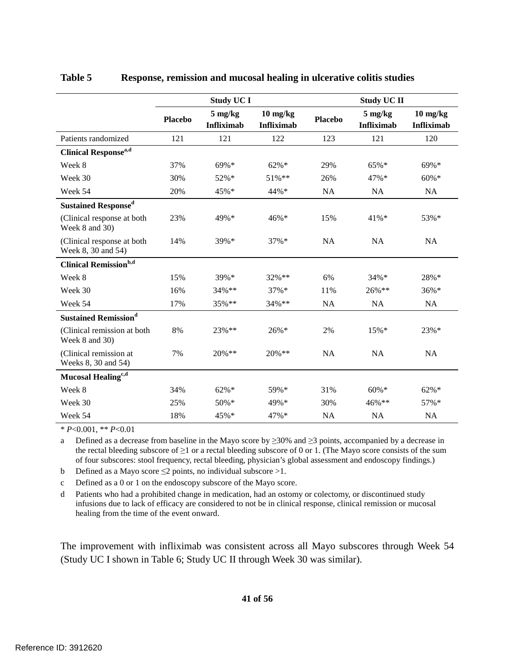|                                                  | <b>Study UC I</b><br><b>Study UC II</b> |                                        |                                 |                |                                        |                                 |
|--------------------------------------------------|-----------------------------------------|----------------------------------------|---------------------------------|----------------|----------------------------------------|---------------------------------|
|                                                  | <b>Placebo</b>                          | $5 \text{ mg/kg}$<br><b>Infliximab</b> | $10$ mg/kg<br><b>Infliximab</b> | <b>Placebo</b> | $5 \text{ mg/kg}$<br><b>Infliximab</b> | $10$ mg/kg<br><b>Infliximab</b> |
| Patients randomized                              | 121                                     | 121                                    | 122                             | 123            | 121                                    | 120                             |
| <b>Clinical Response</b> <sup>a,d</sup>          |                                         |                                        |                                 |                |                                        |                                 |
| Week 8                                           | 37%                                     | $69\% *$                               | $62\% *$                        | 29%            | 65%*                                   | 69%*                            |
| Week 30                                          | 30%                                     | 52%*                                   | 51%**                           | 26%            | 47%*                                   | $60\% *$                        |
| Week 54                                          | 20%                                     | 45%*                                   | 44%*                            | <b>NA</b>      | <b>NA</b>                              | <b>NA</b>                       |
| <b>Sustained Responsed</b>                       |                                         |                                        |                                 |                |                                        |                                 |
| (Clinical response at both<br>Week 8 and 30)     | 23%                                     | 49%*                                   | 46%*                            | 15%            | $41\% *$                               | 53%*                            |
| (Clinical response at both<br>Week 8, 30 and 54) | 14%                                     | 39%*                                   | 37%*                            | <b>NA</b>      | <b>NA</b>                              | NA                              |
| <b>Clinical Remission</b> <sup>b,d</sup>         |                                         |                                        |                                 |                |                                        |                                 |
| Week 8                                           | 15%                                     | 39%*                                   | 32%**                           | 6%             | 34%*                                   | 28%*                            |
| Week 30                                          | 16%                                     | 34%**                                  | 37%*                            | 11%            | 26%**                                  | 36%*                            |
| Week 54                                          | 17%                                     | 35%**                                  | $34\%$ **                       | NA             | NA                                     | NA                              |
| Sustained $\mathbf{Remission}^\mathbf{d}$        |                                         |                                        |                                 |                |                                        |                                 |
| (Clinical remission at both<br>Week 8 and 30)    | 8%                                      | 23%**                                  | 26%*                            | 2%             | 15%*                                   | 23%*                            |
| (Clinical remission at<br>Weeks 8, 30 and 54)    | 7%                                      | 20%**                                  | 20%**                           | <b>NA</b>      | NA                                     | NA                              |
| Mucosal Healing <sup>c,d</sup>                   |                                         |                                        |                                 |                |                                        |                                 |
| Week 8                                           | 34%                                     | $62\% *$                               | 59%*                            | 31%            | $60\% *$                               | 62%*                            |
| Week 30                                          | 25%                                     | 50%*                                   | 49%*                            | 30%            | 46%**                                  | 57%*                            |
| Week 54                                          | 18%                                     | 45%*                                   | 47%*                            | NA             | NA                                     | NA                              |

#### <span id="page-40-0"></span>**Table 5 Response, remission and mucosal healing in ulcerative colitis studies**

\* *P*<0.001, \*\* *P*<0.01

the rectal bleeding subscore of  $\geq 1$  or a rectal bleeding subscore of 0 or 1. (The Mayo score consists of the sum a Defined as a decrease from baseline in the Mayo score by  $\geq$ 30% and  $\geq$ 3 points, accompanied by a decrease in of four subscores: stool frequency, rectal bleeding, physician's global assessment and endoscopy findings.)

b Defined as a Mayo score  $\leq$ 2 points, no individual subscore  $>$ 1.

c Defined as a 0 or 1 on the endoscopy subscore of the Mayo score.

 d Patients who had a prohibited change in medication, had an ostomy or colectomy, or discontinued study infusions due to lack of efficacy are considered to not be in clinical response, clinical remission or mucosal healing from the time of the event onward.

 (Study UC I shown in [Table 6;](#page-41-0) Study UC II through Week 30 was similar). The improvement with infliximab was consistent across all Mayo subscores through Week 54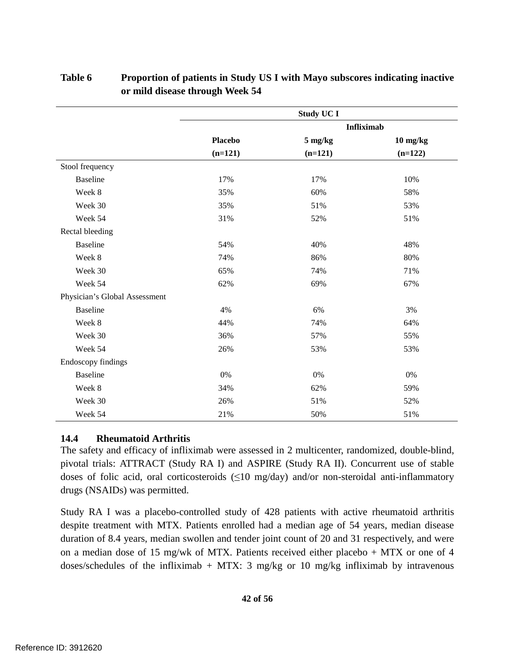|                               |                | Study UC I        |                   |
|-------------------------------|----------------|-------------------|-------------------|
|                               |                |                   | <b>Infliximab</b> |
|                               | <b>Placebo</b> | $5 \text{ mg/kg}$ | $10$ mg/kg        |
|                               | $(n=121)$      | $(n=121)$         | $(n=122)$         |
| Stool frequency               |                |                   |                   |
| <b>Baseline</b>               | 17%            | 17%               | 10%               |
| Week 8                        | 35%            | 60%               | 58%               |
| Week 30                       | 35%            | 51%               | 53%               |
| Week 54                       | 31%            | 52%               | 51%               |
| Rectal bleeding               |                |                   |                   |
| <b>Baseline</b>               | 54%            | 40%               | 48%               |
| Week 8                        | 74%            | 86%               | 80%               |
| Week 30                       | 65%            | 74%               | 71%               |
| Week 54                       | 62%            | 69%               | 67%               |
| Physician's Global Assessment |                |                   |                   |
| <b>Baseline</b>               | 4%             | 6%                | 3%                |
| Week 8                        | 44%            | 74%               | 64%               |
| Week 30                       | 36%            | 57%               | 55%               |
| Week 54                       | 26%            | 53%               | 53%               |
| Endoscopy findings            |                |                   |                   |
| <b>Baseline</b>               | 0%             | $0\%$             | 0%                |
| Week 8                        | 34%            | 62%               | 59%               |
| Week 30                       | 26%            | 51%               | 52%               |
| Week 54                       | 21%            | 50%               | 51%               |

## <span id="page-41-0"></span>Table 6 Proportion of patients in Study US I with Mayo subscores indicating inactive **or mild disease through Week 54**

### **14.4 Rheumatoid Arthritis**

 The safety and efficacy of infliximab were assessed in 2 multicenter, randomized, double-blind, pivotal trials: ATTRACT (Study RA I) and ASPIRE (Study RA II). Concurrent use of stable doses of folic acid, oral corticosteroids  $(\leq 10 \text{ mg/day})$  and/or non-steroidal anti-inflammatory drugs (NSAIDs) was permitted.

Study RA I was a placebo-controlled study of 428 patients with active rheumatoid arthritis despite treatment with MTX. Patients enrolled had a median age of 54 years, median disease duration of 8.4 years, median swollen and tender joint count of 20 and 31 respectively, and were on a median dose of 15 mg/wk of MTX. Patients received either placebo + MTX or one of 4 doses/schedules of the infliximab + MTX: 3 mg/kg or 10 mg/kg infliximab by intravenous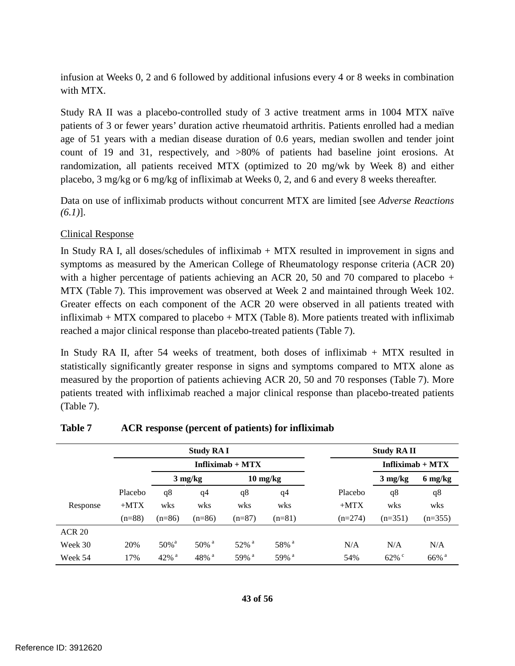infusion at Weeks 0, 2 and 6 followed by additional infusions every 4 or 8 weeks in combination with MTX.

Study RA II was a placebo-controlled study of 3 active treatment arms in 1004 MTX naïve patients of 3 or fewer years' duration active rheumatoid arthritis. Patients enrolled had a median age of 51 years with a median disease duration of 0.6 years, median swollen and tender joint count of 19 and 31, respectively, and >80% of patients had baseline joint erosions. At randomization, all patients received MTX (optimized to 20 mg/wk by Week 8) and either placebo, 3 mg/kg or 6 mg/kg of infliximab at Weeks 0, 2, and 6 and every 8 weeks thereafter.

Data on use of infliximab products without concurrent MTX are limited [see *Adverse Reactions (6.1)*].

## Clinical Response

In Study RA I, all doses/schedules of infliximab + MTX resulted in improvement in signs and symptoms as measured by the American College of Rheumatology response criteria (ACR 20) with a higher percentage of patients achieving an ACR 20, 50 and 70 compared to placebo + MTX [\(Table 7\)](#page-42-0). This improvement was observed at Week 2 and maintained through Week 102. Greater effects on each component of the ACR 20 were observed in all patients treated with infliximab  $+$  MTX compared to placebo  $+$  MTX [\(Table 8\)](#page-43-0). More patients treated with infliximab reached a major clinical response than placebo-treated patients [\(Table 7\)](#page-42-0).

 statistically significantly greater response in signs and symptoms compared to MTX alone as [\(Table 7\)](#page-42-0). In Study RA II, after 54 weeks of treatment, both doses of infliximab + MTX resulted in measured by the proportion of patients achieving ACR 20, 50 and 70 responses [\(Table 7\)](#page-42-0). More patients treated with infliximab reached a major clinical response than placebo-treated patients

|               | <b>Study RAI</b> |                     |                     |                     |                    | <b>Study RA II</b> |                    |                                 |  |
|---------------|------------------|---------------------|---------------------|---------------------|--------------------|--------------------|--------------------|---------------------------------|--|
|               |                  |                     |                     | Infliximab $+$ MTX  |                    |                    | Infliximab $+$ MTX |                                 |  |
|               |                  |                     | $3 \text{ mg/kg}$   |                     | $10 \text{ mg/kg}$ |                    | $3 \text{ mg/kg}$  | $6 \frac{\text{mg}}{\text{kg}}$ |  |
|               | Placebo          | q8                  | q <sub>4</sub>      | q8                  | q <sub>4</sub>     | Placebo            | q8                 | q8                              |  |
| Response      | $+MTX$           | wks                 | wks                 | wks                 | wks                | $+MTX$             | wks                | wks                             |  |
|               | $(n=88)$         | $(n=86)$            | $(n=86)$            | $(n=87)$            | $(n=81)$           | $(n=274)$          | $(n=351)$          | $(n=355)$                       |  |
| <b>ACR 20</b> |                  |                     |                     |                     |                    |                    |                    |                                 |  |
| Week 30       | 20%              | $50\%$ <sup>a</sup> | $50\%$ <sup>a</sup> | $52\%$ <sup>a</sup> | 58% <sup>a</sup>   | N/A                | N/A                | N/A                             |  |
| Week 54       | 17%              | $42\%$ <sup>a</sup> | $48\%$ <sup>a</sup> | 59% <sup>a</sup>    | 59% <sup>a</sup>   | 54%                | $62\%$             | 66% <sup>a</sup>                |  |

#### <span id="page-42-0"></span>**Table 7** ACR response (percent of patients) for infliximab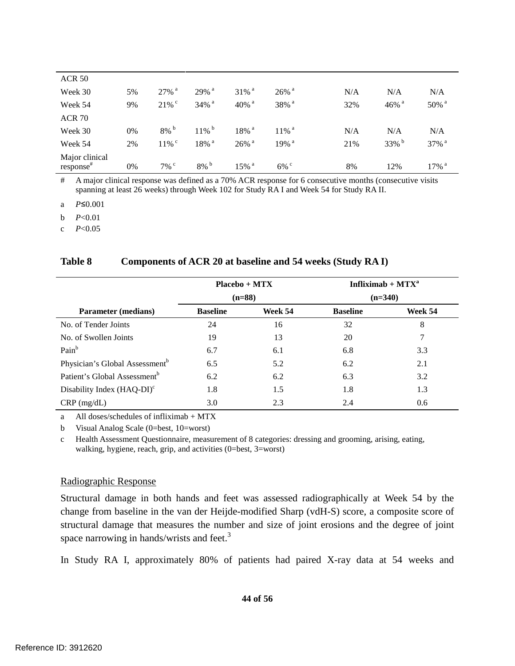| N/A                 |
|---------------------|
| 50% <sup>a</sup>    |
|                     |
| N/A                 |
| $37\%$ <sup>a</sup> |
| $17\%$ <sup>a</sup> |
|                     |

# A major clinical response was defined as a 70% ACR response for 6 consecutive months (consecutive visits spanning at least 26 weeks) through Week 102 for Study RA I and Week 54 for Study RA II.

 $\mathbf{a}$ *P*≤0.001

b *P*<0.01

 $\mathbf{c}$  $P < 0.05$ 

#### <span id="page-43-0"></span>**Table 8** Components of ACR 20 at baseline and 54 weeks (Study RA I)

|                                            | $Placebo + MTX$ |         | Infliximab + $MTX^a$ |         |  |
|--------------------------------------------|-----------------|---------|----------------------|---------|--|
|                                            | $(n=88)$        |         | $(n=340)$            |         |  |
| <b>Parameter (medians)</b>                 | <b>Baseline</b> | Week 54 | <b>Baseline</b>      | Week 54 |  |
| No. of Tender Joints                       | 24              | 16      | 32                   | 8       |  |
| No. of Swollen Joints                      | 19              | 13      | 20                   |         |  |
| Pain <sup>b</sup>                          | 6.7             | 6.1     | 6.8                  | 3.3     |  |
| Physician's Global Assessment <sup>b</sup> | 6.5             | 5.2     | 6.2                  | 2.1     |  |
| Patient's Global Assessment <sup>b</sup>   | 6.2             | 6.2     | 6.3                  | 3.2     |  |
| Disability Index $(HAQ-DI)^c$              | 1.8             | 1.5     | 1.8                  | 1.3     |  |
| $CRP$ (mg/dL)                              | 3.0             | 2.3     | 2.4                  | 0.6     |  |

a All doses/schedules of infliximab + MTX

b Visual Analog Scale (0=best, 10=worst)

c Health Assessment Questionnaire, measurement of 8 categories: dressing and grooming, arising, eating, walking, hygiene, reach, grip, and activities (0=best, 3=worst)

#### Radiographic Response

 structural damage that measures the number and size of joint erosions and the degree of joint Structural damage in both hands and feet was assessed radiographically at Week 54 by the change from baseline in the van der Heijde-modified Sharp (vdH-S) score, a composite score of space narrowing in hands/wrists and feet.<sup>3</sup>

In Study RA I, approximately 80% of patients had paired X-ray data at 54 weeks and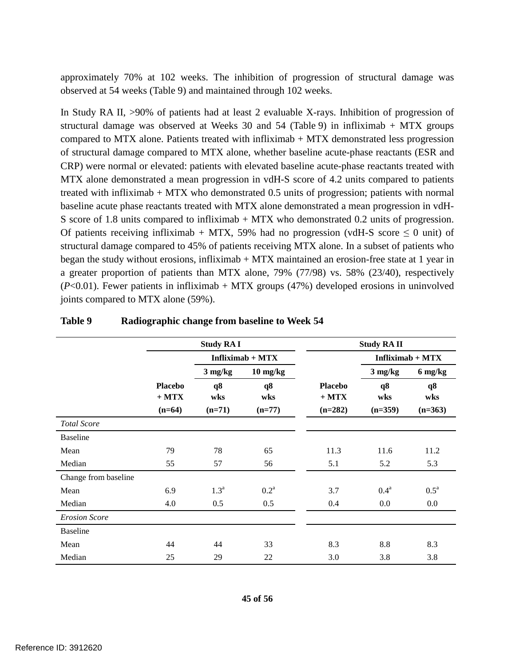approximately 70% at 102 weeks. The inhibition of progression of structural damage was observed at 54 weeks [\(Table 9\)](#page-44-0) and maintained through 102 weeks.

 In Study RA II, >90% of patients had at least 2 evaluable X-rays. Inhibition of progression of structural damage was observed at Weeks 30 and 54 [\(Table 9\)](#page-44-0) in infliximab + MTX groups Of patients receiving infliximab + MTX, 59% had no progression (vdH-S score  $\leq$  0 unit) of structural damage compared to 45% of patients receiving MTX alone. In a subset of patients who began the study without erosions, infliximab + MTX maintained an erosion-free state at 1 year in a greater proportion of patients than MTX alone, 79% (77/98) vs. 58% (23/40), respectively compared to MTX alone. Patients treated with infliximab + MTX demonstrated less progression of structural damage compared to MTX alone, whether baseline acute-phase reactants (ESR and CRP) were normal or elevated: patients with elevated baseline acute-phase reactants treated with MTX alone demonstrated a mean progression in vdH-S score of 4.2 units compared to patients treated with infliximab + MTX who demonstrated 0.5 units of progression; patients with normal baseline acute phase reactants treated with MTX alone demonstrated a mean progression in vdH-S score of 1.8 units compared to infliximab + MTX who demonstrated 0.2 units of progression.  $(P<0.01)$ . Fewer patients in infliximab + MTX groups (47%) developed erosions in uninvolved joints compared to MTX alone (59%).

|                      | <b>Study RAI</b>          |                   |                    |                           | <b>Study RAII</b> |                    |  |  |
|----------------------|---------------------------|-------------------|--------------------|---------------------------|-------------------|--------------------|--|--|
|                      |                           |                   | $Infliximab + MTX$ |                           |                   | $Infliximab + MTX$ |  |  |
|                      |                           | $3 \text{ mg/kg}$ | $10 \text{ mg/kg}$ |                           | $3 \text{ mg/kg}$ | 6 mg/kg            |  |  |
|                      | <b>Placebo</b><br>$+$ MTX | q8<br>wks         | q8<br>wks          | <b>Placebo</b><br>$+$ MTX | q8<br>wks         | q8<br>wks          |  |  |
|                      | $(n=64)$                  | $(n=71)$          | $(n=77)$           | $(n=282)$                 | $(n=359)$         | $(n=363)$          |  |  |
| <b>Total Score</b>   |                           |                   |                    |                           |                   |                    |  |  |
| <b>Baseline</b>      |                           |                   |                    |                           |                   |                    |  |  |
| Mean                 | 79                        | 78                | 65                 | 11.3                      | 11.6              | 11.2               |  |  |
| Median               | 55                        | 57                | 56                 | 5.1                       | 5.2               | 5.3                |  |  |
| Change from baseline |                           |                   |                    |                           |                   |                    |  |  |
| Mean                 | 6.9                       | 1.3 <sup>a</sup>  | 0.2 <sup>a</sup>   | 3.7                       | 0.4 <sup>a</sup>  | $0.5^{\text{a}}$   |  |  |
| Median               | 4.0                       | 0.5               | 0.5                | 0.4                       | 0.0               | 0.0                |  |  |
| <b>Erosion Score</b> |                           |                   |                    |                           |                   |                    |  |  |
| <b>Baseline</b>      |                           |                   |                    |                           |                   |                    |  |  |
| Mean                 | 44                        | 44                | 33                 | 8.3                       | 8.8               | 8.3                |  |  |
| Median               | 25                        | 29                | 22                 | 3.0                       | 3.8               | 3.8                |  |  |

<span id="page-44-0"></span>

| Table 9 | Radiographic change from baseline to Week 54 |
|---------|----------------------------------------------|
|         |                                              |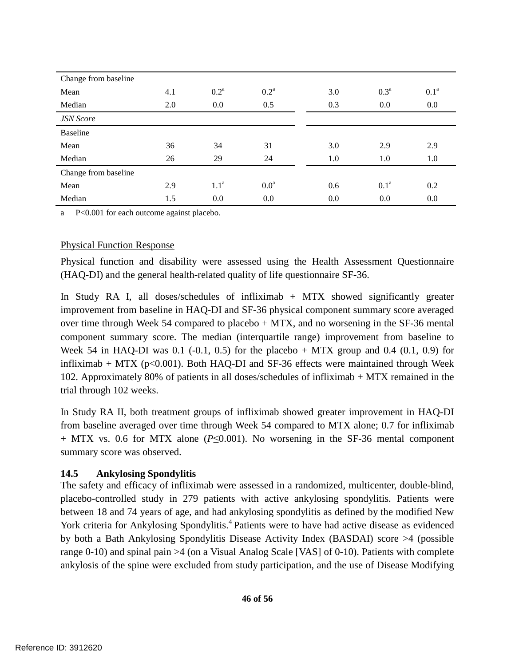| Change from baseline |     |                  |                  |     |                  |                  |
|----------------------|-----|------------------|------------------|-----|------------------|------------------|
| Mean                 | 4.1 | 0.2 <sup>a</sup> | 0.2 <sup>a</sup> | 3.0 | 0.3 <sup>a</sup> | 0.1 <sup>a</sup> |
| Median               | 2.0 | $0.0\,$          | 0.5              | 0.3 | 0.0              | 0.0              |
| <b>JSN</b> Score     |     |                  |                  |     |                  |                  |
| <b>Baseline</b>      |     |                  |                  |     |                  |                  |
| Mean                 | 36  | 34               | 31               | 3.0 | 2.9              | 2.9              |
| Median               | 26  | 29               | 24               | 1.0 | 1.0              | 1.0              |
| Change from baseline |     |                  |                  |     |                  |                  |
| Mean                 | 2.9 | 1.1 <sup>a</sup> | 0.0 <sup>a</sup> | 0.6 | 0.1 <sup>a</sup> | 0.2              |
| Median               | 1.5 | 0.0              | 0.0              | 0.0 | 0.0              | 0.0              |

P<0.001 for each outcome against placebo.

#### Physical Function Response

 (HAQ-DI) and the general health-related quality of life questionnaire SF-36. Physical function and disability were assessed using the Health Assessment Questionnaire

 In Study RA I, all doses/schedules of infliximab + MTX showed significantly greater improvement from baseline in HAQ-DI and SF-36 physical component summary score averaged over time through Week 54 compared to placebo + MTX, and no worsening in the SF-36 mental component summary score. The median (interquartile range) improvement from baseline to Week 54 in HAQ-DI was 0.1 (-0.1, 0.5) for the placebo  $+$  MTX group and 0.4 (0.1, 0.9) for infliximab + MTX ( $p<0.001$ ). Both HAQ-DI and SF-36 effects were maintained through Week 102. Approximately 80% of patients in all doses/schedules of infliximab + MTX remained in the trial through 102 weeks.

In Study RA II, both treatment groups of infliximab showed greater improvement in HAQ-DI from baseline averaged over time through Week 54 compared to MTX alone; 0.7 for infliximab + MTX vs. 0.6 for MTX alone (*P*≤0.001). No worsening in the SF-36 mental component summary score was observed.

#### **14.5 Ankylosing Spondylitis**

 placebo-controlled study in 279 patients with active ankylosing spondylitis. Patients were by both a Bath Ankylosing Spondylitis Disease Activity Index (BASDAI) score >4 (possible The safety and efficacy of infliximab were assessed in a randomized, multicenter, double-blind, between 18 and 74 years of age, and had ankylosing spondylitis as defined by the modified New York criteria for Ankylosing Spondylitis.<sup>4</sup> Patients were to have had active disease as evidenced range 0-10) and spinal pain >4 (on a Visual Analog Scale [VAS] of 0-10). Patients with complete ankylosis of the spine were excluded from study participation, and the use of Disease Modifying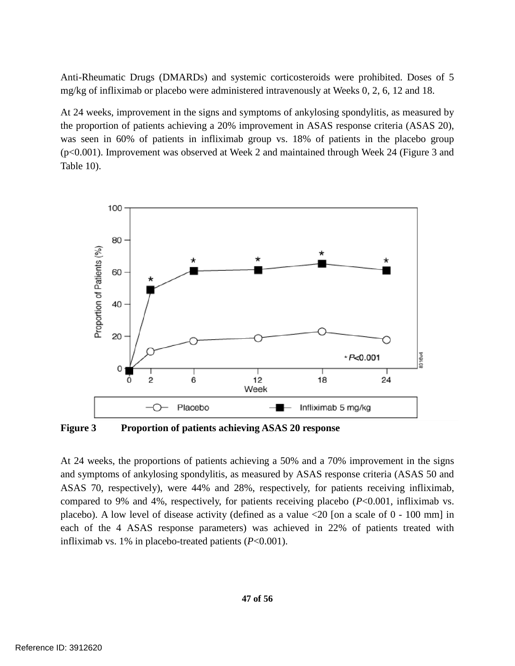mg/kg of infliximab or placebo were administered intravenously at Weeks 0, 2, 6, 12 and 18. Anti-Rheumatic Drugs (DMARDs) and systemic corticosteroids were prohibited. Doses of 5

At 24 weeks, improvement in the signs and symptoms of ankylosing spondylitis, as measured by the proportion of patients achieving a 20% improvement in ASAS response criteria (ASAS 20), was seen in 60% of patients in infliximab group vs. 18% of patients in the placebo group (p<0.001). Improvement was observed at Week 2 and maintained through Week 24 [\(Figure 3](#page-46-0) and [Table 10\)](#page-47-0).



<span id="page-46-0"></span>**Figure 3 Proportion of patients achieving ASAS 20 response** 

 placebo). A low level of disease activity (defined as a value <20 [on a scale of 0 - 100 mm] in At 24 weeks, the proportions of patients achieving a 50% and a 70% improvement in the signs and symptoms of ankylosing spondylitis, as measured by ASAS response criteria (ASAS 50 and ASAS 70, respectively), were 44% and 28%, respectively, for patients receiving infliximab, compared to 9% and 4%, respectively, for patients receiving placebo (*P*<0.001, infliximab vs. each of the 4 ASAS response parameters) was achieved in 22% of patients treated with infliximab vs. 1% in placebo-treated patients (*P*<0.001).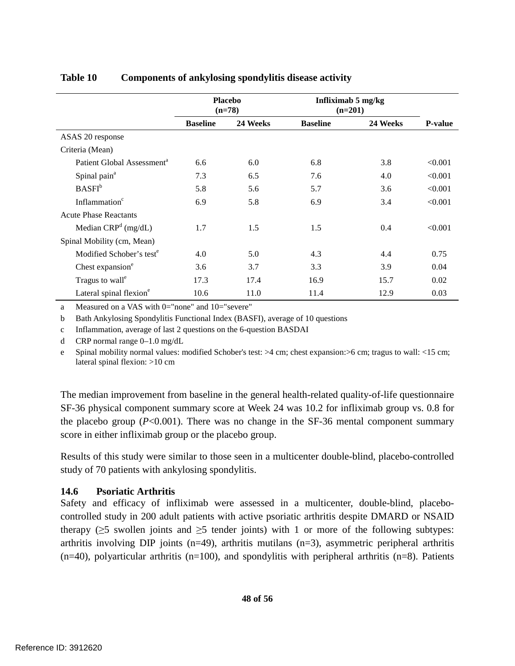|                                        | <b>Placebo</b><br>$(n=78)$ |          | Infliximab 5 mg/kg<br>$(n=201)$ |          |                |
|----------------------------------------|----------------------------|----------|---------------------------------|----------|----------------|
|                                        | <b>Baseline</b>            | 24 Weeks | <b>Baseline</b>                 | 24 Weeks | <b>P-value</b> |
| ASAS 20 response                       |                            |          |                                 |          |                |
| Criteria (Mean)                        |                            |          |                                 |          |                |
| Patient Global Assessment <sup>a</sup> | 6.6                        | 6.0      | 6.8                             | 3.8      | < 0.001        |
| Spinal pain <sup>a</sup>               | 7.3                        | 6.5      | 7.6                             | 4.0      | < 0.001        |
| BASFI <sup>b</sup>                     | 5.8                        | 5.6      | 5.7                             | 3.6      | < 0.001        |
| Inflammation <sup>c</sup>              | 6.9                        | 5.8      | 6.9                             | 3.4      | < 0.001        |
| <b>Acute Phase Reactants</b>           |                            |          |                                 |          |                |
| Median $CRPd$ (mg/dL)                  | 1.7                        | 1.5      | 1.5                             | 0.4      | < 0.001        |
| Spinal Mobility (cm, Mean)             |                            |          |                                 |          |                |
| Modified Schober's test <sup>e</sup>   | 4.0                        | 5.0      | 4.3                             | 4.4      | 0.75           |
| Chest expansion <sup>e</sup>           | 3.6                        | 3.7      | 3.3                             | 3.9      | 0.04           |
| Tragus to wall <sup>e</sup>            | 17.3                       | 17.4     | 16.9                            | 15.7     | 0.02           |
| Lateral spinal flexion <sup>e</sup>    | 10.6                       | 11.0     | 11.4                            | 12.9     | 0.03           |

#### <span id="page-47-0"></span>**Table 10 Components of ankylosing spondylitis disease activity**

a Measured on a VAS with 0="none" and 10="severe"

b Bath Ankylosing Spondylitis Functional Index (BASFI), average of 10 questions

c Inflammation, average of last 2 questions on the 6-question BASDAI

d CRP normal range 0–1.0 mg/dL

e Spinal mobility normal values: modified Schober's test: >4 cm; chest expansion:>6 cm; tragus to wall: <15 cm; lateral spinal flexion: >10 cm

The median improvement from baseline in the general health-related quality-of-life questionnaire SF-36 physical component summary score at Week 24 was 10.2 for infliximab group vs. 0.8 for the placebo group  $(P<0.001)$ . There was no change in the SF-36 mental component summary score in either infliximab group or the placebo group.

Results of this study were similar to those seen in a multicenter double-blind, placebo-controlled study of 70 patients with ankylosing spondylitis.

#### **14.6 Psoriatic Arthritis**

Safety and efficacy of infliximab were assessed in a multicenter, double-blind, placebocontrolled study in 200 adult patients with active psoriatic arthritis despite DMARD or NSAID therapy ( $\geq$ 5 swollen joints and  $\geq$ 5 tender joints) with 1 or more of the following subtypes: arthritis involving DIP joints (n=49), arthritis mutilans (n=3), asymmetric peripheral arthritis  $(n=40)$ , polyarticular arthritis  $(n=100)$ , and spondylitis with peripheral arthritis  $(n=8)$ . Patients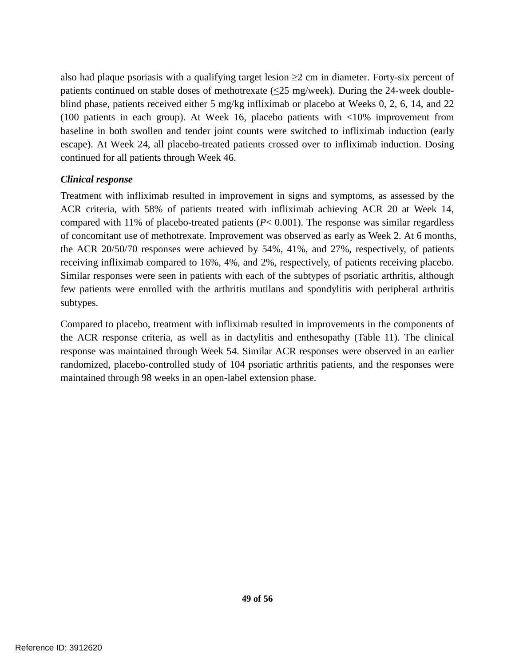also had plaque psoriasis with a qualifying target lesion  $\geq$  2 cm in diameter. Forty-six percent of patients continued on stable doses of methotrexate ( $\leq$ 25 mg/week). During the 24-week doubleblind phase, patients received either 5 mg/kg infliximab or placebo at Weeks 0, 2, 6, 14, and 22 (100 patients in each group). At Week 16, placebo patients with <10% improvement from baseline in both swollen and tender joint counts were switched to infliximab induction (early escape). At Week 24, all placebo-treated patients crossed over to infliximab induction. Dosing continued for all patients through Week 46.

#### *Clinical response*

 of concomitant use of methotrexate. Improvement was observed as early as Week 2. At 6 months, the ACR 20/50/70 responses were achieved by 54%, 41%, and 27%, respectively, of patients Treatment with infliximab resulted in improvement in signs and symptoms, as assessed by the ACR criteria, with 58% of patients treated with infliximab achieving ACR 20 at Week 14, compared with 11% of placebo-treated patients (*P*< 0.001). The response was similar regardless receiving infliximab compared to 16%, 4%, and 2%, respectively, of patients receiving placebo. Similar responses were seen in patients with each of the subtypes of psoriatic arthritis, although few patients were enrolled with the arthritis mutilans and spondylitis with peripheral arthritis subtypes.

Compared to placebo, treatment with infliximab resulted in improvements in the components of the ACR response criteria, as well as in dactylitis and enthesopathy [\(Table 11\)](#page-49-0). The clinical response was maintained through Week 54. Similar ACR responses were observed in an earlier randomized, placebo-controlled study of 104 psoriatic arthritis patients, and the responses were maintained through 98 weeks in an open-label extension phase.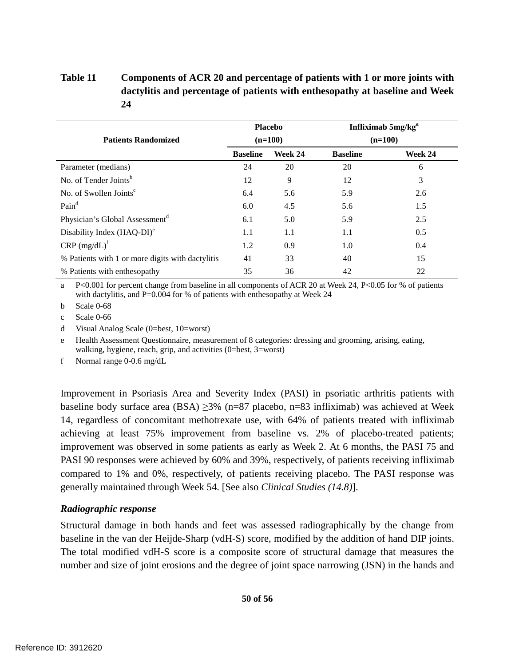# <span id="page-49-0"></span>**Table 11 Components of ACR 20 and percentage of patients with 1 or more joints with dactylitis and percentage of patients with enthesopathy at baseline and Week 24**

|                                                  | <b>Placebo</b>  |         | Infliximab 5mg/kg <sup>a</sup> |         |  |
|--------------------------------------------------|-----------------|---------|--------------------------------|---------|--|
| <b>Patients Randomized</b>                       | $(n=100)$       |         | $(n=100)$                      |         |  |
|                                                  | <b>Baseline</b> | Week 24 | <b>Baseline</b>                | Week 24 |  |
| Parameter (medians)                              | 24              | 20      | 20                             | 6       |  |
| No. of Tender Joints <sup>b</sup>                | 12              | 9       | 12                             | 3       |  |
| No. of Swollen Joints <sup>c</sup>               | 6.4             | 5.6     | 5.9                            | 2.6     |  |
| Pain <sup>d</sup>                                | 6.0             | 4.5     | 5.6                            | 1.5     |  |
| Physician's Global Assessment <sup>d</sup>       | 6.1             | 5.0     | 5.9                            | 2.5     |  |
| Disability Index $(HAQ-DI)^e$                    | 1.1             | 1.1     | 1.1                            | 0.5     |  |
| $CRP (mg/dL)^f$                                  | 1.2             | 0.9     | 1.0                            | 0.4     |  |
| % Patients with 1 or more digits with dactylitis | 41              | 33      | 40                             | 15      |  |
| % Patients with enthesopathy                     | 35              | 36      | 42                             | 22      |  |

 a P<0.001 for percent change from baseline in all components of ACR 20 at Week 24, P<0.05 for % of patients with dactylitis, and P=0.004 for % of patients with enthesopathy at Week 24

b Scale 0-68

c Scale 0-66

d Visual Analog Scale (0=best, 10=worst)

e Health Assessment Questionnaire, measurement of 8 categories: dressing and grooming, arising, eating, walking, hygiene, reach, grip, and activities (0=best, 3=worst)

f Normal range 0-0.6 mg/dL

Improvement in Psoriasis Area and Severity Index (PASI) in psoriatic arthritis patients with baseline body surface area (BSA)  $\geq$ 3% (n=87 placebo, n=83 infliximab) was achieved at Week 14, regardless of concomitant methotrexate use, with 64% of patients treated with infliximab achieving at least 75% improvement from baseline vs. 2% of placebo-treated patients; improvement was observed in some patients as early as Week 2. At 6 months, the PASI 75 and PASI 90 responses were achieved by 60% and 39%, respectively, of patients receiving infliximab compared to 1% and 0%, respectively, of patients receiving placebo. The PASI response was generally maintained through Week 54. [See also *Clinical Studies (14.8)*].

### *Radiographic response*

 Structural damage in both hands and feet was assessed radiographically by the change from baseline in the van der Heijde-Sharp (vdH-S) score, modified by the addition of hand DIP joints. The total modified vdH-S score is a composite score of structural damage that measures the number and size of joint erosions and the degree of joint space narrowing (JSN) in the hands and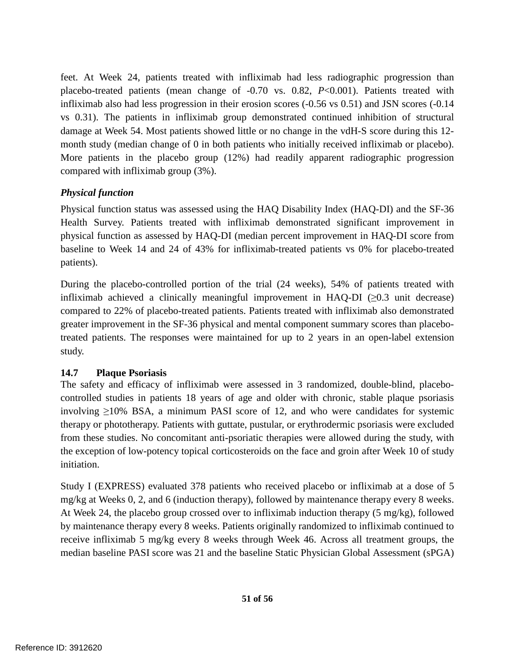month study (median change of 0 in both patients who initially received infliximab or placebo). compared with infliximab group (3%). feet. At Week 24, patients treated with infliximab had less radiographic progression than placebo-treated patients (mean change of -0.70 vs. 0.82, *P*<0.001). Patients treated with infliximab also had less progression in their erosion scores (-0.56 vs 0.51) and JSN scores (-0.14 vs 0.31). The patients in infliximab group demonstrated continued inhibition of structural damage at Week 54. Most patients showed little or no change in the vdH-S score during this 12 More patients in the placebo group (12%) had readily apparent radiographic progression

## *Physical function*

 physical function as assessed by HAQ-DI (median percent improvement in HAQ-DI score from Physical function status was assessed using the HAQ Disability Index (HAQ-DI) and the SF-36 Health Survey. Patients treated with infliximab demonstrated significant improvement in baseline to Week 14 and 24 of 43% for infliximab-treated patients vs 0% for placebo-treated patients).

 During the placebo-controlled portion of the trial (24 weeks), 54% of patients treated with infliximab achieved a clinically meaningful improvement in  $HAO-DI$  ( $\geq 0.3$  unit decrease) compared to 22% of placebo-treated patients. Patients treated with infliximab also demonstrated greater improvement in the SF-36 physical and mental component summary scores than placebotreated patients. The responses were maintained for up to 2 years in an open-label extension study.

## **14.7 Plaque Psoriasis**

 involving ≥10% BSA, a minimum PASI score of 12, and who were candidates for systemic The safety and efficacy of infliximab were assessed in 3 randomized, double-blind, placebocontrolled studies in patients 18 years of age and older with chronic, stable plaque psoriasis therapy or phototherapy. Patients with guttate, pustular, or erythrodermic psoriasis were excluded from these studies. No concomitant anti-psoriatic therapies were allowed during the study, with the exception of low-potency topical corticosteroids on the face and groin after Week 10 of study initiation.

 At Week 24, the placebo group crossed over to infliximab induction therapy (5 mg/kg), followed receive infliximab 5 mg/kg every 8 weeks through Week 46. Across all treatment groups, the Study I (EXPRESS) evaluated 378 patients who received placebo or infliximab at a dose of 5 mg/kg at Weeks 0, 2, and 6 (induction therapy), followed by maintenance therapy every 8 weeks. by maintenance therapy every 8 weeks. Patients originally randomized to infliximab continued to median baseline PASI score was 21 and the baseline Static Physician Global Assessment (sPGA)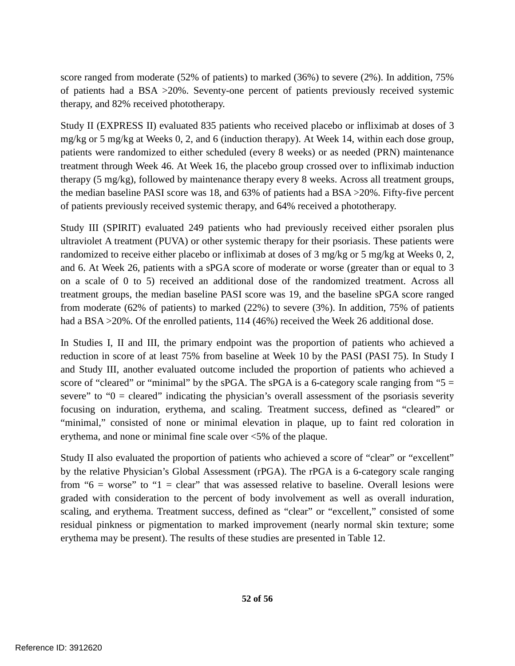of patients had a BSA >20%. Seventy-one percent of patients previously received systemic score ranged from moderate (52% of patients) to marked (36%) to severe (2%). In addition, 75% therapy, and 82% received phototherapy.

 Study II (EXPRESS II) evaluated 835 patients who received placebo or infliximab at doses of 3 treatment through Week 46. At Week 16, the placebo group crossed over to infliximab induction mg/kg or 5 mg/kg at Weeks 0, 2, and 6 (induction therapy). At Week 14, within each dose group, patients were randomized to either scheduled (every 8 weeks) or as needed (PRN) maintenance therapy (5 mg/kg), followed by maintenance therapy every 8 weeks. Across all treatment groups, the median baseline PASI score was 18, and 63% of patients had a BSA >20%. Fifty-five percent of patients previously received systemic therapy, and 64% received a phototherapy.

 Study III (SPIRIT) evaluated 249 patients who had previously received either psoralen plus ultraviolet A treatment (PUVA) or other systemic therapy for their psoriasis. These patients were randomized to receive either placebo or infliximab at doses of 3 mg/kg or 5 mg/kg at Weeks 0, 2, and 6. At Week 26, patients with a sPGA score of moderate or worse (greater than or equal to 3 on a scale of 0 to 5) received an additional dose of the randomized treatment. Across all treatment groups, the median baseline PASI score was 19, and the baseline sPGA score ranged from moderate (62% of patients) to marked (22%) to severe (3%). In addition, 75% of patients had a BSA > 20%. Of the enrolled patients, 114 (46%) received the Week 26 additional dose.

 In Studies I, II and III, the primary endpoint was the proportion of patients who achieved a reduction in score of at least 75% from baseline at Week 10 by the PASI (PASI 75). In Study I focusing on induration, erythema, and scaling. Treatment success, defined as "cleared" or and Study III, another evaluated outcome included the proportion of patients who achieved a score of "cleared" or "minimal" by the sPGA. The sPGA is a 6-category scale ranging from " $5 =$ severe" to " $0 =$  cleared" indicating the physician's overall assessment of the psoriasis severity "minimal," consisted of none or minimal elevation in plaque, up to faint red coloration in erythema, and none or minimal fine scale over <5% of the plaque.

 Study II also evaluated the proportion of patients who achieved a score of "clear" or "excellent" by the relative Physician's Global Assessment (rPGA). The rPGA is a 6-category scale ranging from " $6 = \text{worse}$ " to " $1 = \text{clear}$ " that was assessed relative to baseline. Overall lesions were graded with consideration to the percent of body involvement as well as overall induration, scaling, and erythema. Treatment success, defined as "clear" or "excellent," consisted of some residual pinkness or pigmentation to marked improvement (nearly normal skin texture; some erythema may be present). The results of these studies are presented in [Table 12.](#page-52-0)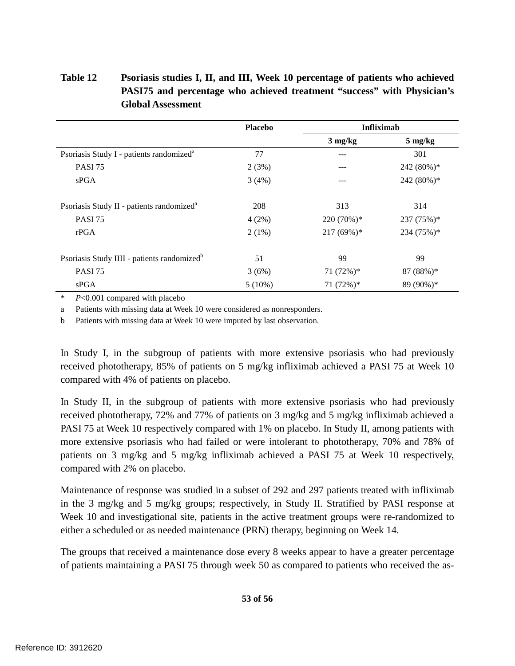## <span id="page-52-0"></span> **PASI75 and percentage who achieved treatment "success" with Physician's Table 12 Psoriasis studies I, II, and III, Week 10 percentage of patients who achieved Global Assessment**

|                                                         | <b>Placebo</b> | <b>Infliximab</b> |                   |  |
|---------------------------------------------------------|----------------|-------------------|-------------------|--|
|                                                         |                | $3 \text{ mg/kg}$ | $5 \text{ mg/kg}$ |  |
| Psoriasis Study I - patients randomized <sup>a</sup>    | 77             |                   | 301               |  |
| PASI 75                                                 | 2(3%)          | ---               | 242 (80%)*        |  |
| s <sub>P</sub> G <sub>A</sub>                           | 3(4%)          |                   | 242 (80%)*        |  |
| Psoriasis Study II - patients randomized <sup>a</sup>   | 208            | 313               | 314               |  |
| PASI 75                                                 | 4(2%)          | 220 (70%)*        | 237 (75%)*        |  |
| rPGA                                                    | $2(1\%)$       | $217(69%)$ *      | 234 (75%)*        |  |
| Psoriasis Study IIII - patients randomized <sup>b</sup> | 51             | 99                | 99                |  |
| PASI 75                                                 | 3(6%)          | $71(72%)$ *       | $87(88%)*$        |  |
| sPGA                                                    | $5(10\%)$      | $71(72%)$ *       | 89 (90%)*         |  |

\* *P*<0.001 compared with placebo

a Patients with missing data at Week 10 were considered as nonresponders.

b Patients with missing data at Week 10 were imputed by last observation.

In Study I, in the subgroup of patients with more extensive psoriasis who had previously received phototherapy, 85% of patients on 5 mg/kg infliximab achieved a PASI 75 at Week 10 compared with 4% of patients on placebo.

 PASI 75 at Week 10 respectively compared with 1% on placebo. In Study II, among patients with more extensive psoriasis who had failed or were intolerant to phototherapy, 70% and 78% of patients on 3 mg/kg and 5 mg/kg infliximab achieved a PASI 75 at Week 10 respectively, In Study II, in the subgroup of patients with more extensive psoriasis who had previously received phototherapy, 72% and 77% of patients on 3 mg/kg and 5 mg/kg infliximab achieved a compared with 2% on placebo.

 Maintenance of response was studied in a subset of 292 and 297 patients treated with infliximab in the 3 mg/kg and 5 mg/kg groups; respectively, in Study II. Stratified by PASI response at Week 10 and investigational site, patients in the active treatment groups were re-randomized to either a scheduled or as needed maintenance (PRN) therapy, beginning on Week 14.

The groups that received a maintenance dose every 8 weeks appear to have a greater percentage of patients maintaining a PASI 75 through week 50 as compared to patients who received the as-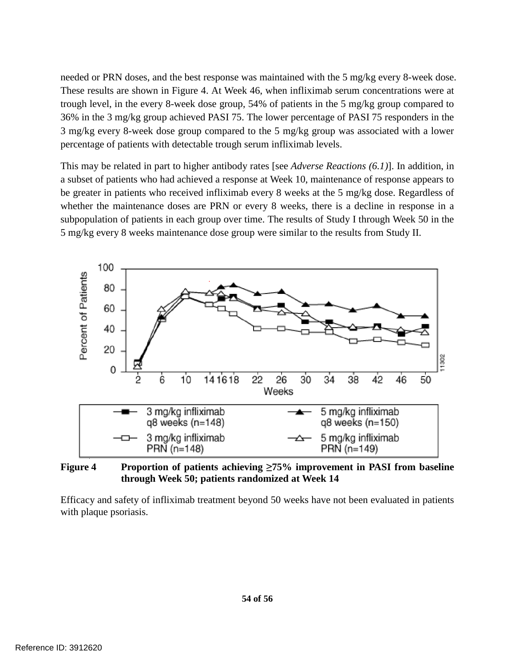needed or PRN doses, and the best response was maintained with the 5 mg/kg every 8-week dose. These results are shown in Figure 4. At Week 46, when infliximab serum concentrations were at trough level, in the every 8-week dose group, 54% of patients in the 5 mg/kg group compared to 36% in the 3 mg/kg group achieved PASI 75. The lower percentage of PASI 75 responders in the 3 mg/kg every 8-week dose group compared to the 5 mg/kg group was associated with a lower percentage of patients with detectable trough serum infliximab levels.

 This may be related in part to higher antibody rates [see *Adverse Reactions (6.1)*]. In addition, in a subset of patients who had achieved a response at Week 10, maintenance of response appears to 5 mg/kg every 8 weeks maintenance dose group were similar to the results from Study II. be greater in patients who received infliximab every 8 weeks at the 5 mg/kg dose. Regardless of whether the maintenance doses are PRN or every 8 weeks, there is a decline in response in a subpopulation of patients in each group over time. The results of Study I through Week 50 in the



**Figure 4 Proportion of patients achieving ≥75% improvement in PASI from baseline through Week 50; patients randomized at Week 14** 

Efficacy and safety of infliximab treatment beyond 50 weeks have not been evaluated in patients with plaque psoriasis.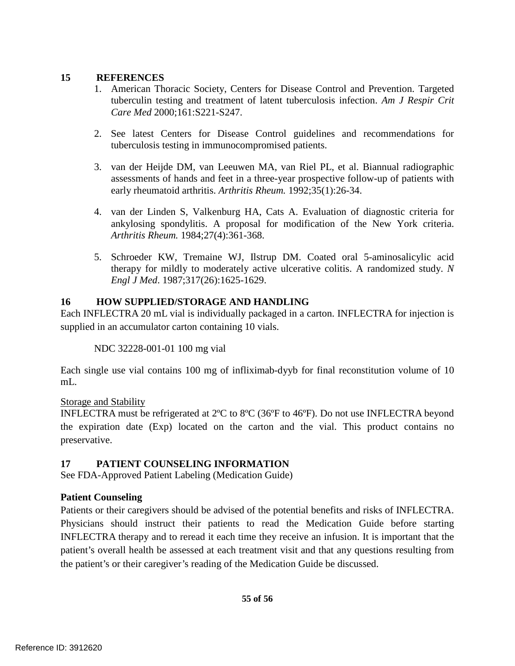#### **15 REFERENCES**

- 1. American Thoracic Society, Centers for Disease Control and Prevention. Targeted tuberculin testing and treatment of latent tuberculosis infection. *Am J Respir Crit Care Med* 2000;161:S221-S247.
- 2. See latest Centers for Disease Control guidelines and recommendations for tuberculosis testing in immunocompromised patients.
- 3. van der Heijde DM, van Leeuwen MA, van Riel PL, et al. Biannual radiographic assessments of hands and feet in a three-year prospective follow-up of patients with early rheumatoid arthritis. *Arthritis Rheum.* 1992;35(1):26-34.
- 4. van der Linden S, Valkenburg HA, Cats A. Evaluation of diagnostic criteria for ankylosing spondylitis. A proposal for modification of the New York criteria. *Arthritis Rheum.* 1984;27(4):361-368.
- 5. Schroeder KW, Tremaine WJ, Ilstrup DM. Coated oral 5-aminosalicylic acid therapy for mildly to moderately active ulcerative colitis. A randomized study. *N Engl J Med*. 1987;317(26):1625-1629.

### **16 HOW SUPPLIED/STORAGE AND HANDLING**

Each INFLECTRA 20 mL vial is individually packaged in a carton. INFLECTRA for injection is supplied in an accumulator carton containing 10 vials.

NDC 32228-001-01 100 mg vial

 Each single use vial contains 100 mg of infliximab-dyyb for final reconstitution volume of 10 mL.

Storage and Stability

 INFLECTRA must be refrigerated at 2ºC to 8ºC (36ºF to 46ºF). Do not use INFLECTRA beyond the expiration date (Exp) located on the carton and the vial. This product contains no preservative.

### **17 PATIENT COUNSELING INFORMATION**

See FDA-Approved Patient Labeling (Medication Guide)

### **Patient Counseling**

 the patient's or their caregiver's reading of the Medication Guide be discussed. Patients or their caregivers should be advised of the potential benefits and risks of INFLECTRA. Physicians should instruct their patients to read the Medication Guide before starting INFLECTRA therapy and to reread it each time they receive an infusion. It is important that the patient's overall health be assessed at each treatment visit and that any questions resulting from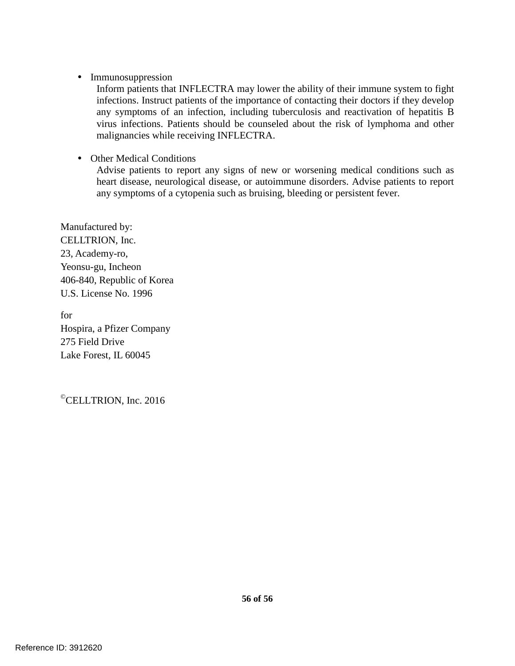#### • Immunosuppression

Inform patients that INFLECTRA may lower the ability of their immune system to fight infections. Instruct patients of the importance of contacting their doctors if they develop any symptoms of an infection, including tuberculosis and reactivation of hepatitis B virus infections. Patients should be counseled about the risk of lymphoma and other malignancies while receiving INFLECTRA.

#### • Other Medical Conditions

Advise patients to report any signs of new or worsening medical conditions such as heart disease, neurological disease, or autoimmune disorders. Advise patients to report any symptoms of a cytopenia such as bruising, bleeding or persistent fever.

Manufactured by: CELLTRION, Inc. 23, Academy-ro, Yeonsu-gu, Incheon 406-840, Republic of Korea U.S. License No. 1996

for Hospira, a Pfizer Company 275 Field Drive Lake Forest, IL 60045

<sup>©</sup>CELLTRION, Inc. 2016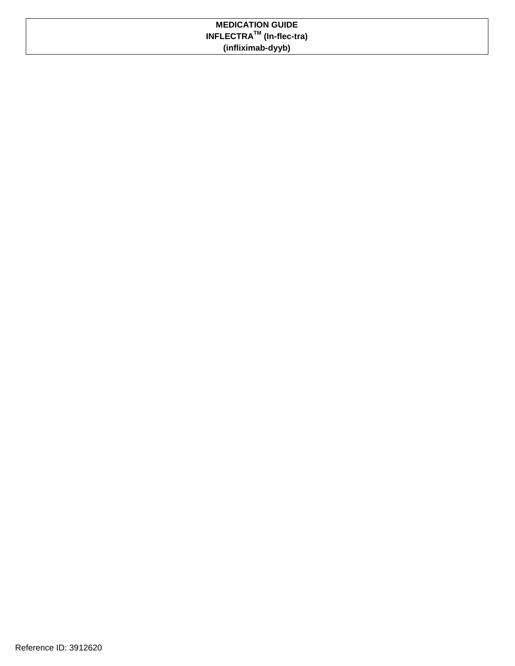#### **MEDICATION GUIDE INFLECTRATM (In-flec-tra) (infliximab-dyyb)**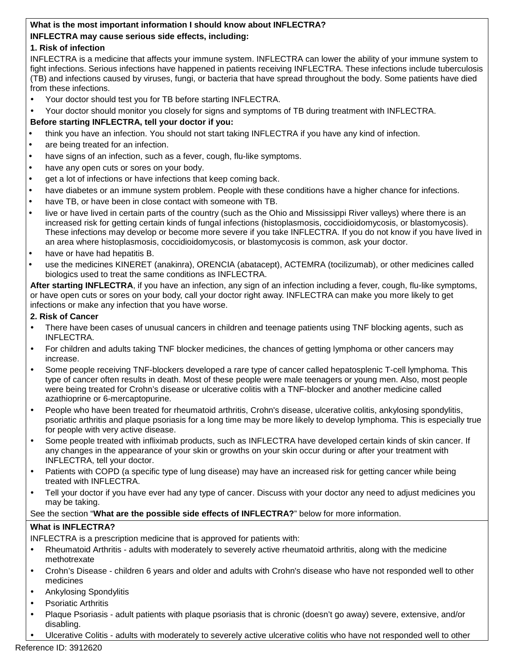#### **What is the most important information I should know about INFLECTRA? INFLECTRA may cause serious side effects, including:**

#### **1. Risk of infection**

 INFLECTRA is a medicine that affects your immune system. INFLECTRA can lower the ability of your immune system to fight infections. Serious infections have happened in patients receiving INFLECTRA. These infections include tuberculosis (TB) and infections caused by viruses, fungi, or bacteria that have spread throughout the body. Some patients have died from these infections.

- Your doctor should test you for TB before starting INFLECTRA.
- Your doctor should monitor you closely for signs and symptoms of TB during treatment with INFLECTRA.

#### **Before starting INFLECTRA, tell your doctor if you:**

- think you have an infection. You should not start taking INFLECTRA if you have any kind of infection.
- are being treated for an infection.
- have signs of an infection, such as a fever, cough, flu-like symptoms.
- have any open cuts or sores on your body.
- get a lot of infections or have infections that keep coming back.
- have diabetes or an immune system problem. People with these conditions have a higher chance for infections.
- have TB, or have been in close contact with someone with TB.
- These infections may develop or become more severe if you take INFLECTRA. If you do not know if you have lived in live or have lived in certain parts of the country (such as the Ohio and Mississippi River valleys) where there is an increased risk for getting certain kinds of fungal infections (histoplasmosis, coccidioidomycosis, or blastomycosis). an area where histoplasmosis, coccidioidomycosis, or blastomycosis is common, ask your doctor.
- have or have had hepatitis B.
- use the medicines KINERET (anakinra), ORENCIA (abatacept), ACTEMRA (tocilizumab), or other medicines called biologics used to treat the same conditions as INFLECTRA.

 or have open cuts or sores on your body, call your doctor right away. INFLECTRA can make you more likely to get **After starting INFLECTRA**, if you have an infection, any sign of an infection including a fever, cough, flu-like symptoms, infections or make any infection that you have worse.

#### **2. Risk of Cancer**

- There have been cases of unusual cancers in children and teenage patients using TNF blocking agents, such as INFLECTRA.
- For children and adults taking TNF blocker medicines, the chances of getting lymphoma or other cancers may increase.
- Some people receiving TNF-blockers developed a rare type of cancer called hepatosplenic T-cell lymphoma. This type of cancer often results in death. Most of these people were male teenagers or young men. Also, most people were being treated for Crohn's disease or ulcerative colitis with a TNF-blocker and another medicine called azathioprine or 6-mercaptopurine.
- People who have been treated for rheumatoid arthritis, Crohn's disease, ulcerative colitis, ankylosing spondylitis, psoriatic arthritis and plaque psoriasis for a long time may be more likely to develop lymphoma. This is especially true for people with very active disease.
- Some people treated with infliximab products, such as INFLECTRA have developed certain kinds of skin cancer. If any changes in the appearance of your skin or growths on your skin occur during or after your treatment with INFLECTRA, tell your doctor.
- Patients with COPD (a specific type of lung disease) may have an increased risk for getting cancer while being treated with INFLECTRA.
- Tell your doctor if you have ever had any type of cancer. Discuss with your doctor any need to adjust medicines you may be taking.

#### See the section "**What are the possible side effects of INFLECTRA?**" below for more information.

### **What is INFLECTRA?**

INFLECTRA is a prescription medicine that is approved for patients with:

- Rheumatoid Arthritis adults with moderately to severely active rheumatoid arthritis, along with the medicine methotrexate
- Crohn's Disease children 6 years and older and adults with Crohn's disease who have not responded well to other medicines
- Ankylosing Spondylitis
- Psoriatic Arthritis
- Plaque Psoriasis adult patients with plaque psoriasis that is chronic (doesn't go away) severe, extensive, and/or disabling.
- Ulcerative Colitis adults with moderately to severely active ulcerative colitis who have not responded well to other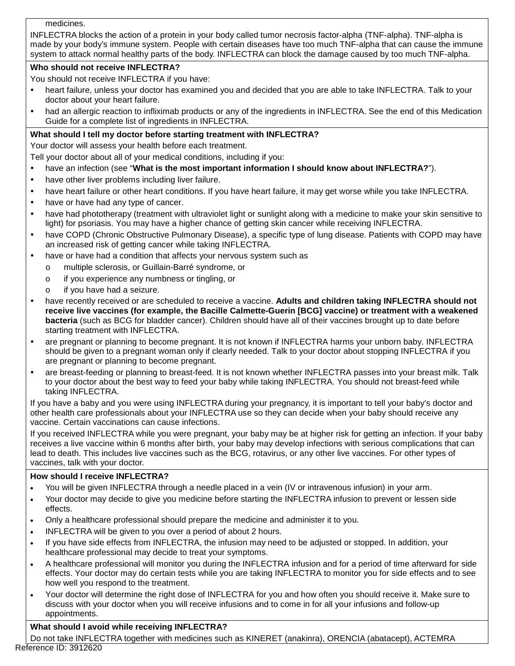medicines.

INFLECTRA blocks the action of a protein in your body called tumor necrosis factor-alpha (TNF-alpha). TNF-alpha is made by your body's immune system. People with certain diseases have too much TNF-alpha that can cause the immune system to attack normal healthy parts of the body. INFLECTRA can block the damage caused by too much TNF-alpha.

#### **Who should not receive INFLECTRA?**

You should not receive INFLECTRA if you have:

- heart failure, unless your doctor has examined you and decided that you are able to take INFLECTRA. Talk to your doctor about your heart failure.
- had an allergic reaction to infliximab products or any of the ingredients in INFLECTRA. See the end of this Medication Guide for a complete list of ingredients in INFLECTRA.

#### **What should I tell my doctor before starting treatment with INFLECTRA?**

Your doctor will assess your health before each treatment.

Tell your doctor about all of your medical conditions, including if you:

- have an infection (see "**What is the most important information I should know about INFLECTRA?**").
- have other liver problems including liver failure.
- have heart failure or other heart conditions. If you have heart failure, it may get worse while you take INFLECTRA.
- have or have had any type of cancer.
- have had phototherapy (treatment with ultraviolet light or sunlight along with a medicine to make your skin sensitive to light) for psoriasis. You may have a higher chance of getting skin cancer while receiving INFLECTRA.
- have COPD (Chronic Obstructive Pulmonary Disease), a specific type of lung disease. Patients with COPD may have an increased risk of getting cancer while taking INFLECTRA.
- have or have had a condition that affects your nervous system such as
	- o multiple sclerosis, or Guillain-Barré syndrome, or
	- o if you experience any numbness or tingling, or
	- o if you have had a seizure.
- starting treatment with INFLECTRA. have recently received or are scheduled to receive a vaccine. **Adults and children taking INFLECTRA should not receive live vaccines (for example, the Bacille Calmette-Guerin [BCG] vaccine) or treatment with a weakened bacteria** (such as BCG for bladder cancer). Children should have all of their vaccines brought up to date before
- are pregnant or planning to become pregnant. It is not known if INFLECTRA harms your unborn baby. INFLECTRA should be given to a pregnant woman only if clearly needed. Talk to your doctor about stopping INFLECTRA if you are pregnant or planning to become pregnant.
- are breast-feeding or planning to breast-feed. It is not known whether INFLECTRA passes into your breast milk. Talk to your doctor about the best way to feed your baby while taking INFLECTRA. You should not breast-feed while taking INFLECTRA.

 If you have a baby and you were using INFLECTRA during your pregnancy, it is important to tell your baby's doctor and other health care professionals about your INFLECTRA use so they can decide when your baby should receive any vaccine. Certain vaccinations can cause infections.

 If you received INFLECTRA while you were pregnant, your baby may be at higher risk for getting an infection. If your baby receives a live vaccine within 6 months after birth, your baby may develop infections with serious complications that can lead to death. This includes live vaccines such as the BCG, rotavirus, or any other live vaccines. For other types of vaccines, talk with your doctor.

#### **How should I receive INFLECTRA?**

- You will be given INFLECTRA through a needle placed in a vein (IV or intravenous infusion) in your arm.
- Your doctor may decide to give you medicine before starting the INFLECTRA infusion to prevent or lessen side effects.
- Only a healthcare professional should prepare the medicine and administer it to you.
- INFLECTRA will be given to you over a period of about 2 hours.
- • If you have side effects from INFLECTRA, the infusion may need to be adjusted or stopped. In addition, your healthcare professional may decide to treat your symptoms.
- effects. Your doctor may do certain tests while you are taking INFLECTRA to monitor you for side effects and to see how well you respond to the treatment. • A healthcare professional will monitor you during the INFLECTRA infusion and for a period of time afterward for side
- • Your doctor will determine the right dose of INFLECTRA for you and how often you should receive it. Make sure to discuss with your doctor when you will receive infusions and to come in for all your infusions and follow-up appointments.

#### **What should I avoid while receiving INFLECTRA?**

 Do not take INFLECTRA together with medicines such as KINERET (anakinra), ORENCIA (abatacept), ACTEMRA Reference ID: 3912620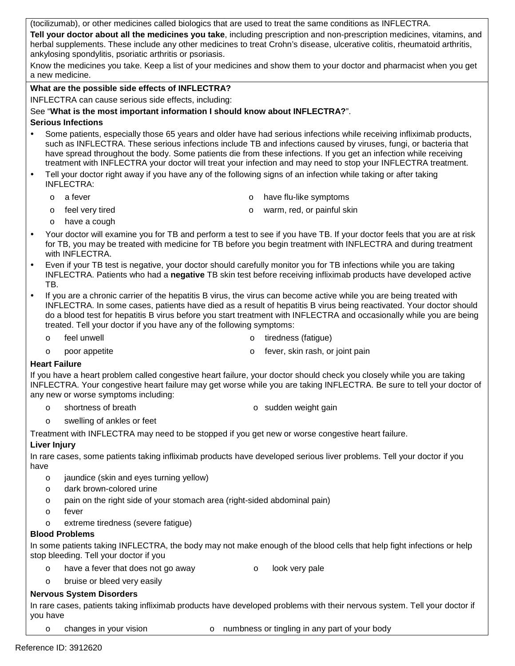(tocilizumab), or other medicines called biologics that are used to treat the same conditions as INFLECTRA.

 herbal supplements. These include any other medicines to treat Crohn's disease, ulcerative colitis, rheumatoid arthritis, **Tell your doctor about all the medicines you take**, including prescription and non-prescription medicines, vitamins, and ankylosing spondylitis, psoriatic arthritis or psoriasis.

Know the medicines you take. Keep a list of your medicines and show them to your doctor and pharmacist when you get a new medicine.

#### **What are the possible side effects of INFLECTRA?**

INFLECTRA can cause serious side effects, including:

# See "**What is the most important information I should know about INFLECTRA?**".

#### **Serious Infections**

- treatment with INFLECTRA your doctor will treat your infection and may need to stop your INFLECTRA treatment. Some patients, especially those 65 years and older have had serious infections while receiving infliximab products, such as INFLECTRA. These serious infections include TB and infections caused by viruses, fungi, or bacteria that have spread throughout the body. Some patients die from these infections. If you get an infection while receiving
- Tell your doctor right away if you have any of the following signs of an infection while taking or after taking INFLECTRA:
	- $\Omega$
- a fever a set of the symptoms of the symptoms of the symptoms of the symptoms of the symptoms
	- o feel very tired

o warm, red, or painful skin

- o have a cough
- Your doctor will examine you for TB and perform a test to see if you have TB. If your doctor feels that you are at risk for TB, you may be treated with medicine for TB before you begin treatment with INFLECTRA and during treatment with INFLECTRA.
- Even if your TB test is negative, your doctor should carefully monitor you for TB infections while you are taking INFLECTRA. Patients who had a **negative** TB skin test before receiving infliximab products have developed active TB.
- If you are a chronic carrier of the hepatitis B virus, the virus can become active while you are being treated with INFLECTRA. In some cases, patients have died as a result of hepatitis B virus being reactivated. Your doctor should treated. Tell your doctor if you have any of the following symptoms: do a blood test for hepatitis B virus before you start treatment with INFLECTRA and occasionally while you are being
	- o feel unwell o tiredness (fatigue)
- 

- 
- o poor appetite **o fever, skin rash, or joint pain**

#### **Heart Failure**

 If you have a heart problem called congestive heart failure, your doctor should check you closely while you are taking INFLECTRA. Your congestive heart failure may get worse while you are taking INFLECTRA. Be sure to tell your doctor of any new or worse symptoms including:

- shortness of breath on the state of sudden weight gain
- swelling of ankles or feet

Treatment with INFLECTRA may need to be stopped if you get new or worse congestive heart failure.

#### **Liver Injury**

 In rare cases, some patients taking infliximab products have developed serious liver problems. Tell your doctor if you have

- o jaundice (skin and eyes turning yellow)
- o dark brown-colored urine
- o pain on the right side of your stomach area (right-sided abdominal pain)
- o fever
- o extreme tiredness (severe fatigue)

#### **Blood Problems**

In some patients taking INFLECTRA, the body may not make enough of the blood cells that help fight infections or help stop bleeding. Tell your doctor if you

- o have a fever that does not go away o look very pale
- o bruise or bleed very easily

#### **Nervous System Disorders**

 In rare cases, patients taking infliximab products have developed problems with their nervous system. Tell your doctor if you have

- 
- o changes in your vision o numbness or tingling in any part of your body